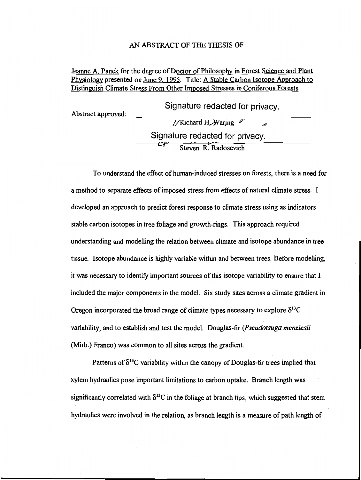#### AN ABSTRACT OF THE THESIS OF

## Jeanne A. Panek for the degree of Doctor of Philosophy in Forest Science and Plant Physiology presented on June 9. 1995. Title: A Stable Carbon Isotope Approach to Distinguish Climate Stress From Other Imposed Stresses in Coniferous Forests

Abstract approved: Signature redacted for privacy. //Richard H. Waring  $\mathscr{U}$ Signature redacted for privacy. 'Steven R. Radosevich

To understand the effect of human-induced stresses on forests, there is a need for a method to separate effects of imposed stress from effects of natural climate stress. I developed an approach to predict forest response to climate stress using as indicators stable carbon isotopes in tree foliage and growth-rings. This approach required understanding and modelling the relation between climate and isotope abundance in tree tissue. Isotope abundance is highly variable within and between trees. Before modeffing, it was necessary to identify important sources of this isotope variability to ensure that I included the major components in the model. Six study sites across a climate gradient in Oregon incorporated the broad range of climate types necessary to explore  $\delta^{13}C$ variability, and to establish and test the model. Douglas-fir (Pseudotsuga menziesii (Mirb.) Franco) was common to all sites across the gradient.

Patterns of  $\delta^{13}$ C variability within the canopy of Douglas-fir trees implied that xylem hydraulics pose important limitations to carbon uptake. Branch length was significantly correlated with  $\delta^{13}$ C in the foliage at branch tips, which suggested that stem hydraulics were involved in the relation, as branch length is a measure of path length of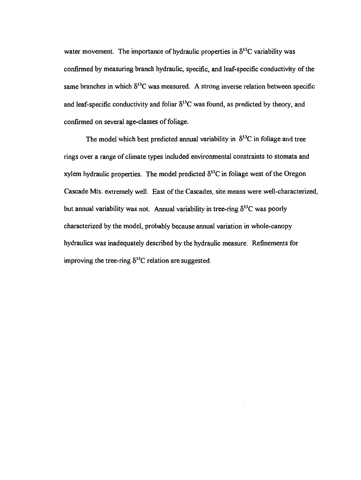water movement. The importance of hydraulic properties in  $\delta^{13}$ C variability was confirmed by measuring branch hydraulic, specific, and leaf-specific conductivity of the same branches in which  $\delta^{13}C$  was measured. A strong inverse relation between specific and leaf-specific conductivity and foliar  $\delta^{13}$ C was found, as predicted by theory, and confirmed on several age-classes of foliage.

The model which best predicted annual variability in  $\delta^{13}$ C in foliage and tree rings over a range of climate types included environmental constraints to stomata and xylem hydraulic properties. The model predicted  $\delta^{13}$ C in foliage west of the Oregon Cascade Mts. extremely well. East of the Cascades, site means were well-characterized, but annual variability was not. Annual variability in tree-ring  $\delta^{13}C$  was poorly characterized by the model, probably because annual variation in whole-canopy hydraulics was inadequately described by the hydraulic measure. Refinements for improving the tree-ring  $\delta^{13}$ C relation are suggested.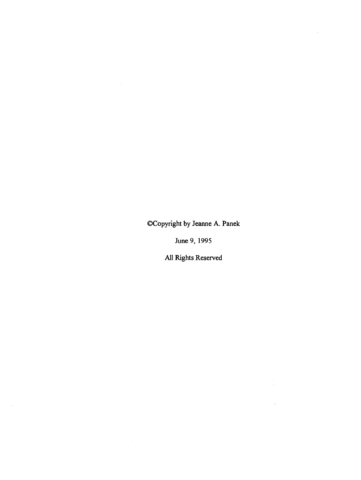©Copyright by Jeanne A. Panek

 $\mathcal{L}_{\mathcal{A}}$ 

k.

June 9, 1995

All Rights Reserved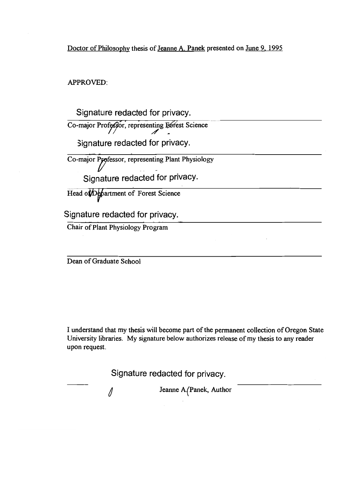Doctor of Philosophy thesis of Jeanne A. Panek presented on June 9, 1995

APPROVED:

Signature redacted for privacy.

Co-major Professor, representing Estest Science

Signature redacted for privacy.

Co-major Professor, representing Plant Physiology

Signature redacted for privacy.

Head of Department of Forest Science

Signature redacted for privacy.

Chair of Plant Physiology Program

Dean of Graduate School

I understand that my thesis will become part of the permanent collection of Oregon State University libraries. My signature below authorizes release of my thesis to any reader upon request.

Signature redacted for privacy.

1

Jeanne A(Panek. Author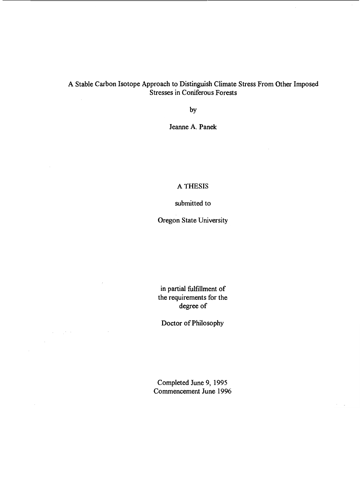# A Stable Carbon Isotope Approach to Distinguish Climate Stress From Other Imposed Stresses in Coniferous Forests

by

Jeanne A. Panek

## A THESIS

submitted to

Oregon State University

in partial fulfillment of the requirements for the degree of

Doctor of Philosophy

Completed June 9, 1995 Commencement June 1996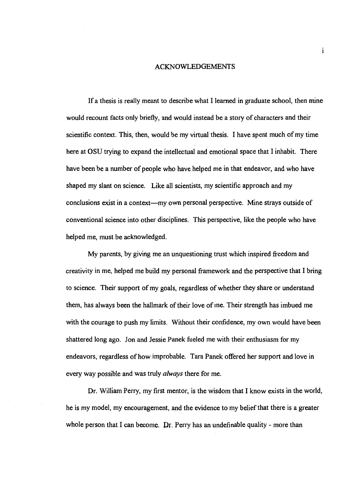#### ACKNOWLEDGEMENTS

 $\mathbf{i}$ 

If a thesis is really meant to describe what I learned in graduate school, then mine would recount facts only briefly, and would instead be a story of characters and their scientific context. This, then, would be my virtual thesis. I have spent much of my time here at OSU trying to expand the intellectual and emotional space that I inhabit. There have been be a number of people who have helped me in that endeavor, and who have shaped my slant on science. Like all scientists, my scientific approach and my conclusions exist in a context—my own personal perspective. Mine strays outside of conventional science into other disciplines. This perspective, like the people who have helped me, must be acknowledged.

My parents, by giving me an unquestioning trust which inspired freedom and creativity in me, helped me build my personal framework and the perspective that I bring to science. Their support of my goals, regardless of whether they share or understand them, has always been the hallmark of their love of me. Their strength has imbued me with the courage to push my limits. Without their confidence, my own would have been shattered long ago. Jon and Jessie Panek fueled me with their enthusiasm for my endeavors, regardless of how improbable. Tara Panek offered her support and love in every way possible and was truly *always* there for me.

Dr. William Peny, my first mentor, is the wisdom that I know exists in the world, he is my model, my encouragement, and the evidence to my belief that there is a greater whole person that I can become. Dr. Perry has an undefinable quality - more than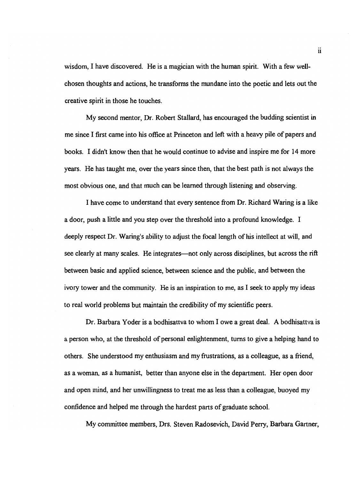wisdom, I have discovered. He is a magician with the human spirit. With a few wellchosen thoughts and actions, he transforms the mundane into the poetic and lets out the creative spirit in those he touches.

My second mentor, Dr. Robert Stallard, has encouraged the budding scientist in me since I first came into his office at Princeton and left with a heavy pile of papers and books. I didn't know then that he would continue to advise and inspire me for 14 more years. He has taught me, over the years since then, that the best path is not always the most obvious one, and that much can be learned through listening and observing.

I have come to understand that every sentence from Dr. Richard Waring is a like a door, push a little and you step over the threshold into a profound knowledge. I deeply respect Dr. Waring's ability to adjust the focal length of his intellect at will, and see clearly at many scales. He integrates—not only across disciplines, but across the rift between basic and applied science, between science and the public, and between the ivory tower and the community. He is an inspiration to me, as I seek to apply my ideas to real world problems but maintain the credibility of my scientific peers.

Dr. Barbara Yoder is a bodhisattva to whom I owe a great deal. A bodhisattva is a person who, at the threshold of personal enlightenment, turns to give a helping hand to others. She understood my enthusiasm and my frustrations, as a colleague, as a friend, as a woman, as a humanist, better than anyone else in the department. Her open door and open mind, and her unwillingness to treat me as less than a colleague, buoyed my confidence and helped me through the hardest parts of graduate school.

My committee members, Drs. Steven Radosevich, David Perry, Barbara Gartner,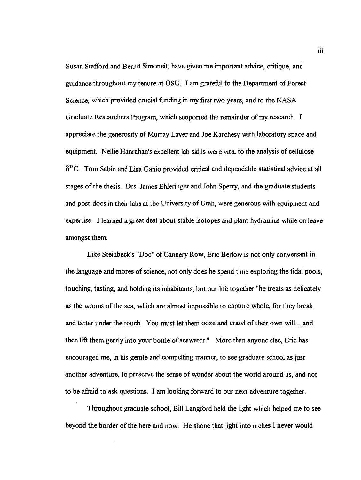Susan Stafford and Bernd Simoneit, have given me important advice, critique, and guidance throughout my tenure at OSU. I am grateful to the Department of Forest Science, which provided crucial funding in my first two years, and to the NASA Graduate Researchers Program, which supported the remainder of my research. I appreciate the generosity of Murray Layer and Joe Karchesy with laboratory space and equipment. Nellie Hanrahan's excellent lab skills were vital to the analysis of cellulose  $\delta^{13}$ C. Tom Sabin and Lisa Ganio provided critical and dependable statistical advice at all stages of the thesis. Drs. James Ehieringer and John Sperry, and the graduate students and post-docs in their labs at the University of Utah, were generous with equipment and expertise. I learned a great deal about stable isotopes and plant hydraulics while on leave amongst them.

Like Steinbeck's "Doc" of Cannery Row, Eric Berlow is not only conversant in the language and mores of science, not only does he spend time exploring the tidal pools, touching, tasting, and holding its inhabitants, but our life together "he treats as delicately as the worms of the sea, which are almost impossible to capture whole, for they break and tatter under the touch. You must let them ooze and crawl of their own will.., and then lift them gently into your bottle of seawater.° More than anyone else, Eric has encouraged me, in his gentle and compelling manner, to see graduate school as just another adventure, to preserve the sense of wonder about the world around us, and not to be afraid to ask questions. I am looking forward to our next adventure together.

Throughout graduate school, Bill Langford held the light which helped me to see beyond the border of the here and now. He shone that light into niches I never would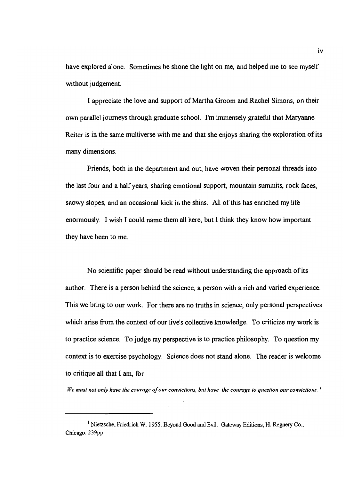have explored alone. Sometimes he shone the light on me, and helped me to see myself without judgement.

I appreciate the love and support of Martha Groom and Rachel Simons, on their own parallel journeys through graduate school. I'm immensely grateful that Maryanne Reiter is in the same multiverse with me and that she enjoys sharing the exploration of its many dimensions.

Friends, both in the department and out, have woven their personal threads into the last four and a half years, sharing emotional support, mountain summits, rock faces, snowy slopes, and an occasional kick in the shins. All of this has enriched my life enormously. I wish I could name them all here, but I think they know how important they have been to me.

No scientific paper should be read without understanding the approach of its author. There is a person behind the science, a person with a rich and varied experience. This we bring to our work. For there are no truths in science, only personal perspectives which arise from the context of our live's collective knowledge. To criticize my work is to practice science. To judge my perspective is to practice philosophy. To question my context is to exercise psychology. Science does not stand alone. The reader is welcome to critique all that I am, for

We must not only have the courage of our convictions, but have the courage to question our convictions.  $\cdot$ 

<sup>&</sup>lt;sup>1</sup> Nietzsche, Friedrich W. 1955. Beyond Good and Evil. Gateway Editions, H. Regnery Co., Chicago. 239pp.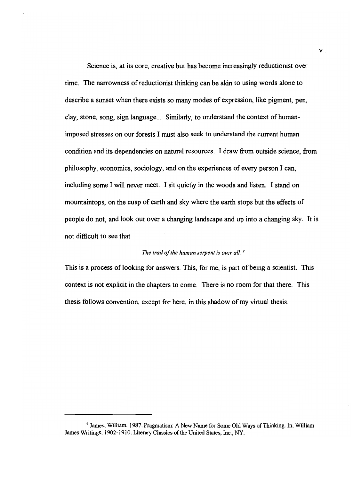Science is, at its core, creative but has become increasingly reductionist over time. The narrowness of reductionist thinking can be akin to using words alone to describe a sunset when there exists so many modes of expression, like pigment, pen, clay, stone, song, sign language... Similarly, to understand the context of humanimposed stresses on our forests I must also seek to understand the current human condition and its dependencies on natural resources. I draw from outside science, from philosophy, economics, sociology, and on the experiences of every person I can, including some I will never meet. I sit quietly in the woods and listen. I stand on mountaintops, on the cusp of earth and sky where the earth stops but the effects of people do not, and look out over a changing landscape and up into a changing sky. It is not difficult to see that

#### The trail of the human serpent is over all.  $<sup>2</sup>$ </sup>

This is a process of looking for answers. This, for me, is part of being a scientist. This context is not explicit in the chapters to come. There is no room for that there. This thesis follows convention, except for here, in this shadow of my virtual thesis.

<sup>2</sup> James, William. 1987. Pragmatism: A New Name for Some Old Ways of Thinking. In, William James Writings, 1902-1910. Literary Classics of the United States, Inc., NY.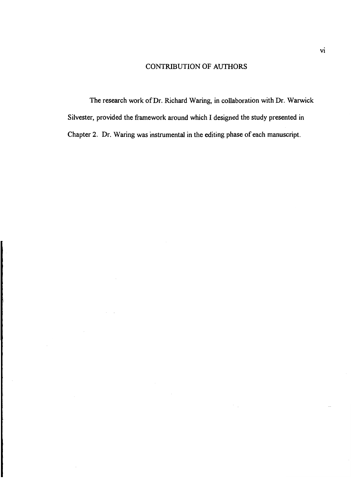## CONTRIBUTION OF AUTHORS

The research work of Dr. Richard Waring, in collaboration with Dr. Warwick Silvester, provided the framework around which I designed the study presented in Chapter 2. Dr. Waring was instrumental in the editing phase of each manuscript.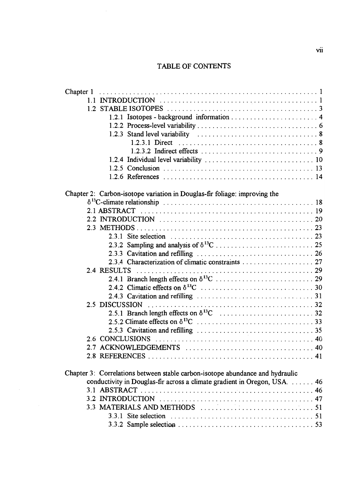# TABLE OF CONTENTS

| Chapter 1                                                                     |  |
|-------------------------------------------------------------------------------|--|
|                                                                               |  |
|                                                                               |  |
|                                                                               |  |
|                                                                               |  |
|                                                                               |  |
|                                                                               |  |
|                                                                               |  |
|                                                                               |  |
|                                                                               |  |
|                                                                               |  |
| Chapter 2: Carbon-isotope variation in Douglas-fir foliage: improving the     |  |
|                                                                               |  |
|                                                                               |  |
|                                                                               |  |
|                                                                               |  |
|                                                                               |  |
|                                                                               |  |
|                                                                               |  |
|                                                                               |  |
|                                                                               |  |
|                                                                               |  |
|                                                                               |  |
|                                                                               |  |
|                                                                               |  |
|                                                                               |  |
|                                                                               |  |
|                                                                               |  |
| 2.6 CONCLUSIONS                                                               |  |
|                                                                               |  |
|                                                                               |  |
| Chapter 3: Correlations between stable carbon-isotope abundance and hydraulic |  |
| conductivity in Douglas-fir across a climate gradient in Oregon, USA.  46     |  |
|                                                                               |  |
|                                                                               |  |
|                                                                               |  |
|                                                                               |  |
|                                                                               |  |
|                                                                               |  |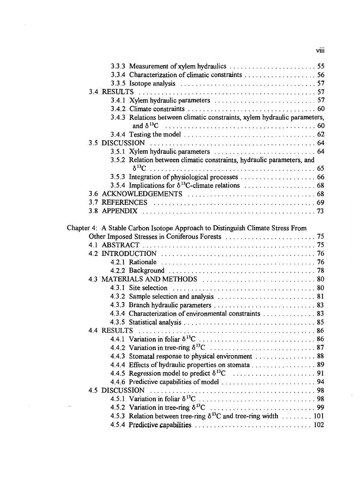|  |             | 3.3.5 Isotope analysis $\ldots \ldots \ldots \ldots \ldots \ldots \ldots \ldots \ldots \ldots \ldots \ldots 57$ |
|--|-------------|-----------------------------------------------------------------------------------------------------------------|
|  |             |                                                                                                                 |
|  |             |                                                                                                                 |
|  |             |                                                                                                                 |
|  |             | 3.4.3 Relations between climatic constraints, xylem hydraulic parameters,                                       |
|  |             |                                                                                                                 |
|  |             |                                                                                                                 |
|  |             |                                                                                                                 |
|  |             |                                                                                                                 |
|  |             | 3.5.2 Relation between climatic constraints, hydraulic parameters, and                                          |
|  |             | $\delta^{13}C$                                                                                                  |
|  |             |                                                                                                                 |
|  |             |                                                                                                                 |
|  |             |                                                                                                                 |
|  |             |                                                                                                                 |
|  |             |                                                                                                                 |
|  |             |                                                                                                                 |
|  |             | Chapter 4: A Stable Carbon Isotope Approach to Distinguish Climate Stress From                                  |
|  |             |                                                                                                                 |
|  |             |                                                                                                                 |
|  |             |                                                                                                                 |
|  |             |                                                                                                                 |
|  |             |                                                                                                                 |
|  |             |                                                                                                                 |
|  |             |                                                                                                                 |
|  |             |                                                                                                                 |
|  |             |                                                                                                                 |
|  |             | 4.3.4 Characterization of environmental constraints 83                                                          |
|  |             |                                                                                                                 |
|  | 4.4 RESULTS |                                                                                                                 |
|  |             |                                                                                                                 |
|  |             |                                                                                                                 |
|  |             | 4.4.3 Stomatal response to physical environment 88                                                              |
|  |             | 4.4.4 Effects of hydraulic properties on stomata 89                                                             |
|  |             |                                                                                                                 |
|  |             |                                                                                                                 |
|  |             |                                                                                                                 |
|  |             |                                                                                                                 |
|  |             |                                                                                                                 |
|  |             | 4.5.3 Relation between tree-ring $\delta^{13}$ C and tree-ring width  101                                       |
|  |             |                                                                                                                 |

# $viii$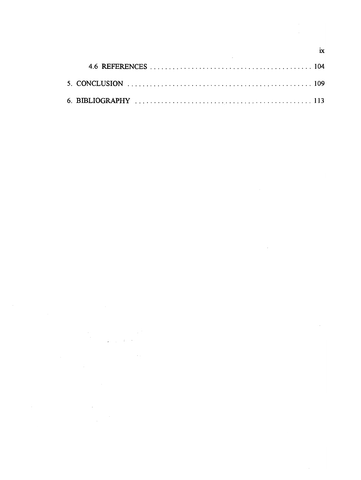$\label{eq:2} \frac{1}{\sqrt{2}}\int_{\mathbb{R}^3}\frac{1}{\sqrt{2}}\left(\frac{1}{\sqrt{2}}\right)^2\left(\frac{1}{\sqrt{2}}\right)^2\frac{1}{\sqrt{2}}\left(\frac{1}{\sqrt{2}}\right)^2.$ 

ix

 $\mathcal{A}^{\mathcal{A}}$ 

 $\label{eq:2.1} \frac{1}{\sqrt{2\pi}}\int_{0}^{\infty}\frac{1}{\sqrt{2\pi}}\left(\frac{1}{\sqrt{2\pi}}\right)^{2}d\mu\,d\mu\,.$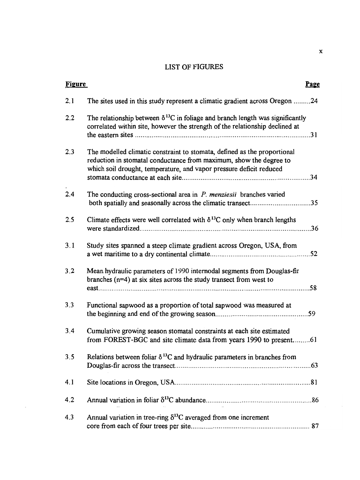# LIST OF FIGURES

| <b>Figure</b> |                                                                                                                                                                                                                       | Page |
|---------------|-----------------------------------------------------------------------------------------------------------------------------------------------------------------------------------------------------------------------|------|
| 2.1           | The sites used in this study represent a climatic gradient across Oregon 24                                                                                                                                           |      |
| 2.2           | The relationship between $\delta^{13}$ C in foliage and branch length was significantly<br>correlated within site, however the strength of the relationship declined at                                               |      |
| 2.3           | The modelled climatic constraint to stomata, defined as the proportional<br>reduction in stomatal conductance from maximum, show the degree to<br>which soil drought, temperature, and vapor pressure deficit reduced |      |
| 2.4           | The conducting cross-sectional area in $P$ . menziesii branches varied<br>both spatially and seasonally across the climatic transect35                                                                                |      |
| 2.5           | Climate effects were well correlated with $\delta^{13}$ C only when branch lengths                                                                                                                                    |      |
| 3.1           | Study sites spanned a steep climate gradient across Oregon, USA, from                                                                                                                                                 |      |
| 3.2           | Mean hydraulic parameters of 1990 internodal segments from Douglas-fir<br>branches $(n=4)$ at six sites across the study transect from west to                                                                        |      |
| 3.3           | Functional sapwood as a proportion of total sapwood was measured at                                                                                                                                                   |      |
| 3.4           | Cumulative growing season stomatal constraints at each site estimated<br>from FOREST-BGC and site climate data from years 1990 to present61                                                                           |      |
| 3.5           | Relations between foliar $\delta^{13}$ C and hydraulic parameters in branches from                                                                                                                                    |      |
| 4.1           |                                                                                                                                                                                                                       |      |
| 4.2           |                                                                                                                                                                                                                       |      |
| 4.3           | Annual variation in tree-ring $\delta^{13}$ C averaged from one increment                                                                                                                                             |      |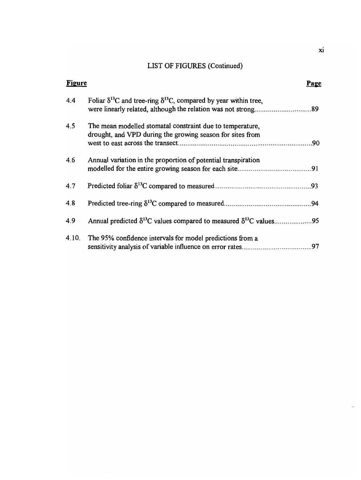# LIST OF FIGURES (Continued)

| <b>Figure</b> |                                                                                                                        | Page |
|---------------|------------------------------------------------------------------------------------------------------------------------|------|
| 4.4           | Foliar $\delta^{13}$ C and tree-ring $\delta^{13}$ C, compared by year within tree,                                    |      |
| 4.5           | The mean modelled stomatal constraint due to temperature,<br>drought, and VPD during the growing season for sites from |      |
|               |                                                                                                                        |      |
| 4.6           | Annual variation in the proportion of potential transpiration                                                          |      |
|               |                                                                                                                        |      |
| 4.7           |                                                                                                                        |      |
| 4.8           |                                                                                                                        |      |
| 4.9           |                                                                                                                        |      |
| 4.10.         | The 95% confidence intervals for model predictions from a                                                              |      |
|               |                                                                                                                        |      |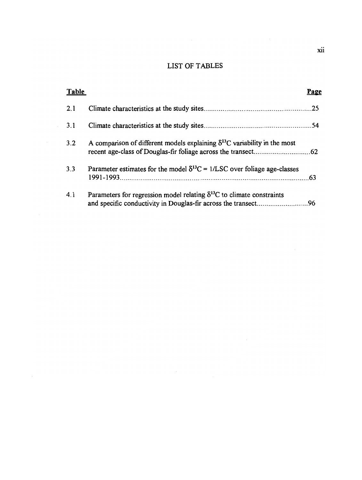# LIST OF TABLES

| Table |                                                                                          | Page |
|-------|------------------------------------------------------------------------------------------|------|
| 2.1   |                                                                                          |      |
| 3.1   |                                                                                          |      |
| 3.2   | A comparison of different models explaining $\delta^{13}$ C variability in the most      |      |
| 3.3   | Parameter estimates for the model $\delta^{13}C = 1/\text{LSC}$ over foliage age-classes |      |
| 4.1   | Parameters for regression model relating $\delta^{13}C$ to climate constraints           |      |

 $\hat{\boldsymbol{\beta}}$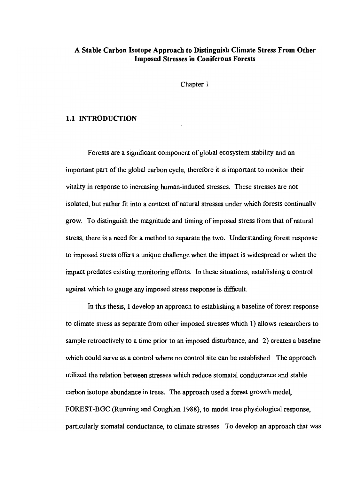## A Stable Carbon Isotope Approach to Distinguish Climate Stress From Other Imposed Stresses in Coniferous Forests

Chapter 1

#### 1.1 INTRODUCTION

Forests are a significant component of global ecosystem stability and an important part of the global carbon cycle, therefore it is important to monitor their vitality in response to increasing human-induced stresses. These stresses are not isolated, but rather fit into a context of natural stresses under which forests continually grow. To distinguish the magnitude and timing of imposed stress from that of natural stress, there is a need for a method to separate the two. Understanding forest response to imposed stress offers a unique challenge when the impact is widespread or when the impact predates existing monitoring efforts. In these situations, establishing a control against which to gauge any imposed stress response is difficult.

In this thesis, I develop an approach to establishing a baseline of forest response to climate stress as separate from other imposed stresses which 1) allows researchers to sample retroactively to a time prior to an imposed disturbance, and 2) creates a baseline which could serve as a control where no control site can be established. The approach utilized the relation between stresses which reduce stomatal conductance and stable carbon isotope abundance in trees. The approach used a forest growth model, FOREST-BGC (Running and Coughlan 1988), to model tree physiological response, particularly stomatal conductance, to climate stresses. To develop an approach that was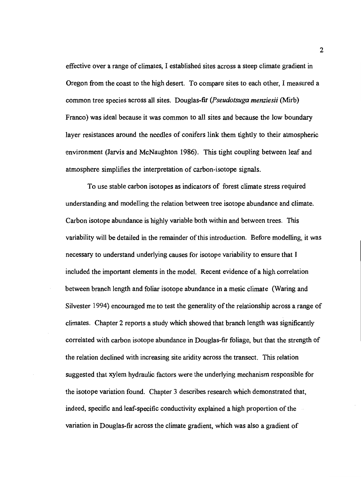effective over a range of climates, I established sites across a steep climate gradient in Oregon from the coast to the high desert. To compare sites to each other, I measured a conmon tree species across all sites. Douglas-fir (Pseudotsuga menziesii (Mirb) Franco) was ideal because it was common to all sites and because the low boundary layer resistances around the needles of conifers link them tightly to their atmospheric environment (Jarvis and McNaughton 1986). This tight coupling between leaf and atmosphere simplifies the interpretation of carbon-isotope signals.

To use stable carbon isotopes as indicators of forest climate stress required understanding and modelling the relation between tree isotope abundance and climate. Carbon isotope abundance is highly variable both within and between trees. This variability will be detailed in the remainder of this introduction. Before modelling, it was necessary to understand underlying causes for isotope variability to ensure that I included the important elements in the model. Recent evidence of a high correlation between branch length and foliar isotope abundance in a mesic climate (Waring and Silvester 1994) encouraged me to test the generality of the relationship across a range of climates. Chapter 2 reports a study which showed that branch length was significantly correlated with carbon isotope abundance in Douglas-fir foliage, but that the strength of the relation declined with increasing site aridity across the transect. This relation suggested that xylem hydraulic factors were the underlying mechanism responsible for the isotope variation found. Chapter 3 describes research which demonstrated that, indeed, specific and leaf-specific conductivity explained a high proportion of the variation in Douglas-fir across the climate gradient, which was also a gradient of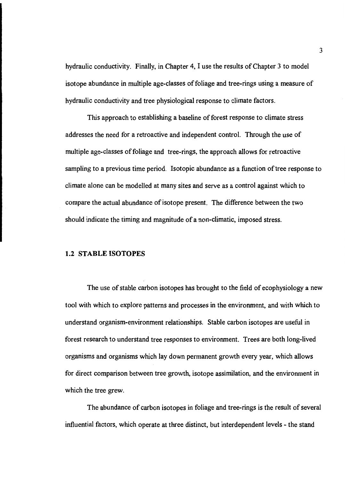hydraulic conductivity. Finally, in Chapter 4, I use the results of Chapter 3 to model isotope abundance in multiple age-classes of foliage and tree-rings using a measure of hydraulic conductivity and tree physiological response to climate factors.

This approach to establishing a baseline of forest response to climate stress addresses the need for a retroactive and independent control. Through the use of multiple age-classes of foliage and tree-rings, the approach allows for retroactive sampling to a previous time period. Isotopic abundance as a function of tree response to climate alone can be modelled at many sites and serve as a control against which to compare the actual abundance of isotope present. The difference between the two should indicate the timing and magnitude of a non-climatic, imposed stress.

#### 1.2 STABLE ISOTOPES

The use of stable carbon isotopes has brought to the field of ecophysiology a new tool with which to explore patterns and processes in the environment, and with which to understand organism-environment relationships. Stable carbon isotopes are useful in forest research to understand tree responses to environment. Trees are both long-lived organisms and organisms which lay down permanent growth every year, which allows for direct comparison between tree growth, isotope assimilation, and the environment in which the tree grew.

The abundance of carbon isotopes in foliage and tree-rings is the result of several influential factors, which operate at three distinct, but interdependent levels - the stand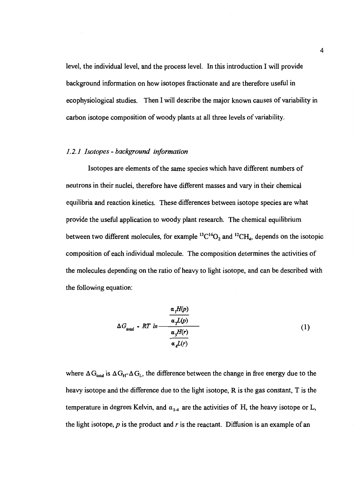level, the individual level, and the process level. In this introduction I will provide background information on how isotopes fractionate and are therefore useful in ecophysiological studies. Then I will describe the major known causes of variability in carbon isotope composition of woody plants at all three levels of variability.

#### 1.2.1 Isotopes - background information

Isotopes are elements of the same species which have different numbers of neutrons in their nuclei, therefore have different masses and vary in their chemical equilibria and reaction kinetics. These differences between isotope species are what provide the useful application to woody plant research. The chemical equilibrium between two different molecules, for example  ${}^{13}C^{16}O_2$  and  ${}^{12}CH_4$ , depends on the isotopic composition of each individual molecule. The composition determines the activities of the molecules depending on the ratio of heavy to light isotope, and can be described with the following equation:

$$
\Delta G_{total} - RT \ln \frac{\frac{\alpha_1 H(p)}{\alpha_2 L(p)}}{\frac{\alpha_3 H(r)}{\alpha_4 L(r)}}
$$
 (1)

where  $\Delta G_{\text{total}}$  is  $\Delta G_{\text{H}}$ - $\Delta G_{\text{L}}$ , the difference between the change in free energy due to the heavy isotope and the difference due to the light isotope, R is the gas constant, T is the temperature in degrees Kelvin, and  $\alpha_{1,4}$  are the activities of H, the heavy isotope or L, the light isotope, p is the product and r is the reactant. Diffusion is an example of an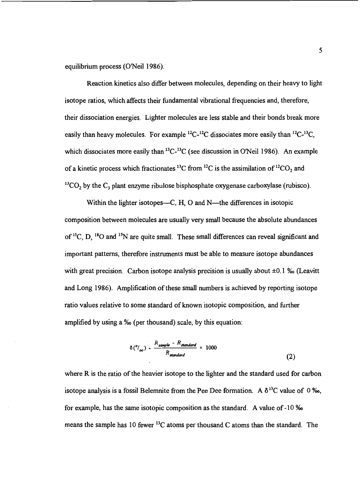equilibrium process (O'Neil 1986).

Reaction kinetics also differ between molecules, depending on their heavy to light isotope ratios, which affects their fundamental vibrational frequencies and, therefore, their dissociation energies. Lighter molecules are less stable and their bonds break more easily than heavy molecules. For example  ${}^{12}C^{-12}C$  dissociates more easily than  ${}^{12}C^{-13}C$ , which dissociates more easily than  ${}^{13}C-{}^{13}C$  (see discussion in O'Neil 1986). An example of a kinetic process which fractionates  ${}^{13}$ C from  ${}^{12}$ C is the assimilation of  ${}^{12}$ CO<sub>2</sub> and  $^{13}CO$ , by the  $C_3$  plant enzyme ribulose bisphosphate oxygenase carboxylase (rubisco).

Within the lighter isotopes—C,  $H$ ,  $O$  and  $N$ —the differences in isotopic composition between molecules are usually very small because the absolute abundances of <sup>13</sup>C, D, <sup>18</sup>O and <sup>15</sup>N are quite small. These small differences can reveal significant and important patterns, therefore instruments must be able to measure isotope abundances with great precision. Carbon isotope analysis precision is usually about  $\pm 0.1$  ‰ (Leavitt and Long 1986). Amplification of these small numbers is achieved by reporting isotope ratio values relative to some standard of known isotopic composition, and further amplified by using a %o (per thousand) scale, by this equation:

$$
\delta\left(\frac{\partial}{\partial\phi}\right) - \frac{R_{sample} - R_{standard}}{R_{standard}} \times 1000\tag{2}
$$

where R is the ratio of the heavier isotope to the lighter and the standard used for carbon isotope analysis is a fossil Belemnite from the Pee Dee formation. A  $\delta^{13}C$  value of 0 ‰, for example, has the same isotopic composition as the standard. A value of-lO %o means the sample has 10 fewer  ${}^{13}C$  atoms per thousand C atoms than the standard. The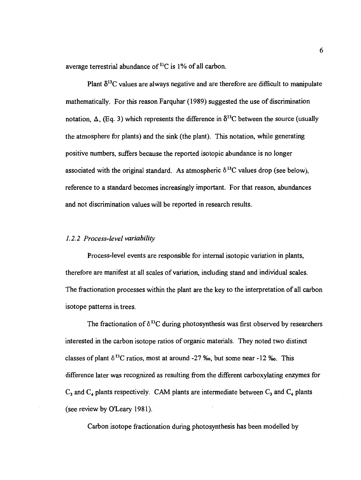average terrestrial abundance of  ${}^{13}C$  is 1% of all carbon.

Plant  $\delta^{13}$ C values are always negative and are therefore are difficult to manipulate mathematically. For this reason Farquhar (1989) suggested the use of discrimination notation,  $\Delta$ , (Eq. 3) which represents the difference in  $\delta^{13}$ C between the source (usually the atmosphere for plants) and the sink (the plant). This notation, while generating positive numbers, suffers because the reported isotopic abundance is no longer associated with the original standard. As atmospheric  $\delta^{13}$ C values drop (see below), reference to a standard becomes increasingly important. For that reason, abundances and not discrimination values will be reported in research results.

#### 1.2.2 Process-level variability

Process-level events are responsible for internal isotopic variation in plants, therefore are manifest at all scales of variation, including stand and individual scales. The fractionation processes within the plant are the key to the interpretation of all carbon isotope patterns in trees.

The fractionation of  $\delta^{13}C$  during photosynthesis was first observed by researchers interested in the carbon isotope ratios of organic materials. They noted two distinct classes of plant  $\delta^{13}$ C ratios, most at around -27 ‰, but some near -12 ‰. This difference later was recognized as resulting from the different carboxylating enzymes for  $C_3$  and  $C_4$  plants respectively. CAM plants are intermediate between  $C_3$  and  $C_4$  plants (see review by O'Leary 1981).

Carbon isotope fractionation during photosynthesis has been modelled by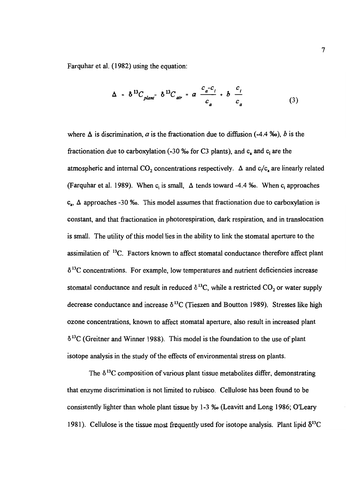Farquhar et al. (1982) using the equation:

$$
\Delta = \delta^{13} C_{\text{plant}} - \delta^{13} C_{\text{air}} = a \frac{c_a - c_i}{c_a} + b \frac{c_i}{c_a}
$$
 (3)

where  $\Delta$  is discrimination, a is the fractionation due to diffusion (-4.4 ‰), b is the fractionation due to carboxylation (-30  $\%$  for C3 plants), and  $c<sub>a</sub>$  and  $c<sub>i</sub>$  are the atmospheric and internal CO<sub>2</sub> concentrations respectively.  $\Delta$  and  $c_1/c_a$  are linearly related (Farquhar et al. 1989). When c<sub>i</sub> is small,  $\Delta$  tends toward -4.4 ‰. When c<sub>i</sub> approaches  $c_n$ ,  $\Delta$  approaches -30 ‰. This model assumes that fractionation due to carboxylation is constant, and that fractionation in photorespiration, dark respiration, and in translocation is small. The utility of this model lies in the ability to link the stomatal aperture to the assimilation of <sup>13</sup>C. Factors known to affect stomatal conductance therefore affect plant  $\delta$ <sup>13</sup>C concentrations. For example, low temperatures and nutrient deficiencies increase stomatal conductance and result in reduced  $\delta^{13}C$ , while a restricted CO<sub>2</sub> or water supply decrease conductance and increase  $\delta^{13}$ C (Tieszen and Boutton 1989). Stresses like high ozone concentrations, known to affect stomatal aperture, also result in increased plant  $\delta^{13}$ C (Greitner and Winner 1988). This model is the foundation to the use of plant isotope analysis in the study of the effects of environmental stress on plants.

The  $\delta^{13}$ C composition of various plant tissue metabolites differ, demonstrating that enzyme discrimination is not limited to rubisco. Cellulose has been found to be consistently lighter than whole plant tissue by 1-3 % (Leavitt and Long 1986; O'Leary 1981). Cellulose is the tissue most frequently used for isotope analysis. Plant lipid  $\delta^{13}C$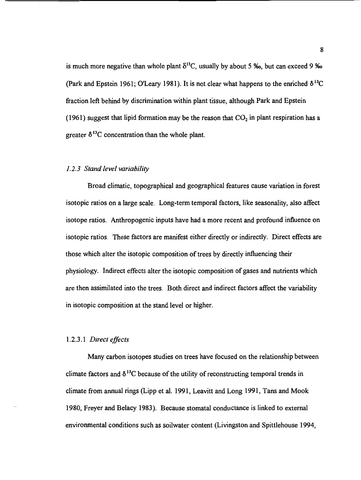is much more negative than whole plant  $\delta^{13}C$ , usually by about 5 ‰, but can exceed 9 ‰ (Park and Epstein 1961; O'Leary 1981). It is not clear what happens to the enriched  $\delta^{13}C$ fraction left behind by discrimination within plant tissue, although Park and Epstein (1961) suggest that lipid formation may be the reason that  $CO<sub>2</sub>$  in plant respiration has a greater  $\delta^{13}$ C concentration than the whole plant.

#### 1.2.3 Stand level variability

Broad climatic, topographical and geographical features cause variation in forest isotopic ratios on a large scale. Long-term temporal factors, like seasonality, also affect isotope ratios. Anthropogenic inputs have had a more recent and profound influence on isotopic ratios. These factors are manifest either directly or indirectly. Direct effects are those which alter the isotopic composition of trees by directly influencing their physiology. Indirect effects alter the isotopic composition of gases and nutrients which are then assimilated into the trees. Both direct and indirect factors affect the variability in isotopic composition at the stand level or higher.

#### 1.2.3.1 Direct effects

Many carbon isotopes studies on trees have focused on the relationship between climate factors and  $\delta^{13}$ C because of the utility of reconstructing temporal trends in climate from annual rings (Lipp et al. 1991, Leavitt and Long 1991, Tans and Mook 1980, Freyer and Belacy 1983). Because stomatal conductance is linked to external environmental conditions such as soilwater content (Livingston and Spittlehouse 1994,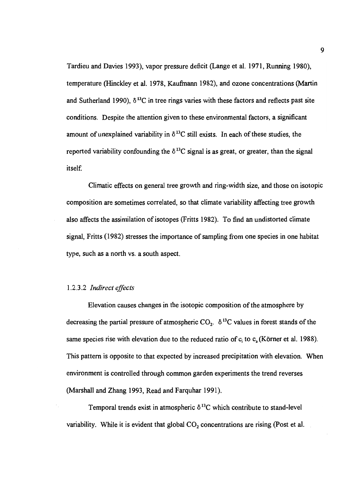Tardieu and Davies 1993), vapor pressure deficit (Lange et al. 1971, Running 1980), temperature (Hinckley et al. 1978, Kaufinann 1982), and ozone concentrations (Martin and Sutherland 1990),  $\delta^{13}$ C in tree rings varies with these factors and reflects past site conditions. Despite the attention given to these environmental factors, a significant amount of unexplained variability in  $\delta^{13}$ C still exists. In each of these studies, the reported variability confounding the  $\delta^{13}$ C signal is as great, or greater, than the signal itself.

Climatic effects on general tree growth and ring-width size, and those on isotopic composition are sometimes correlated, so that climate variability affecting tree growth also affects the assimilation of isotopes (Fritts 1982). To find an undistorted climate signal, Fritts (1982) stresses the importance of sampling from one species in one habitat type, such as a north vs. a south aspect.

#### 1.2.3.2 Indirect effects

Elevation causes changes in the isotopic composition of the atmosphere by decreasing the partial pressure of atmospheric CO<sub>2</sub>.  $\delta^{13}$ C values in forest stands of the same species rise with elevation due to the reduced ratio of  $c_i$  to  $c_a$  (Körner et al. 1988). This pattern is opposite to that expected by increased precipitation with elevation. When environment is controlled through common garden experiments the trend reverses (Marshall and Zhang 1993, Read and Farquhar 1991).

Temporal trends exist in atmospheric  $\delta^{13}$ C which contribute to stand-level variability. While it is evident that global  $CO<sub>2</sub>$  concentrations are rising (Post et al.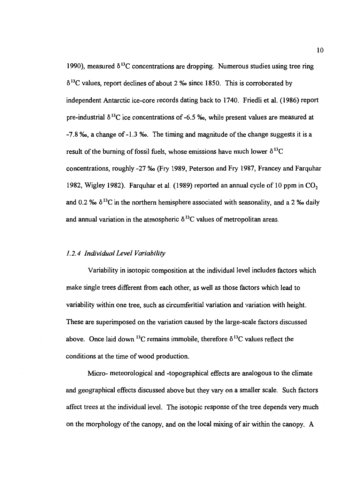1990), measured  $\delta^{13}$ C concentrations are dropping. Numerous studies using tree ring  $\delta^{13}$ C values, report declines of about 2 % since 1850. This is corroborated by independent Antarctic ice-core records dating back to 1740. Friedli et al. (1986) report pre-industrial  $\delta^{13}$ C ice concentrations of -6.5 ‰, while present values are measured at -7.8 %, a change of-1.3 %. The timing and magnitude of the change suggests it is a result of the burning of fossil fuels, whose emissions have much lower  $\delta^{13}C$ concentrations, roughly -27 %o (Fry 1989, Peterson and Fry 1987, Francey and Farquhar 1982, Wigley 1982). Farquhar et al. (1989) reported an annual cycle of 10 ppm in  $CO<sub>2</sub>$ and 0.2 %  $\delta^{13}$ C in the northern hemisphere associated with seasonality, and a 2 % daily and annual variation in the atmospheric  $\delta^{13}$ C values of metropolitan areas.

#### 1.2.4 Individual Level Variability

Variability in isotopic composition at the individual level includes factors which make single trees different from each other, as well as those factors which lead to variability within one tree, such as circumferitial variation and variation with height. These are superimposed on the variation caused by the large-scale factors discussed above. Once laid down <sup>13</sup>C remains immobile, therefore  $\delta^{13}$ C values reflect the conditions at the time of wood production.

Micro- meteorological and -topographical effects are analogous to the climate and geographical effects discussed above but they vary on a smaller scale. Such factors affect trees at the individual level. The isotopic response of the tree depends very much on the morphology of the canopy, and on the local mixing of air within the canopy. A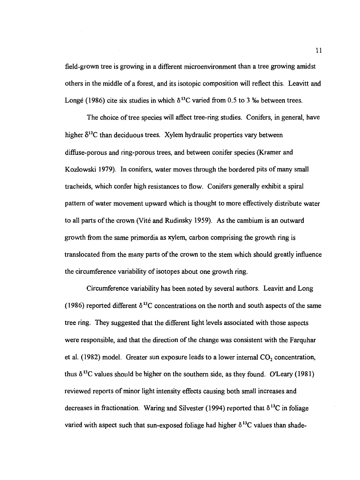field-grown tree is growing in a different microenvironment than a tree growing amidst others in the middle of a forest, and its isotopic composition will reflect this. Leavitt and Longé (1986) cite six studies in which  $\delta^{13}$ C varied from 0.5 to 3 ‰ between trees.

The choice of tree species will affect tree-ring studies. Conifers, in general, have higher  $\delta^{13}$ C than deciduous trees. Xylem hydraulic properties vary between diffuse-porous and ring-porous trees, and between conifer species (Kramer and Kozlowski 1979). In conifers, water moves through the bordered pits of many small tracheids, which confer high resistances to flow. Conifers generally exhibit a spiral pattern of water movement upward which is thought to more effectively distribute water to all parts of the crown (Vité and Rudinsky 1959). As the cambium is an outward growth from the same primordia as xylem, carbon comprising the growth ring is translocated from the many parts of the crown to the stem which should greatly influence the circumference variability of isotopes about one growth ring.

Circumference variability has been noted by several authors. Leavitt and Long (1986) reported different  $\delta^{13}$ C concentrations on the north and south aspects of the same tree ring. They suggested that the different light levels associated with those aspects were responsible, and that the direction of the change was consistent with the Farquhar et al. (1982) model. Greater sun exposure leads to a lower internal  $CO<sub>2</sub>$  concentration, thus  $\delta^{13}$ C values should be higher on the southern side, as they found. O'Leary (1981) reviewed reports of minor light intensity effects causing both small increases and decreases in fractionation. Waring and Silvester (1994) reported that  $\delta^{13}$ C in foliage varied with aspect such that sun-exposed foliage had higher  $\delta^{13}$ C values than shade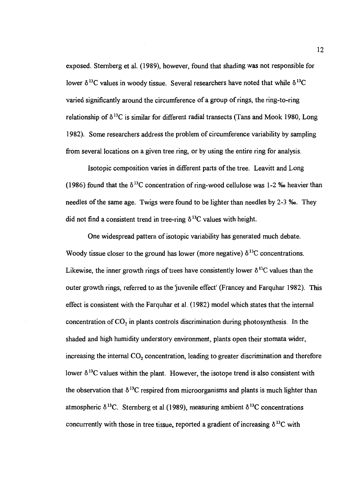exposed. Sternberg et al. (1989), however, found that shading was not responsible for lower  $\delta^{13}$ C values in woody tissue. Several researchers have noted that while  $\delta^{13}$ C varied significantly around the circumference of a group of rings, the ring-to-ring relationship of  $\delta^{13}$ C is similar for different radial transects (Tans and Mook 1980, Long 1982). Some researchers address the problem of circumference variability by sampling from several locations on a given tree ring, or by using the entire ring for analysis.

Isotopic composition varies in different parts of the tree. Leavitt and Long (1986) found that the  $\delta^{13}$ C concentration of ring-wood cellulose was 1-2 ‰ heavier than needles of the same age. Twigs were found to be lighter than needles by 2-3 %o. They did not find a consistent trend in tree-ring  $\delta^{13}$ C values with height.

One widespread pattern of isotopic variability has generated much debate. Woody tissue closer to the ground has lower (more negative)  $\delta^{13}$ C concentrations. Likewise, the inner growth rings of trees have consistently lower  $\delta^{13}$ C values than the outer growth rings, referred to as the juvenile effect' (Francey and Farquhar 1982). This effect is consistent with the Farquhar et al. (1982) model which states that the internal concentration of  $CO<sub>2</sub>$  in plants controls discrimination during photosynthesis. In the shaded and high humidity understory environment, plants open their stomata wider, increasing the internal  $CO<sub>2</sub>$  concentration, leading to greater discrimination and therefore lower  $\delta^{13}$ C values within the plant. However, the isotope trend is also consistent with the observation that  $\delta^{13}$ C respired from microorganisms and plants is much lighter than atmospheric  $\delta^{13}$ C. Sternberg et al (1989), measuring ambient  $\delta^{13}$ C concentrations concurrently with those in tree tissue, reported a gradient of increasing  $\delta^{13}C$  with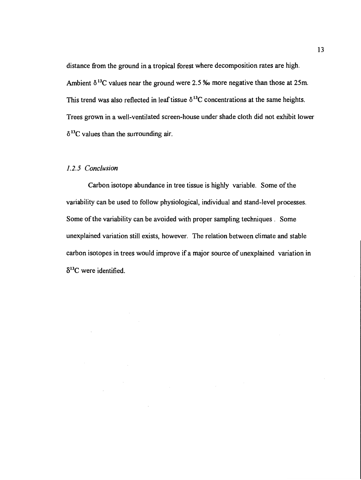distance from the ground in a tropical forest where decomposition rates are high. Ambient  $\delta^{13}$ C values near the ground were 2.5 ‰ more negative than those at 25m. This trend was also reflected in leaf tissue  $\delta^{13}$ C concentrations at the same heights. Trees grown in a well-ventilated screen-house under shade cloth did not exhibit lower  $\delta^{13}$ C values than the surrounding air.

## 1.2.5 Conclusion

Carbon isotope abundance in tree tissue is highly variable. Some of the variability can be used to follow physiological, individual and stand-level processes. Some of the variability can be avoided with proper sampling techniques. Some unexplained variation still exists, however. The relation between climate and stable carbon isotopes in trees would improve if a major source of unexplained variation in  $\delta^{13}$ C were identified.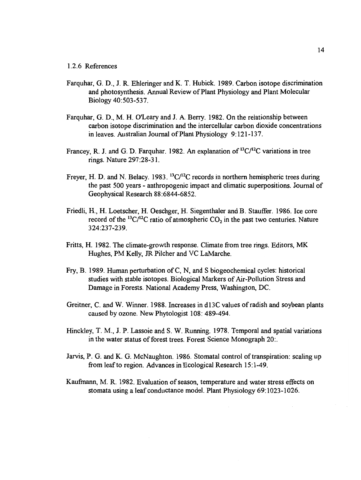#### 1.2.6 References

- Farquhar, G. D., J. R. Ehieringer and K. T. Hubick. 1989. Carbon isotope discrimination and photosynthesis. Annual Review of Plant Physiology and Plant Molecular Biology 40:503-537.
- Farquhar, G. D., M. H. O'Leary and J. A. Berry. 1982. On the relationship between carbon isotope discrimination and the intercellular carbon dioxide concentrations in leaves. Australian Journal of Plant Physiology 9:121-137.
- Francey, R. J. and G. D. Farquhar. 1982. An explanation of  ${}^{13}C/{}^{12}C$  variations in tree rings. Nature 297:28-3 1.
- Freyer, H. D. and N. Belacy. 1983.  ${}^{13}C/{}^{12}C$  records in northern hemispheric trees during the past 500 years - anthropogenic impact and climatic superpositions. Journal of Geophysical Research 88:6844-6852.
- Friedli, H., H. Loetscher, H. Oeschger, H. Siegenthaler and B. Stauffer. 1986. Ice core record of the <sup>13</sup>C/<sup>12</sup>C ratio of atmospheric  $CO<sub>2</sub>$  in the past two centuries. Nature 324:237-239.
- Fritts, H. 1982. The climate-growth response, Climate from tree rings. Editors, MK Hughes, PM Kelly, JR Pilcher and VC LaMarche.
- Fry, B. 1989. Human perturbation of C, N, and S biogeochemical cycles: historical studies with stable isotopes. Biological Markers of Air-Pollution Stress and Damage in Forests. National Academy Press, Washington, DC.
- Greitner, C. and W. Winner. 1988. Increases in d13C values of radish and soybean plants caused by ozone. New Phytologist 108: 489-494.
- Hinckley, T. M., J. P. Lassoie and S. W. Running. 1978. Temporal and spatial variations in the water status of forest trees. Forest Science Monograph 20:.
- Jarvis, P. G. and K. G. McNaughton. 1986. Stomatal control of transpiration: scaling up from leaf to region. Advances in Ecological Research 15:1-49.
- Kaufmann, M. R. 1982. Evaluation of season, temperature and water stress effects on stomata using a leaf conductance model. Plant Physiology 69:1023-1026.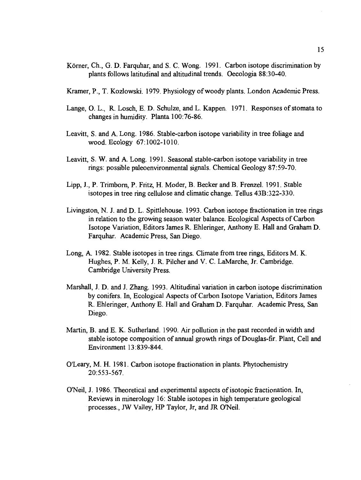- Körner, Ch., G. D. Farquhar, and S. C. Wong. 1991. Carbon isotope discrimination by plants follows latitudinal and altitudinal trends. Oecologia 88:30-40.
- Kramer, P., T. Kozlowski. 1979. Physiology of woody plants. London Academic Press.
- Lange, 0. L., R. Losch, E. D. Schulze, and L. Kappen. 1971. Responses of stomata to changes in humidity. Planta 100:76-86.
- Leavitt, S. and A. Long. 1986. Stable-carbon isotope variability in tree foliage and wood. Ecology 67:1002-1010.
- Leavitt, S. W. and A. Long. 1991. Seasonal stable-carbon isotope variability in tree rings: possible paleoenvironmental signals. Chemical Geology 87:59-70.
- Lipp, J., P. Trimborn, P. Fritz, H. Moder, B. Becker and B. Frenzel. 1991. Stable isotopes in tree ring cellulose and climatic change. Tellus 43B:322-330.
- Livingston, N. J. and D. L. Spittlehouse. 1993. Carbon isotope fractionation in tree rings in relation to the growing season water balance. Ecological Aspects of Carbon Isotope Variation, Editors James R. Ehleringer, Anthony E. Hall and Graham D. Farquhar. Academic Press, San Diego.
- Long, A. 1982. Stable isotopes in tree rings. Climate from tree rings, Editors M. K. Hughes, P. M. Kelly, J. R. Pilcher and V. C. LaMarche, Jr. Cambridge. Cambridge University Press.
- Marshall, J. D. and J. Zhang. 1993. Altitudinal variation in carbon isotope discrimination by conifers. In, Ecological Aspects of Carbon Isotope Variation, Editors James R. Ehleringer, Anthony E. Hall and Graham D. Farquhar. Academic Press, San Diego.
- Martin, B. and E. K. Sutherland. 1990. Air pollution in the past recorded in width and stable isotope composition of annual growth rings of Douglas-fir. Plant, Cell and Environment 13:839-844.
- O'Leary, M. H. 1981. Carbon isotope fractionation in plants. Phytochemistry 20:553-567.
- O'Neil, J. 1986. Theoretical and experimental aspects of isotopic fractionation. In, Reviews in minerology 16: Stable isotopes in high temperature geological processes., JW Valley, HP Taylor, Jr, and JR O'Neil.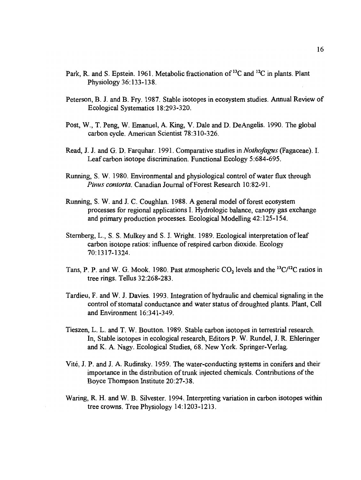- Park, R. and S. Epstein. 1961. Metabolic fractionation of <sup>13</sup>C and <sup>12</sup>C in plants. Plant Physiology 36:133-138.
- Peterson, B. J. and B. Fry. 1987. Stable isotopes in ecosystem studies. Annual Review of Ecological Systematics 18:293-320.
- Post, W., T. Peng, W. Emanuel, A. King, V. Dale and D. DeAngelis. 1990. The global carbon cycle. American Scientist 78:310-326.
- Read, J. J. and G. D. Farquhar. 1991. Comparative studies in Nothofagus (Fagaceae). I. Leaf carbon isotope discrimination. Functional Ecology 5:684-695.
- Running, S. W. 1980. Environmental and physiological control of water flux through Pinus contorta. Canadian Journal of Forest Research 10:82-91.
- Running, S. W. and J. C. Coughlan. 1988. A general model of forest ecosystem processes for regional applications I. Hydrologic balance, canopy gas exchange and primary production processes. Ecological Modelling 42:125-154.
- Sternberg, L., S. S. Mulkey and S. J. Wright. 1989. Ecological interpretation of leaf carbon isotope ratios: influence of respired carbon dioxide. Ecology 70:1317-1324.
- Tans, P. P. and W. G. Mook. 1980. Past atmospheric  $CO<sub>2</sub>$  levels and the  $^{13}C/^{12}C$  ratios in tree rings. Tellus 32:268-283.
- Tardieu, F. and W. J. Davies. 1993. Integration of hydraulic and chemical signaling in the control of stomatal conductance and water status of droughted plants. Plant, Cell and Environment 16:341-349.
- Tieszen, L. L. and T. W. Boutton. 1989. Stable carbon isotopes in terrestrial research. In, Stable isotopes in ecological research, Editors P. W. Rundel, J. R. Ehleringer and K. A. Nagy. Ecological Studies, 68. New York. Springer-Verlag.
- Vité, J. P. and J. A. Rudinsky. 1959. The water-conducting systems in conifers and their importance in the distribution of trunk injected chemicals. Contributions of the Boyce Thompson Institute 20:27-38.
- Waring, R. H. and W. B. Silvester. 1994. Interpreting variation in carbon isotopes within tree crowns. Tree Physiology 14:1203-1213.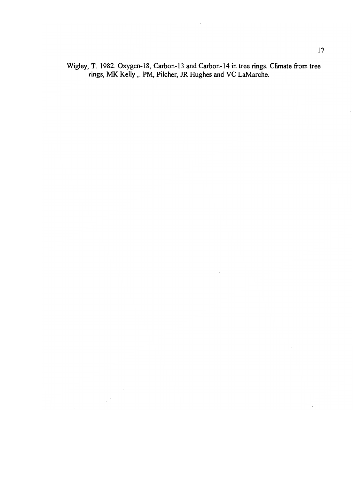Wigley, T. 1982. Oxygen-18, Carbon-13 and Carbon-14 in tree rings. Climate from tree rings, MIK Kelly,. PM, Pilcher, JR Hughes and VC LaMarche.

 $\label{eq:2} \frac{d\mathbf{r}}{d\mathbf{x}} = \frac{1}{2} \mathbf{r} \mathbf{r} \mathbf{r} \mathbf{r} \mathbf{r} \mathbf{r} \mathbf{r} \mathbf{r} \mathbf{r} \mathbf{r} \mathbf{r} \mathbf{r} \mathbf{r} \mathbf{r} \mathbf{r} \mathbf{r} \mathbf{r} \mathbf{r} \mathbf{r} \mathbf{r} \mathbf{r} \mathbf{r} \mathbf{r} \mathbf{r} \mathbf{r} \mathbf{r} \mathbf{r} \mathbf{r} \mathbf{r} \mathbf{r} \mathbf{r} \math$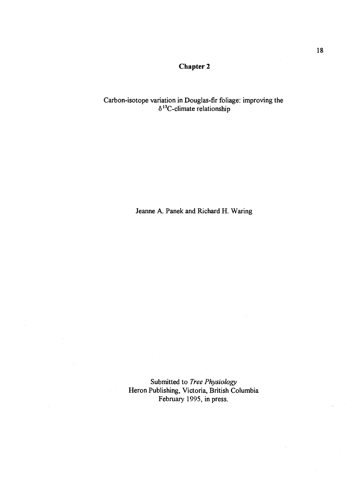# Chapter 2

## Carbon-isotope variation in Douglas-fir foliage: improving the  $\delta^{13}$ C-climate relationship

Jeanne A. Panek and Richard H. Waring

Submitted to Tree Physiology Heron Publishing, Victoria, British Columbia February 1995, in press.

 $\bar{\bar{z}}$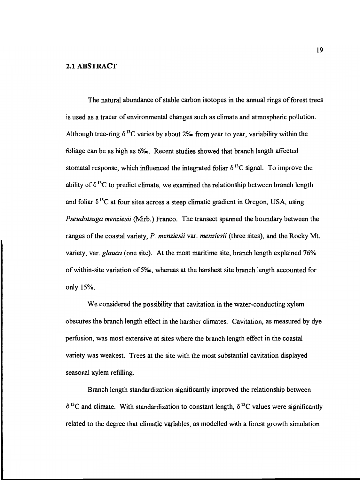#### 2.1 ABSTRACT

The natural abundance of stable carbon isotopes in the annual rings of forest trees is used as a tracer of environmental changes such as climate and atmospheric pollution. Although tree-ring  $\delta^{13}$ C varies by about 2% from year to year, variability within the foliage can be as high as 6%. Recent studies showed that branch length affected stomatal response, which influenced the integrated foliar  $\delta^{13}$ C signal. To improve the ability of  $\delta^{13}$ C to predict climate, we examined the relationship between branch length and foliar  $\delta^{13}$ C at four sites across a steep climatic gradient in Oregon, USA, using Pseudotsuga menziesii (Mirb.) Franco. The transect spanned the boundary between the ranges of the coastal variety, P. menziesii var. menziesii (three sites), and the Rocky Mt. variety, var. glauca (one site). At the most maritime site, branch length explained 76% of within-site variation of S%o, whereas at the harshest site branch length accounted for only 15%.

We considered the possibility that cavitation in the water-conducting xylem obscures the branch length effect in the harsher climates. Cavitation, as measured by dye perfusion, was most extensive at sites where the branch length effect in the coastal variety was weakest. Trees at the site with the most substantial cavitation displayed seasonal xylem refilling.

Branch length standardization significantly improved the relationship between  $\delta^{13}$ C and climate. With standardization to constant length,  $\delta^{13}$ C values were significantly related to the degree that climatic variables, as modelled with a forest growth simulation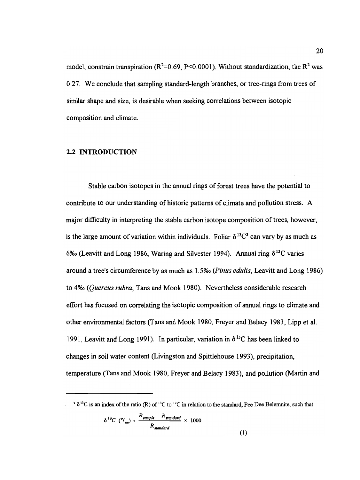model, constrain transpiration ( $R^2$ =0.69, P<0.0001). Without standardization, the  $R^2$  was 0.27. We conclude that sampling standard-length branches, or tree-rings from trees of similar shape and size, is desirable when seeking correlations between isotopic composition and climate.

## 2.2 INTRODUCTION

Stable carbon isotopes in the annual rings of forest trees have the potential to contribute to our understanding of historic patterns of climate and pollution stress. A major difficulty in interpreting the stable carbon isotope composition of trees, however, is the large amount of variation within individuals. Foliar  $\delta^{13}C^3$  can vary by as much as 6‰ (Leavitt and Long 1986, Waring and Silvester 1994). Annual ring  $\delta^{13}C$  varies around a tree's circumference by as much as 1 .5% (Pinus edulis, Leavitt and Long 1986) to 4%o (Quercus rubra, Tans and Mook 1980). Nevertheless considerable research effort has focused on correlating the isotopic composition of annual rings to climate and other environmental factors (Tans and Mook 1980, Freyer and Belacy 1983, Lipp et al. 1991, Leavitt and Long 1991). In particular, variation in  $\delta^{13}$ C has been linked to changes in soil water content (Livingston and Spittlehouse 1993), precipitation, temperature (Tans and Mook 1980, Freyer and Belacy 1983), and pollution (Martin and

$$
\delta^{13}C\,\left(^o/_{oo}\right)\cdot\frac{R_{sample} - R_{standard}}{R_{standard}} \times 1000
$$

<sup>&</sup>lt;sup>3</sup>  $\delta$ <sup>13</sup>C is an index of the ratio (R) of <sup>13</sup>C to <sup>12</sup>C in relation to the standard, Pee Dee Belemnite, such that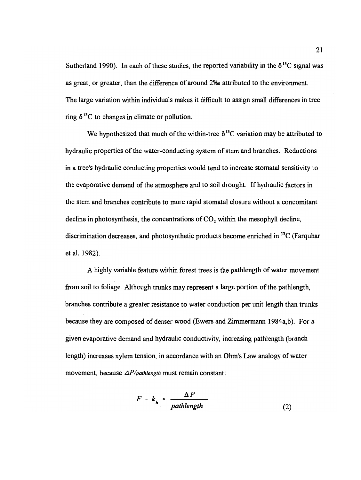Sutherland 1990). In each of these studies, the reported variability in the  $\delta^{13}$ C signal was as great, or greater, than the difference of around 2% attributed to the environment. The large variation within individuals makes it difficult to assign small differences in tree ring  $\delta^{13}$ C to changes in climate or pollution.

We hypothesized that much of the within-tree  $\delta^{13}$ C variation may be attributed to hydraulic properties of the water-conducting system of stem and branches. Reductions in a tree's hydraulic conducting properties would tend to increase stomatal sensitivity to the evaporative demand of the atmosphere and to soil drought. If hydraulic factors in the stem and branches contribute to more rapid stomatal closure without a concomitant decline in photosynthesis, the concentrations of  $CO<sub>2</sub>$  within the mesophyll decline, discrimination decreases, and photosynthetic products become enriched in '3C (Farquhar etal. 1982).

A highly variable feature within forest trees is the pathlength of water movement from soil to foliage. Although trunks may represent a large portion of the pathlength, branches contribute a greater resistance to water conduction per unit length than trunks because they are composed of denser wood (Ewers and Zimmermann 1984a,b). For a given evaporative demand and hydraulic conductivity, increasing pathlength (branch length) increases xylem tension, in accordance with an Ohm's Law analogy of water movement, because  $\Delta P$ /pathlength must remain constant:

$$
F = k_h \times \frac{\Delta P}{pathlength}
$$
 (2)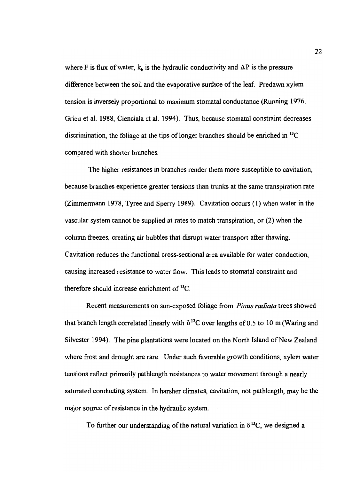where F is flux of water,  $k<sub>h</sub>$  is the hydraulic conductivity and  $\Delta P$  is the pressure difference between the soil and the evaporative surface of the leaf. Predawn xylem tension is inversely proportional to maximum stomatal conductance (Running 1976, Grieu et al. 1988, Cienciala et al. 1994). Thus, because stomatal constraint decreases discrimination, the foliage at the tips of longer branches should be enriched in  $^{13}$ C compared with shorter branches.

The higher resistances in branches render them more susceptible to cavitation, because branches experience greater tensions than trunks at the same transpiration rate (Zimmermann 1978, Tyree and Sperry 1989). Cavitation occurs (1) when water in the vascular system cannot be supplied at rates to match transpiration, or  $(2)$  when the column freezes, creating air bubbles that disrupt water transport after thawing. Cavitation reduces the functional cross-sectional area available for water conduction, causing increased resistance to water flow. This leads to stomatal constraint and therefore should increase enrichment of <sup>13</sup>C.

Recent measurements on sun-exposed foliage from Pinus radiata trees showed that branch length correlated linearly with  $\delta^{13}$ C over lengths of 0.5 to 10 m (Waring and Silvester 1994). The pine plantations were located on the North Island of New Zealand where frost and drought are rare. Under such favorable growth conditions, xylem water tensions reflect primarily pathlength resistances to water movement through a nearly saturated conducting system. In harsher climates, cavitation, not pathlength, may be the major source of resistance in the hydraulic system.

To further our understanding of the natural variation in  $\delta^{13}C$ , we designed a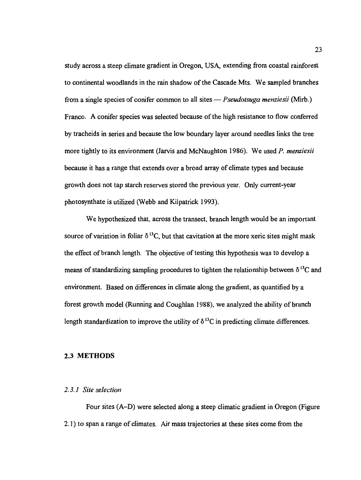study across a steep climate gradient in Oregon, USA, extending from coastal rainforest to continental woodlands in the rain shadow of the Cascade Mts. We sampled branches from a single species of conifer common to all sites  $-$  *Pseudotsuga menziesii* (Mirb.) Franco. A conifer species was selected because of the high resistance to flow conferred by tracheids in series and because the low boundary layer around needles links the tree more tightly to its environment (Jarvis and McNaughton 1986). We used P. menziesii because it has a range that extends over a broad array of climate types and because growth does not tap starch reserves stored the previous year. Only current-year photosynthate is utilized (Webb and Kilpatrick 1993).

We hypothesized that, across the transect, branch length would be an important source of variation in foliar  $\delta^{13}C$ , but that cavitation at the more xeric sites might mask the effect of branch length. The objective of testing this hypothesis was to develop a means of standardizing sampling procedures to tighten the relationship between  $\delta^{13}C$  and environment. Based on differences in climate along the gradient, as quantified by a forest growth model (Running and Coughlan 1988), we analyzed the ability of branch length standardization to improve the utility of  $\delta^{13}$ C in predicting climate differences.

## 2.3 METHODS

#### 2.3.1 Site selection

Four sites (A–D) were selected along a steep climatic gradient in Oregon (Figure 2.1) to span a range of climates. Air mass trajectories at these sites come from the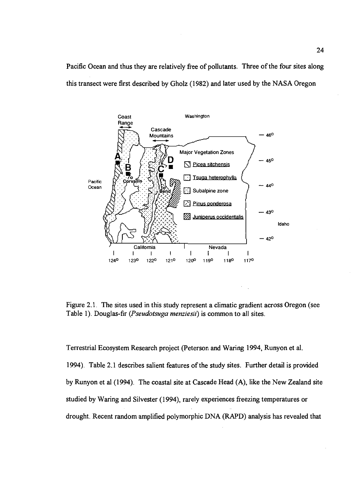Pacific Ocean and thus they are relatively free of pollutants. Three of the four sites along this transect were first described by Gholz (1982) and later used by the NASA Oregon



Figure 2.1. The sites used in this study represent a climatic gradient across Oregon (see Table 1). Douglas-fir (Pseudotsuga menziesii) is common to all sites.

Terrestrial Ecosystem Research project (Peterson and Waring 1994, Runyon et al.

1994). Table 2.1 describes salient features of the study sites. Further detail is provided by Runyon et al (1994). The coastal site at Cascade Head (A), like the New Zealand site studied by Waring and Silvester (1994), rarely experiences freezing temperatures or drought. Recent random amplified polymorphic DNA (RAPD) analysis has revealed that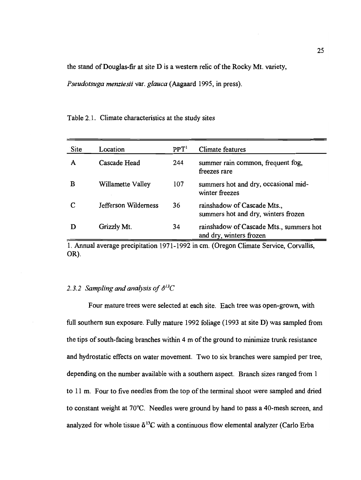the stand of Douglas-fir at site D is a western relic of the Rocky Mt. variety,

Pseudotsuga menziesii var. glauca (Aagaard 1995, in press).

| Site | Location             | PPT <sup>1</sup> | Climate features                                                   |
|------|----------------------|------------------|--------------------------------------------------------------------|
| A    | Cascade Head         | 244              | summer rain common, frequent fog,<br>freezes rare                  |
| В    | Willamette Valley    | 107              | summers hot and dry, occasional mid-<br>winter freezes             |
|      | Jefferson Wilderness | 36               | rainshadow of Cascade Mts.,<br>summers hot and dry, winters frozen |
|      | Grizzly Mt.          | 34               | rainshadow of Cascade Mts., summers hot<br>and dry, winters frozen |

Table 2.1. Climate characteristics at the study sites

1. Annual average precipitation 1971-1992 in cm. (Oregon Climate Service, Corvallis, OR).

# 2.3.2 Sampling and analysis of  $\delta^{13}C$

Four mature trees were selected at each site. Each tree was open-grown, with full southern sun exposure. Fully mature 1992 foliage (1993 at site D) was sampled from the tips of south-facing branches within 4 m of the ground to minimize trunk resistance and hydrostatic effects on water movement. Two to six branches were sampled per tree, depending on the number available with a southern aspect. Branch sizes ranged from 1 to 11 m. Four to five needles from the top of the terminal shoot were sampled and dried to constant weight at 70°C. Needles were ground by hand to pass a 40-mesh screen, and analyzed for whole tissue  $\delta^{13}C$  with a continuous flow elemental analyzer (Carlo Erba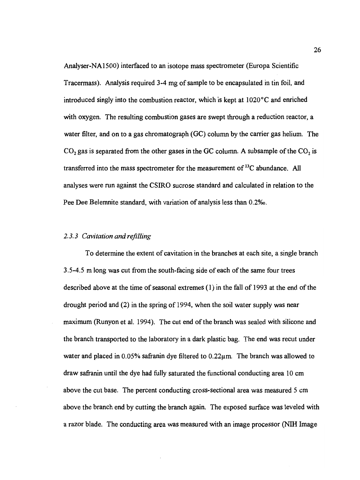Analyser-NA1 500) interfaced to an isotope mass spectrometer (Europa Scientific Tracermass). Analysis required 3-4 mg of sample to be encapsulated in tin foil, and introduced singly into the combustion reactor, which is kept at 1020°C and enriched with oxygen. The resulting combustion gases are swept through a reduction reactor, a water filter, and on to a gas chromatograph (GC) column by the carrier gas helium. The  $CO<sub>2</sub>$  gas is separated from the other gases in the GC column. A subsample of the  $CO<sub>2</sub>$  is transferred into the mass spectrometer for the measurement of '3C abundance. All analyses were run against the CSIRO sucrose standard and calculated in relation to the Pee Dee Belemnite standard, with variation of analysis less than O.2%o.

### 2.3.3 Cavitation and refilling

To determine the extent of cavitation in the branches at each site, a single branch 3.5-4.5 m long was cut from the south-facing side of each of the same four trees described above at the time of seasonal extremes (1) in the fall of 1993 at the end of the drought period and (2) in the spring of 1994, when the soil water supply was near maximum (Runyon et al. 1994). The cut end of the branch was sealed with silicone and the branch transported to the laboratory in a dark plastic bag. The end was recut under water and placed in  $0.05\%$  safranin dye filtered to  $0.22\mu$ m. The branch was allowed to draw safranin until the dye had fully saturated the functional conducting area 10 cm above the cut base. The percent conducting cross-sectional area was measured 5 cm above the branch end by cutting the branch again. The exposed surface was leveled with a razor blade. The conducting area was measured with an image processor (NIH Image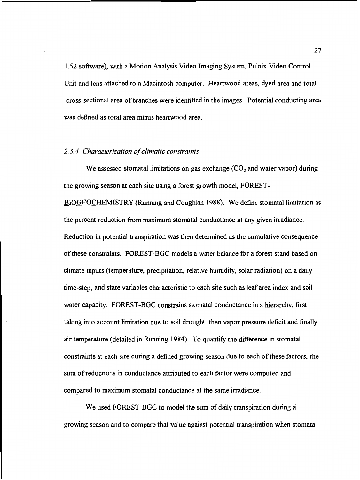1.52 software), with a Motion Analysis Video Imaging System, Pulnix Video Control Unit and lens attached to a Macintosh computer. Heartwood areas, dyed area and total cross-sectional area of branches were identified in the images. Potential conducting area was defined as total area minus heartwood area.

#### 2.3.4 Characterization of climatic constraints

We assessed stomatal limitations on gas exchange  $(CO<sub>2</sub>$  and water vapor) during the growing season at each site using a forest growth model, FOREST-

BIOGEOCHEMISTRY (Running and Coughlan 1988). We define stomatal limitation as the percent reduction from maximum stomatal conductance at any given irradiance. Reduction in potential transpiration was then determined as the cumulative consequence of these constraints. FOREST-BGC models a water balance for a forest stand based on climate inputs (temperature, precipitation, relative humidity, solar radiation) on a daily time-step, and state variables characteristic to each site such as leaf area index and soil water capacity. FOREST-BGC constrains stomatal conductance in a hierarchy, first taking into account limitation due to soil drought, then vapor pressure deficit and finally air temperature (detailed in Running 1984). To quantify the difference in stomatal constraints at each site during a defined growing season due to each of these factors, the sum of reductions in conductance attributed to each factor were computed and compared to maximum stomatal conductance at the same irradiance.

We used FOREST-BGC to model the sum of daily transpiration during a growing season and to compare that value against potential transpiration when stomata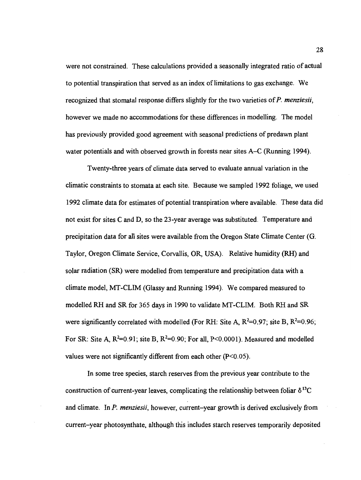were not constrained. These calculations provided a seasonally integrated ratio of actual to potential transpiration that served as an index of limitations to gas exchange. We recognized that stomatal response differs slightly for the two varieties of P. menziesii, however we made no accommodations for these differences in modelling. The model has previously provided good agreement with seasonal predictions of predawn plant water potentials and with observed growth in forests near sites A–C (Running 1994).

Twenty-three years of climate data served to evaluate annual variation in the climatic constraints to stomata at each site. Because we sampled 1992 foliage, we used 1992 climate data for estimates of potential transpiration where available. These data did not exist for sites C and D, so the 23-year average was substituted. Temperature and precipitation data for all sites were available from the Oregon State Climate Center (G. Taylor, Oregon Climate Service, Corvallis, OR, USA). Relative humidity (RH) and solar radiation (SR) were modelled from temperature and precipitation data with a climate model, MT-CLIM (Glassy and Running 1994). We compared measured to modelled RH and SR for 365 days in 1990 to validate MT-CLIM. Both RH and SR were significantly correlated with modelled (For RH: Site A,  $R^2=0.97$ ; site B,  $R^2=0.96$ ; For SR: Site A,  $R^2=0.91$ ; site B,  $R^2=0.90$ ; For all, P<0.0001). Measured and modelled values were not significantly different from each other  $(P<0.05)$ .

In some tree species, starch reserves from the previous year contribute to the construction of current-year leaves, complicating the relationship between foliar  $\delta^{13}C$ and climate. In *. menziesii, however, current-year growth is derived exclusively from* current–year photosynthate, although this includes starch reserves temporarily deposited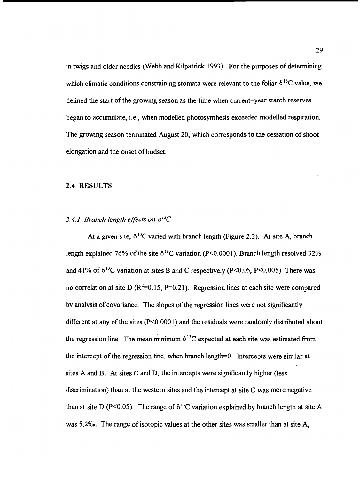in twigs and older needles (Webb and Kilpatrick 1993). For the purposes of determining which climatic conditions constraining stomata were relevant to the foliar  $\delta^{13}C$  value, we defined the start of the growing season as the time when current-year starch reserves began to accumulate, i.e., when modelled photosynthesis exceeded modelled respiration. The growing season terminated August 20, which corresponds to the cessation of shoot elongation and the onset of budset.

#### 2.4 RESULTS

# 2.4.1 Branch length effects on  $\delta^{13}C$

At a given site,  $\delta^{13}$ C varied with branch length (Figure 2.2). At site A, branch length explained 76% of the site  $\delta^{13}$ C variation (P<0.0001). Branch length resolved 32% and 41% of  $\delta^{13}$ C variation at sites B and C respectively (P<0.05, P<0.005). There was no correlation at site D ( $R^2=0.15$ ,  $P=0.21$ ). Regression lines at each site were compared by analysis of covariance. The slopes of the regression lines were not significantly different at any of the sites (P<0.0001) and the residuals were randomly distributed about the regression line. The mean minimum  $\delta^{13}$ C expected at each site was estimated from the intercept of the regression line, when branch length=0. Intercepts were similar at sites A and B. At sites C and D, the intercepts were significantly higher (less discrimination) than at the western sites and the intercept at site C was more negative than at site D (P<0.05). The range of  $\delta^{13}$ C variation explained by branch length at site A was 5.2%. The range of isotopic values at the other sites was smaller than at site A,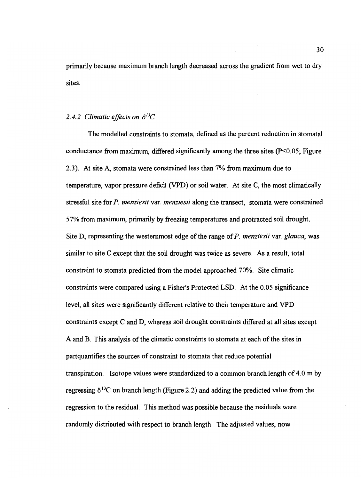primarily because maximum branch length decreased across the gradient from wet to dry sites.

#### 2.4.2 Climatic effects on  $\delta^{13}C$

The modelled constraints to stomata, defined as the percent reduction in stomata! conductance from maximum, differed significantly among the three sites  $(P<0.05$ ; Figure 2.3). At site A, stomata were constrained less than 7% from maximum due to temperature, vapor pressure deficit (\TPD) or soil water. At site C, the most climatically stressful site for P. menziesii var. menziesii along the transect, stomata were constrained 57% from maximum, primarily by freezing temperatures and protracted soil drought. Site D, representing the westernmost edge of the range of  $P$ . menziesii var. glauca, was similar to site C except that the soil drought was twice as severe. As a result, total constraint to stomata predicted from the model approached 70%. Site climatic constraints were compared using a Fisher's Protected LSD. At the 0.05 significance level, all sites were significantly different relative to their temperature and VPD constraints except C and D, whereas soil drought constraints differed at all sites except A and B. This analysis of the climatic constraints to stomata at each of the sites in partquantifies the sources of constraint to stomata that reduce potential transpiration. Isotope values were standardized to a common branch length of 4.0 m by regressing  $\delta^{13}$ C on branch length (Figure 2.2) and adding the predicted value from the regression to the residual. This method was possible because the residuals were randomly distributed with respect to branch length. The adjusted values, now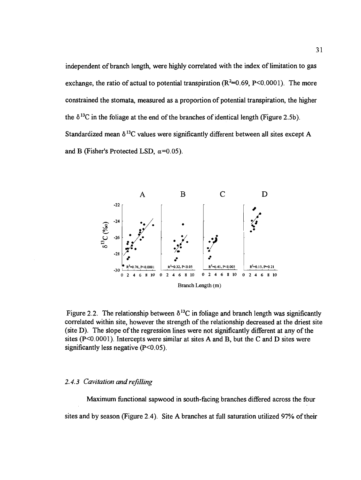independent of branch length, were highly correlated with the index of limitation to gas exchange, the ratio of actual to potential transpiration  $(R^2=0.69, P<0.0001)$ . The more constrained the stomata, measured as a proportion of potential transpiration, the higher the  $\delta^{13}$ C in the foliage at the end of the branches of identical length (Figure 2.5b). Standardized mean  $\delta^{13}$ C values were significantly different between all sites except A and B (Fisher's Protected LSD,  $\alpha$ =0.05).



Figure 2.2. The relationship between  $\delta^{13}$ C in foliage and branch length was significantly correlated within site, however the strength of the relationship decreased at the driest site (site D). The slope of the regression lines were not significantly different at any of the sites  $(P<0.0001)$ . Intercepts were similar at sites A and B, but the C and D sites were significantly less negative  $(P<0.05)$ .

#### 2.4.3 Cavitation and refilling

Maximum functional sapwood in south-facing branches differed across the four sites and by season (Figure 2.4). Site A branches at full saturation utilized 97% of their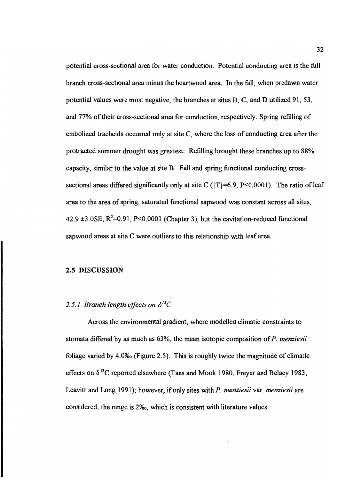potential cross-sectional area for water conduction. Potential conducting area is the full branch cross-sectional area minus the heartwood area. In the fall, when predawn water potential values were most negative, the branches at sites B, C, and D utilized 91, 53, and 77% of their cross-sectional area for conduction, respectively. Spring refilling of embolized tracheids occurred only at site C, where the loss of conducting area after the protracted summer drought was greatest. Refilling brought these branches up to 88% capacity, similar to the value at site B. Fall and spring flinctional conducting crosssectional areas differed significantly only at site C ( $|T|$ =6.9, P<0.0001). The ratio of leaf area to the area of spring, saturated functional sapwood was constant across all sites, 42.9  $\pm$ 3.0SE, R<sup>2</sup>=0.91, P<0.0001 (Chapter 3), but the cavitation-reduced functional sapwood areas at site C were outliers to this relationship with leaf area.

### 2.5 DISCUSSION

#### 2.5.1 Branch length effects on  $\delta^{13}C$

Across the environmental gradient, where modelled climatic constraints to stomata differed by as much as  $63\%$ , the mean isotopic composition of P. menziesii foliage varied by 4.0% (Figure 2.5). This is roughly twice the magnitude of climatic effects on  $\delta^{13}$ C reported elsewhere (Tans and Mook 1980, Freyer and Belacy 1983, Leavitt and Long 1991); however, if only sites with P. menziesii var. menziesii are considered, the range is 2%, which is consistent with literature values.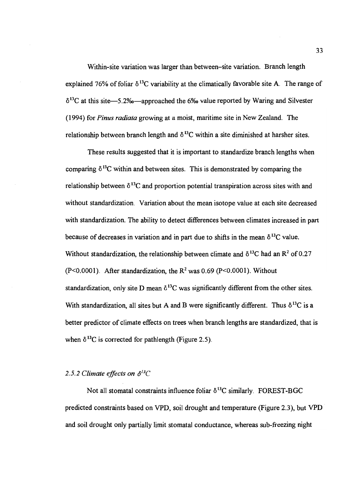Within-site variation was larger than between-site variation. Branch length explained 76% of foliar  $\delta^{13}$ C variability at the climatically favorable site A. The range of  $\delta^{13}$ C at this site-5.2\%-approached the 6\% value reported by Waring and Silvester (1994) for Pinus radiata growing at a moist, maritime site in New Zealand. The relationship between branch length and  $\delta^{13}$ C within a site diminished at harsher sites.

These results suggested that it is important to standardize branch lengths when comparing  $\delta^{13}$ C within and between sites. This is demonstrated by comparing the relationship between  $\delta^{13}$ C and proportion potential transpiration across sites with and without standardization. Variation about the mean isotope value at each site decreased with standardization. The ability to detect differences between climates increased in part because of decreases in variation and in part due to shifts in the mean  $\delta^{13}C$  value. Without standardization, the relationship between climate and  $\delta^{13}$ C had an R<sup>2</sup> of 0.27  $(P<0.0001)$ . After standardization, the  $R<sup>2</sup>$  was 0.69 (P $< 0.0001$ ). Without standardization, only site D mean  $\delta^{13}$ C was significantly different from the other sites. With standardization, all sites but A and B were significantly different. Thus  $\delta^{13}C$  is a better predictor of climate effects on trees when branch lengths are standardized, that is when  $\delta^{13}$ C is corrected for pathlength (Figure 2.5).

### 2.5.2 Climate effects on  $\delta^{13}$ C

Not all stomatal constraints influence foliar  $\delta^{13}C$  similarly. FOREST-BGC predicted constraints based on VPD, soil drought and temperature (Figure 2.3), but VPD and soil drought only partially limit stomatal conductance, whereas sub-freezing night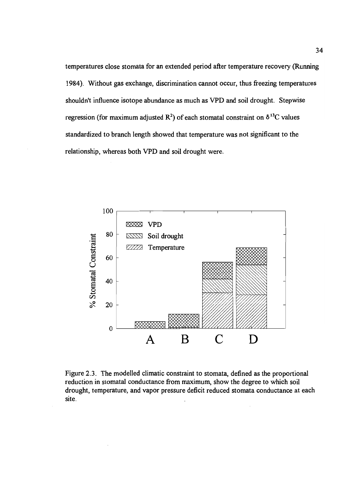temperatures close stomata for an extended period after temperature recovery (Running 1984). Without gas exchange, discrimination cannot occur, thus freezing temperatures shouldn't influence isotope abundance as much as VPD and soil drought. Stepwise regression (for maximum adjusted  $\mathbb{R}^2$ ) of each stomatal constraint on  $\delta^{13}$ C values standardized to branch length showed that temperature was not significant to the relationship, whereas both VPD and soil drought were.



Figure 2.3. The modelled climatic constraint to stomata, defined as the proportional reduction in stomatal conductance from maximum, show the degree to which soil drought, temperature, and vapor pressure deficit reduced stomata conductance at each site.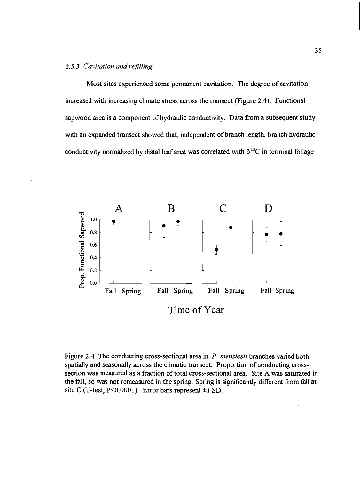#### 2.5.3 Cavitation and refilling

Most sites experienced some permanent cavitation. The degree of cavitation increased with increasing climate stress across the transect (Figure 2.4). Functional sapwood area is a component of hydraulic conductivity. Data from a subsequent study with an expanded transect showed that, independent of branch length, branch hydraulic conductivity normalized by distal leaf area was correlated with  $\delta^{13}$ C in terminal foliage



Figure 2.4 The conducting cross-sectional area in P. menziesii branches varied both spatially and seasonally across the climatic transect. Proportion of conducting crosssection was measured as a fraction of total cross-sectional area. Site A was saturated in the fall, so was not remeasured in the spring. Spring is significantly different from fall at site C (T-test,  $P \le 0.0001$ ). Error bars represent  $\pm 1$  SD.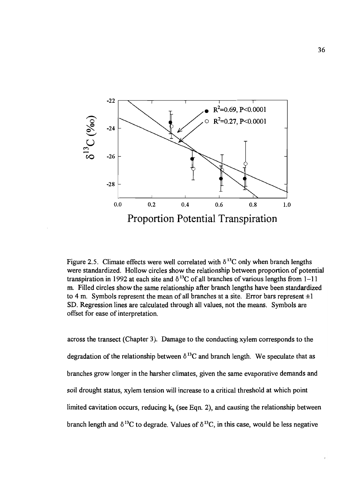

Figure 2.5. Climate effects were well correlated with  $\delta^{13}$ C only when branch lengths were standardized. Hollow circles show the relationship between proportion of potential transpiration in 1992 at each site and  $\delta^{13}$ C of all branches of various lengths from 1-11 m. Filled circles show the same relationship after branch lengths have been standardized to 4 m. Symbols represent the mean of all branches at a site. Error bars represent  $\pm 1$ SD. Regression lines are calculated through all values, not the means. Symbols are offset for ease of interpretation.

across the transect (Chapter 3). Damage to the conducting xylem corresponds to the degradation of the relationship between  $\delta^{13}$ C and branch length. We speculate that as branches grow longer in the harsher climates, given the same evaporative demands and soil drought status, xylem tension will increase to a critical threshold at which point limited cavitation occurs, reducing  $k<sub>h</sub>$  (see Eqn. 2), and causing the relationship between branch length and  $\delta^{13}C$  to degrade. Values of  $\delta^{13}C$ , in this case, would be less negative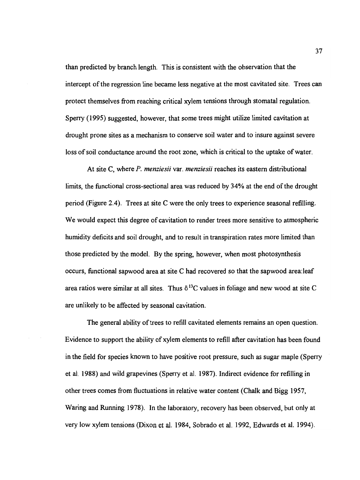than predicted by branch length. This is consistent with the observation that the intercept of the regression line became less negative at the most cavitated site. Trees can protect themselves from reaching critical xylem tensions through stomatal regulation. Sperry (1995) suggested, however, that some trees might utilize limited cavitation at drought prone sites as a mechanism to conserve soil water and to insure against severe loss of soil conductance around the root zone, which is critical to the uptake of water.

At site C, where P. menziesii var. menziesii reaches its eastern distributional limits, the functional cross-sectional area was reduced by 34% at the end of the drought period (Figure 2.4). Trees at site C were the only trees to experience seasonal refilling. We would expect this degree of cavitation to render trees more sensitive to atmospheric humidity deficits and soil drought, and to result in transpiration rates more limited than those predicted by the model. By the spring, however, when most photosynthesis occurs, functional sapwood area at site C had recovered so that the sapwood area: leaf area ratios were similar at all sites. Thus  $\delta^{13}$ C values in foliage and new wood at site C are unlikely to be affected by seasonal cavitation.

The general ability of trees to refill cavitated elements remains an open question. Evidence to support the ability of xylem elements to refill after cavitation has been found in the field for species known to have positive root pressure, such as sugar maple (Sperry et al. 1988) and wild grapevines (Sperry et al. 1987). Indirect evidence for refilling in other trees comes from fluctuations in relative water content (Chalk and Bigg 1957, Waring and Running 1978). In the laboratory, recovery has been observed, but only at very low xylem tensions (Dixon et al. 1984, Sobrado et al. 1992, Edwards et al. 1994).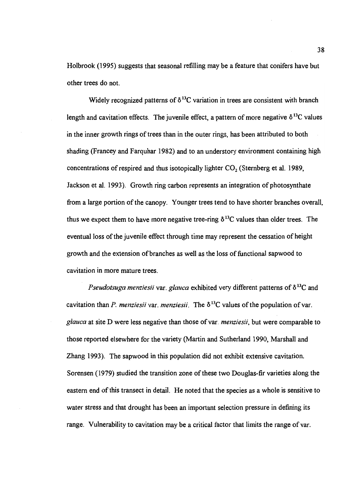Holbrook (1995) suggests that seasonal refilling may be a feature that conifers have but other trees do not.

Widely recognized patterns of  $\delta^{13}$ C variation in trees are consistent with branch length and cavitation effects. The juvenile effect, a pattern of more negative  $\delta^{13}$ C values in the inner growth rings of trees than in the outer rings, has been attributed to both shading (Francey and Farquhar 1982) and to an understory environment containing high concentrations of respired and thus isotopically lighter  $CO<sub>2</sub>$  (Sternberg et al. 1989, Jackson et al. 1993). Growth ring carbon represents an integration of photosynthate from a large portion of the canopy. Younger trees tend to have shorter branches overall, thus we expect them to have more negative tree-ring  $\delta^{13}$ C values than older trees. The eventual loss of the juvenile effect through time may represent the cessation of height growth and the extension of branches as well as the loss of functional sapwood to cavitation in more mature trees.

*Pseudotsuga menziesii var. glauca* exhibited very different patterns of  $\delta^{13}C$  and cavitation than P. menziesii var. menziesii. The  $\delta^{13}$ C values of the population of var. glauca at site D were less negative than those of var. menziesii, but were comparable to those reported elsewhere for the variety (Martin and Sutherland 1990, Marshall and Zhang 1993). The sapwood in this population did not exhibit extensive cavitation. Sorensen (1979) studied the transition zone of these two Douglas-fir varieties along the eastern end of this transect in detail. He noted that the species as a whole is sensitive to water stress and that drought has been an important selection pressure in defining its range. Vulnerability to cavitation may be a critical factor that limits the range of var.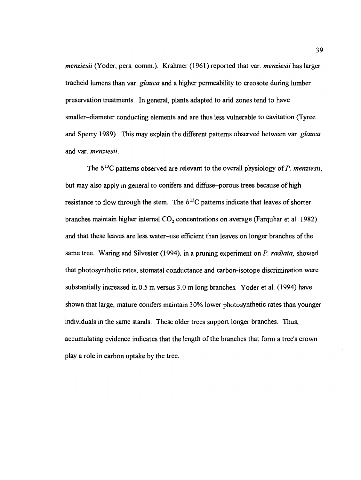menziesii (Yoder, pers. comm.). Krahmer (1961) reported that var. menziesii has larger tracheid lumens than var. *glauca* and a higher permeability to creosote during lumber preservation treatments. In general, plants adapted to arid zones tend to have smaller–diameter conducting elements and are thus less vulnerable to cavitation (Tyree) and Sperry 1989). This may explain the different patterns observed between var. glauca and var. menziesii.

The  $\delta^{13}$ C patterns observed are relevant to the overall physiology of P. menziesii, but may also apply in general to conifers and diffuse-porous trees because of high resistance to flow through the stem. The  $\delta^{13}$ C patterns indicate that leaves of shorter branches maintain higher internal  $CO<sub>2</sub>$  concentrations on average (Farquhar et al. 1982) and that these leaves are less water-use efficient than leaves on longer branches of the same tree. Waring and Silvester (1994), in a pruning experiment on  $P$ . radiata, showed that photosynthetic rates, stomatal conductance and carbon-isotope discrimination were substantially increased in 0.5 m versus 3.0 m long branches. Yoder et al. (1994) have shown that large, mature conifers maintain 30% lower photosynthetic rates than younger individuals in the same stands. These older trees support longer branches. Thus, accumulating evidence indicates that the length of the branches that form a tree's crown play a role in carbon uptake by the tree.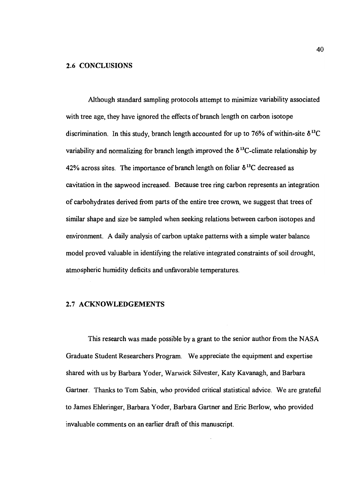#### 2.6 CONCLUSIONS

Although standard sampling protocols attempt to minimize variability associated with tree age, they have ignored the effects of branch length on carbon isotope discrimination. In this study, branch length accounted for up to 76% of within-site  $\delta^{13}C$ variability and normalizing for branch length improved the  $\delta^{13}$ C-climate relationship by 42% across sites. The importance of branch length on foliar  $\delta^{13}$ C decreased as cavitation in the sapwood increased. Because tree ring carbon represents an integration of carbohydrates derived from parts of the entire tree crown, we suggest that trees of similar shape and size be sampled when seeking relations between carbon isotopes and environment. A daily analysis of carbon uptake patterns with a simple water balance model proved valuable in identifying the relative integrated constraints of soil drought, atmospheric humidity deficits and unfavorable temperatures.

## 2.7 ACKNOWLEDGEMENTS

This research was made possible by a grant to the senior author from the NASA Graduate Student Researchers Program. We appreciate the equipment and expertise shared with us by Barbara Yoder, Warwick Silvester, Katy Kavanagh, and Barbara Gartner. Thanks to Tom Sabin, who provided critical statistical advice. We are grateful to James Ehieringer, Barbara Yoder, Barbara Gartner and Eric Berlow, who provided invaluable comments on an earlier draft of this manuscript.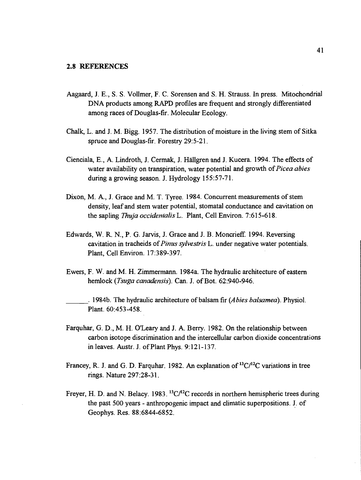- Aagaard, J. E., S. S. Volimer, F. C. Sorensen and S. H. Strauss. In press. Mitochondrial DNA products among RAPD profiles are frequent and strongly differentiated among races of Douglas-fir. Molecular Ecology.
- Chalk, L. and J. M. Bigg. 1957. The distribution of moisture in the living stem of Sitka spruce and Douglas-fir. Forestry 29:5-21.
- Cienciala, E., A. Lindroth, J. Cermak, J. Hallgren and J. Kucera. 1994, The effects of water availability on transpiration, water potential and growth of *Picea abies* during a growing season. J. Hydrology 155:57-71.
- Dixon, M. A., J. Grace and M. T. Tyree. 1984. Concurrent measurements of stem density, leaf and stem water potential, stomatal conductance and cavitation on the sapling Thuja occidentalis L. Plant, Cell Environ. 7:615-618.
- Edwards, W. R. N., P. G. Jarvis, J. Grace and J. B. Moncrieff. 1994. Reversing cavitation in tracheids of *Pinus sylvestris* L. under negative water potentials. Plant, Cell Environ. 17:389-397.
- Ewers, F. W. and M. H. Zimmermann. 1 984a. The hydraulic architecture of eastern hemlock (*Tsuga canadensis*). Can. J. of Bot. 62:940-946.

1984b. The hydraulic architecture of balsam fir  $(A \text{bies } b \text{alsame } a)$ . Physiol. Plant. 60:453-458.

- Farquhar, G. D., M. H. O'Leary and J. A. Berry. 1982. On the relationship between carbon isotope discrimination and the intercellular carbon dioxide concentrations in leaves. Austr. J. of Plant Phys. 9:12 1-137.
- Francey, R. J. and G. D. Farquhar. 1982. An explanation of  ${}^{13}C/{}^{12}C$  variations in tree rings. Nature 297:28-3 1.
- Freyer, H. D. and N. Belacy. 1983.  ${}^{13}C/{}^{12}C$  records in northern hemispheric trees during the past 500 years - anthropogenic impact and climatic superpositions. J. of Geophys. Res. 88:6844-6852.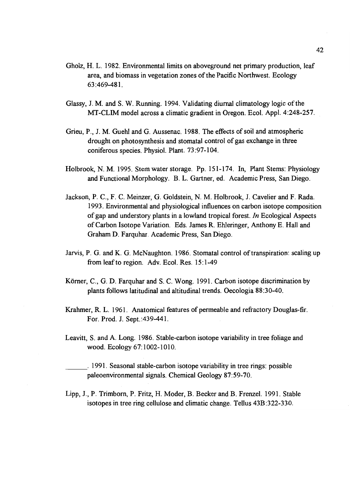- Gholz, H. L. 1982. Environmental limits on aboveground net primary production, leaf area, and biomass in vegetation zones of the Pacific Northwest. Ecology 63 :469-481.
- Glassy, J. M. and S. W. Running. 1994. Validating diurnal climatology logic of the MT-CLIM model across a climatic gradient in Oregon. Ecol. Appl. 4:248-257.
- Grieu, P., J. M. Guehi and G. Aussenac. 1988. The effects of soil and atmospheric drought on photosynthesis and stomatal control of gas exchange in three coniferous species. Physiol. Plant. 73:97-104.
- Holbrook, N. M. 1995. Stem water storage. Pp. 15 1-174. In, Plant Stems: Physiology and Functional Morphology. B. L. Gartner, ed. Academic Press, San Diego.
- Jackson, P. C., F. C. Meinzer, G. Goldstein, N. M. Holbrook, J. Cavelier and F. Rada. 1993. Environmental and physiological influences on carbon isotope composition of gap and understory plants in a lowland tropical forest. In Ecological Aspects of Carbon Isotope Variation. Eds. James R. Ehieringer, Anthony E. Hall and Graham D. Farquhar. Academic Press, San Diego.
- Jarvis, P. G. and K. G. McNaughton. 1986. Stomatal control of transpiration: scaling up from leaf to region. Adv. Ecol. Res. 15:1-49
- Körner, C., G. D. Farquhar and S. C. Wong. 1991. Carbon isotope discrimination by plants follows latitudinal and altitudinal trends. Oecologia 88:30-40.
- Krahmer, R. L. 1961. Anatomical features of permeable and refractory Douglas-fir. For. Prod. J. Sept. :439-441.
- Leavitt, S. and A. Long. 1986. Stable-carbon isotope variability in tree foliage and wood. Ecology 67:1002-1010.

1991. Seasonal stable-carbon isotope variability in tree rings: possible paleoenvironmental signals. Chemical Geology 87:59-70.

Lipp, J., P. Trimborn, P. Fritz, H. Moder, B. Becker and B. Frenzel. 1991. Stable isotopes in tree ring cellulose and climatic change. Tellus 43B:322-330.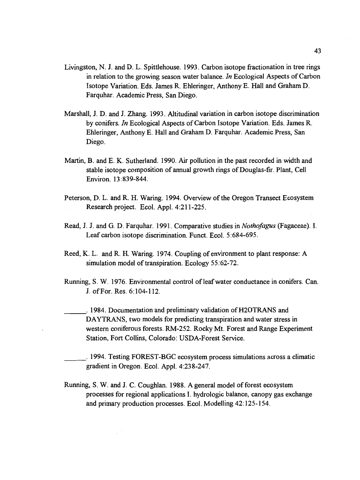- Livingston, N. J. and D. L. Spittlehouse. 1993. Carbon isotope fractionation in tree rings in relation to the growing season water balance. In Ecological Aspects of Carbon Isotope Variation. Eds. James R. Ehleringer, Anthony E. Hall and Graham D. Farquhar. Academic Press, San Diego.
- Marshall, J. D. and J. Zhang. 1993. Altitudinal variation in carbon isotope discrimination by conifers. In Ecological Aspects of Carbon Isotope Variation. Eds. James R. Ehieringer, Anthony E. Hall and Graham D. Farquhar. Academic Press, San Diego.
- Martin, B. and E. K. Sutherland. 1990. Air pollution in the past recorded in width and stable isotope composition of annual growth rings of Douglas-fir. Plant, Cell Environ. 13:839-844.
- Peterson, D. L. and R. H. Waring. 1994. Overview of the Oregon Transect Ecosystem Research project. Ecol. Appl. 4:211-225.
- Read, J. J. and G. D. Farquhar. 1991. Comparative studies in *Nothofagus* (Fagaceae). I. Leaf carbon isotope discrimination. Funct. Ecol. 5:684-695.
- Reed, K. L. and R. H. Waring. 1974. Coupling of environment to plant response: A simulation model of transpiration. Ecology 55:62-72.
- Running, S. W. 1976. Environmental control of leaf water conductance in conifers. Can. J. of For. Res. 6:104-112.
	- 1984. Documentation and preliminary validation of H2OTRANS and DAYTRANS, two models for predicting transpiration and water stress in western coniferous forests. RM-252. Rocky Mt. Forest and Range Experiment Station, Fort Collins, Colorado: USDA-Forest Service.

1994. Testing FOREST-BGC ecosystem process simulations across a climatic gradient in Oregon. Ecol. Appl. 4:23 8-247.

Running, S. W. and J. C. Coughlan. 1988. A general model of forest ecosystem processes for regional applications I. hydrologic balance, canopy gas exchange and primary production processes. Ecol. Modelling 42:125-154.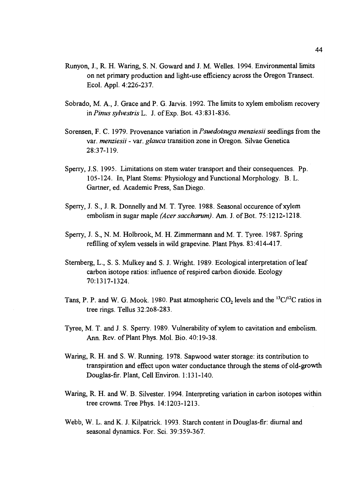- Runyon, J., R. H. Waring, S. N. Goward and J. M. Welles. 1994. Environmental limits on net primary production and light-use efficiency across the Oregon Transect. Ecol. Appl. 4:226-237.
- Sobrado, M. A., J. Grace and P. G. Jarvis. 1992. The limits to xylem embolism recovery in Pinus sylvestris L. J. of Exp. Bot. 43:831-836.
- Sorensen, F. C. 1979. Provenance variation in *Psuedotsuga menziesii* seedlings from the var. menziesii - var. glauca transition zone in Oregon. Silvae Genetica 28:37-119.
- Sperry, J.S. 1995. Limitations on stem water transport and their consequences. Pp. 105-124. In, Plant Stems: Physiology and Functional Morphology. B. L. Gartner, ed. Academic Press, San Diego.
- Sperry, J. S., J. R. Donnelly and M. T. Tyree. 1988. Seasonal occurence of xylem embolism in sugar maple *(Acer saccharum)*. Am. J. of Bot. 75:1212-1218.
- Sperry, J. S., N. M. Holbrook, M. H. Zimmermann and M. T. Tyree. 1987. Spring refilling of xylem vessels in wild grapevine. Plant Phys. 83 :414-417.
- Sternberg, L., S. S. Mulkey and S. J. Wright. 1989. Ecological interpretation of leaf carbon isotope ratios: influence of respired carbon dioxide. Ecology 70:1317-1324.
- Tans, P. P. and W. G. Mook. 1980. Past atmospheric  $CO_2$  levels and the <sup>13</sup>C/<sup>12</sup>C ratios in tree rings. Tellus 32:268-283.
- Tyree, M. T. and J. S. Sperry. 1989. Vulnerability of xylem to cavitation and embolism. Ann. Rev. of Plant Phys. Mol. Bio. 40:19-38.
- Waring, R. H. and S. W. Running. 1978. Sapwood water storage: its contribution to transpiration and effect upon water conductance through the stems of old-growth Douglas-fir. Plant, Cell Environ. 1:131-140.
- Waring, R. H. and W. B. Silvester. 1994. Interpreting variation in carbon isotopes within tree crowns. Tree Phys. 14:1203-1213.
- Webb, W. L. and K. J. Kilpatrick. 1993. Starch content in Douglas-fir: diurnal and seasonal dynamics. For. Sci. 39:359-367.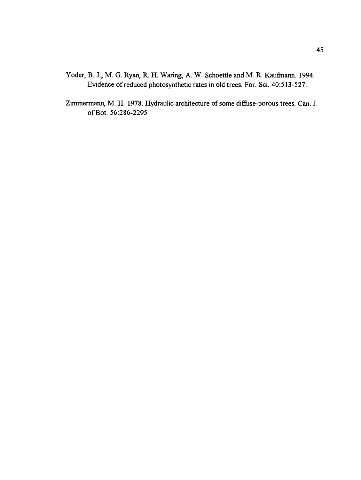- Yoder, B. J., M. G. Ryan, R. H. Waring, A. W. Schoettle and M. R. Kaufmann. 1994. Evidence of reduced photosynthetic rates in old trees. For. Sci. 40:513-527.
- Zimmermann, M. H. 1978. Hydraulic architecture of some diffuse-porous trees. Can. J. ofBot. 56:286-2295.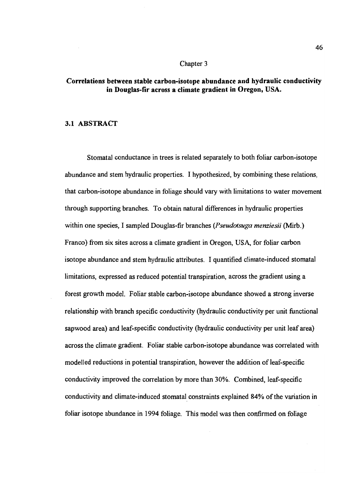#### Chapter 3

# Correlations between stable carbon-isotope abundance and hydraulic conductivity in Douglas-fir across a climate gradient in Oregon, USA.

### 3.1 ABSTRACT

Stomatal conductance in trees is related separately to both foliar carbon-isotope abundance and stem hydraulic properties. I hypothesized, by combining these relations, that carbon-isotope abundance in foliage should vary with limitations to water movement through supporting branches. To obtain natural differences in hydraulic properties within one species, I sampled Douglas-fir branches (*Pseudotsuga menziesii* (Mirb.) Franco) from six sites across a climate gradient in Oregon, USA, for foliar carbon isotope abundance and stem hydraulic attributes. I quantified climate-induced stomatal limitations, expressed as reduced potential transpiration, across the gradient using a forest growth model. Foliar stable carbon-isotope abundance showed a strong inverse relationship with branch specific conductivity (hydraulic conductivity per unit functional sapwood area) and leaf-specific conductivity (hydraulic conductivity per unit leaf area) across the climate gradient. Foliar stable carbon-isotope abundance was correlated with modelled reductions in potential transpiration, however the addition of leaf-specific conductivity improved the correlation by more than 30%. Combined, leaf-specific conductivity and climate-induced stomatal constraints explained 84% of the variation in foliar isotope abundance in 1994 foliage. This model was then confirmed on foliage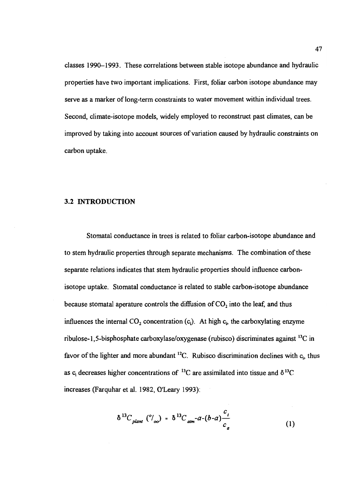classes 1990-1993. These correlations between stable isotope abundance and hydraulic properties have two important implications. First, foliar carbon isotope abundance may serve as a marker of long-term constraints to water movement within individual trees. Second, climate-isotope models, widely employed to reconstruct past climates, can be improved by taking into account sources of variation caused by hydraulic constraints on carbon uptake.

# 3.2 INTRODUCTION

Stomata! conductance in trees is related to foliar carbon-isotope abundance and to stem hydraulic properties through separate mechanisms. The combination of these separate relations indicates that stem hydraulic properties should influence carbonisotope uptake. Stomatal conductance is related to stable carbon-isotope abundance because stomatal aperature controls the diffusion of  $CO<sub>2</sub>$  into the leaf, and thus influences the internal  $CO_2$  concentration (c<sub>i</sub>). At high  $c_i$ , the carboxylating enzyme ribulose-1,5-bisphosphate carboxylase/oxygenase (rubisco) discriminates against '3C in favor of the lighter and more abundant  $^{12}C$ . Rubisco discrimination declines with  $c_i$ , thus as c<sub>i</sub> decreases higher concentrations of <sup>13</sup>C are assimilated into tissue and  $\delta^{13}C$ increases (Farquhar et al. 1982, O'Leary 1993):

$$
\delta^{13}C_{plan\ell} \, \left(^o/_{oo}\right) = \delta^{13}C_{atm} - a - (b-a)\frac{c_i}{c_a} \tag{1}
$$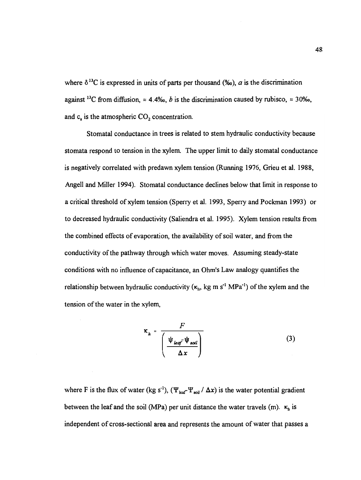where  $\delta^{13}$ C is expressed in units of parts per thousand (%o),  $\alpha$  is the discrimination against <sup>13</sup>C from diffusion,  $\approx 4.4\%$ , *b* is the discrimination caused by rubisco,  $\approx 30\%$ , and  $c<sub>a</sub>$  is the atmospheric  $CO<sub>2</sub>$  concentration.

Stomatal conductance in trees is related to stem hydraulic conductivity because stomata respond to tension in the xylem. The upper limit to daily stomatal conductance is negatively correlated with predawn xylem tension (Running 1976, Grieu et al. 1988, Angell and Miller 1994). Stomatal conductance declines below that limit in response to a critical threshold of xylem tension (Sperry et al. 1993, Sperry and Pockman 1993) or to decreased hydraulic conductivity (Saliendra et al. 1995). Xylem tension results from the combined effects of evaporation, the availability of soil water, and from the conductivity of the pathway through which water moves. Assuming steady-state conditions with no influence of capacitance, an Ohm's Law analogy quantifies the relationship between hydraulic conductivity  $(\kappa_h, kg \text{ m s}^{-1} \text{ MPa}^{-1})$  of the xylem and the tension of the water in the xylem,

$$
\kappa_h = \frac{F}{\left(\frac{\Psi_{leaf} \Psi_{sol}}{\Delta x}\right)}
$$
(3)

where F is the flux of water (kg s<sup>-1</sup>), ( $\Psi_{\text{leaf}}\Psi_{\text{soil}} / \Delta x$ ) is the water potential gradient between the leaf and the soil (MPa) per unit distance the water travels (m).  $\kappa_h$  is independent of cross-sectional area and represents the amount of water that passes a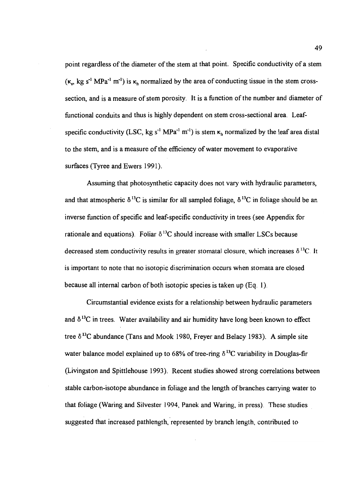point regardless of the diameter of the stem at that point. Specific conductivity of a stem  $(\kappa_n$ , kg s<sup>-1</sup> MPa<sup>-1</sup> m<sup>-1</sup>) is  $\kappa_h$  normalized by the area of conducting tissue in the stem crosssection, and is a measure of stem porosity. It is a function of the number and diameter of functional conduits and thus is highly dependent on stem cross-sectional area. Leafspecific conductivity (LSC, kg s<sup>-1</sup> MPa<sup>-1</sup> m<sup>-1</sup>) is stem  $\kappa_h$  normalized by the leaf area distal to the stem, and is a measure of the efficiency of water movement to evaporative surfaces (Tyree and Ewers 1991).

Assuming that photosynthetic capacity does not vary with hydraulic parameters, and that atmospheric  $\delta^{13}C$  is similar for all sampled foliage,  $\delta^{13}C$  in foliage should be an inverse function of specific and leaf-specific conductivity in trees (see Appendix for rationale and equations). Foliar  $\delta^{13}C$  should increase with smaller LSCs because decreased stem conductivity results in greater stomatal closure, which increases  $\delta^{13}C$ . It is important to note that no isotopic discrimination occurs when stomata are closed because all internal carbon of both isotopic species is taken up (Eq. 1).

Circumstantial evidence exists for a relationship between hydraulic parameters and  $\delta^{13}$ C in trees. Water availability and air humidity have long been known to effect tree  $\delta^{13}$ C abundance (Tans and Mook 1980, Freyer and Belacy 1983). A simple site water balance model explained up to 68% of tree-ring  $\delta^{13}$ C variability in Douglas-fir (Livingston and Spittlehouse 1993). Recent studies showed strong correlations between stable carbon-isotope abundance in foliage and the length of branches carrying water to that foliage (Waring and Silvester 1994, Panek and Waring, in press). These studies suggested that increased pathlength, represented by branch length, contributed to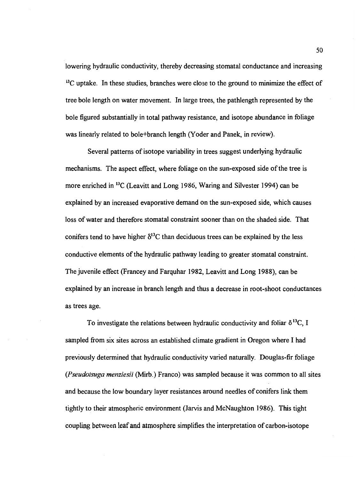lowering hydraulic conductivity, thereby decreasing stomatal conductance and increasing  $<sup>13</sup>C$  uptake. In these studies, branches were close to the ground to minimize the effect of</sup> tree bole length on water movement. In large trees, the pathlength represented by the bole figured substantially in total pathway resistance, and isotope abundance in foliage was linearly related to bole+branch length (Yoder and Panek, in review).

Several patterns of isotope variability in trees suggest underlying hydraulic mechanisms. The aspect effect, where foliage on the sun-exposed side of the tree is more enriched in '3C (Leavitt and Long 1986, Waring and Silvester 1994) can be explained by an increased evaporative demand on the sun-exposed side, which causes loss of water and therefore stomatal constraint sooner than on the shaded side. That conifers tend to have higher  $\delta^{13}$ C than deciduous trees can be explained by the less conductive elements of the hydraulic pathway leading to greater stomatal constraint. The juvenile effect (Francey and Farquhar 1982, Leavitt and Long 1988), can be explained by an increase in branch length and thus a decrease in root-shoot conductances as trees age.

To investigate the relations between hydraulic conductivity and foliar  $\delta^{13}C$ , I sampled from six sites across an established climate gradient in Oregon where I had previously determined that hydraulic conductivity varied naturally. Douglas-fir foliage (Pseudotsuga menziesii (Mirb.) Franco) was sampled because it was common to all sites and because the low boundary layer resistances around needles of conifers link them tightly to their atmospheric environment (Jarvis and McNaughton 1986). This tight coupling between leaf and atmosphere simplifies the interpretation of carbon-isotope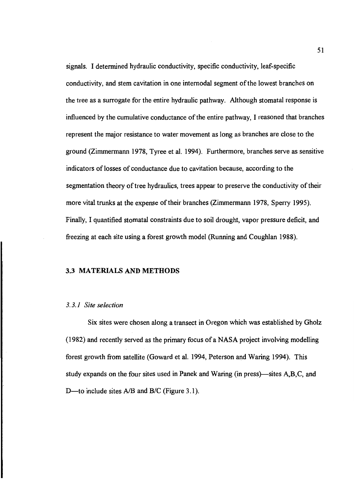signals. I determined hydraulic conductivity, specific conductivity, leaf-specific conductivity, and stem cavitation in one internodal segment of the lowest branches on the tree as a surrogate for the entire hydraulic pathway. Although stomatal response is influenced by the cumulative conductance of the entire pathway, I reasoned that branches represent the major resistance to water movement as long as branches are close to the ground (Zimmermann 1978, Tyree et al. 1994). Furthermore, branches serve as sensitive indicators of losses of conductance due to cavitation because, according to the segmentation theory of tree hydraulics, trees appear to preserve the conductivity of their more vital trunks at the expense of their branches (Zimmermann 1978, Sperry 1995). Finally, I quantified stomatal constraints due to soil drought, vapor pressure deficit, and freezing at each site using a forest growth model (Running and Coughlan 1988).

### 3.3 MATERIALS AND METHODS

#### 3.3.1 Site selection

Six sites were chosen along a transect in Oregon which was established by Gholz (1982) and recently served as the primary focus of a NASA project involving modelling forest growth from satellite (Goward et al. 1994, Peterson and Waring 1994). This study expands on the four sites used in Panek and Waring (in press)—sites  $A, B, C$ , and D—to include sites  $A/B$  and  $B/C$  (Figure 3.1).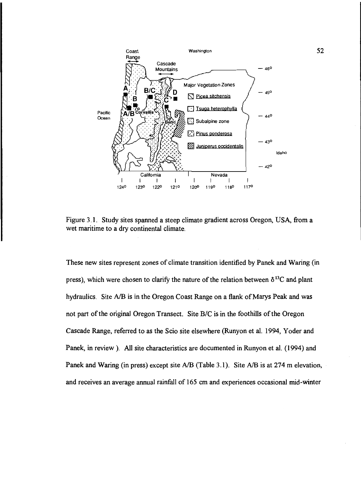

Figure 3.1. Study sites spanned a steep climate gradient across Oregon, USA, from a wet maritime to a dry continental climate.

These new sites represent zones of climate transition identified by Panek and Waring (in press), which were chosen to clarify the nature of the relation between  $\delta^{13}C$  and plant hydraulics. Site A/B is in the Oregon Coast Range on a flank of Marys Peak and was not part of the original Oregon Transect. Site B/C is in the foothills of the Oregon Cascade Range, referred to as the Scio site elsewhere (Runyon et al. 1994, Yoder and Panek, in review). All site characteristics are documented in Runyon et al. (1994) and Panek and Waring (in press) except site A/B (Table 3.1). Site A/B is at 274 m elevation, and receives an average annual rainfall of 165 cm and experiences occasional mid-winter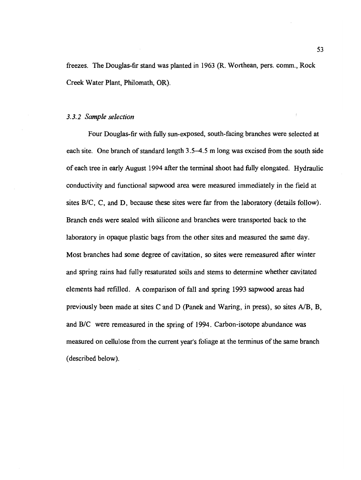freezes. The Douglas-fir stand was planted in 1963 (R. Worthean, pers. comm., Rock Creek Water Plant, Philomath, OR).

#### 3.3.2 Sample selection

Four Douglas-fir with fully sun-exposed, south-facing branches were selected at each site. One branch of standard length 3.5-4.5 m long was excised from the south side of each tree in early August 1994 after the terminal shoot had fully elongated. Hydraulic conductivity and functional sapwood area were measured immediately in the field at sites B/C, C, and D, because these sites were far from the laboratory (details follow). Branch ends were sealed with silicone and branches were transported back to the laboratory in opaque plastic bags from the other sites and measured the same day. Most branches had some degree of cavitation, so sites were remeasured after winter and spring rains had fully resaturated soils and stems to determine whether cavitated elements had refilled. A comparison of fall and spring 1993 sapwood areas had previously been made at sites C and D (Panek and Waring, in press), so sites A/B, B, and B/C were remeasured in the spring of 1994. Carbon-isotope abundance was measured on cellulose from the current year's foliage at the terminus of the same branch (described below).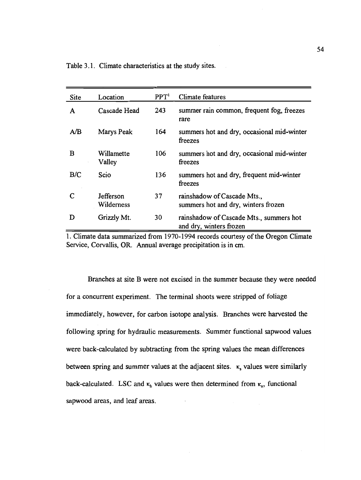| Site | Location                | PPT <sup>1</sup> | <b>Climate features</b>                                            |
|------|-------------------------|------------------|--------------------------------------------------------------------|
| A    | Cascade Head            | 243              | summer rain common, frequent fog, freezes<br>rare                  |
| A/B  | Marys Peak              | 164              | summers hot and dry, occasional mid-winter<br>freezes              |
| B    | Willamette<br>Valley    | 106              | summers hot and dry, occasional mid-winter<br>freezes              |
| B/C  | Scio                    | 136              | summers hot and dry, frequent mid-winter<br>freezes                |
|      | Jefferson<br>Wilderness | 37               | rainshadow of Cascade Mts.,<br>summers hot and dry, winters frozen |
| D    | Grizzly Mt.             | 30               | rainshadow of Cascade Mts., summers hot<br>and dry, winters frozen |

1. Climate data summarized from 1970-1994 records courtesy of the Oregon Climate Service, Corvallis, OR. Annual average precipitation is in cm.

Branches at site B were not excised in the summer because they were needed for a concurrent experiment. The terminal shoots were stripped of foliage immediately, however, for carbon isotope analysis. Branches were harvested the following spring for hydraulic measurements. Summer functional sapwood values were back-calculated by subtracting from the spring values the mean differences between spring and summer values at the adjacent sites.  $\kappa$ , values were similarly back-calculated. LSC and  $\kappa_h$  values were then determined from  $\kappa_s$ , functional sapwood areas, and leaf areas.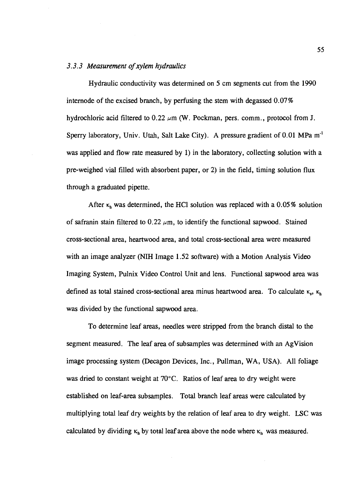# 3.3.3 Measurement of xylem hydraulics

Hydraulic conductivity was determined on 5 cm segments cut from the 1990 internode of the excised branch, by perfusing the stem with degassed 0.07% hydrochloric acid filtered to 0.22  $\mu$ m (W. Pockman, pers. comm., protocol from J. Sperry laboratory, Univ. Utah, Salt Lake City). A pressure gradient of 0.01 MPa m' was applied and flow rate measured by 1) in the laboratory, collecting solution with a pre-weighed vial filled with absorbent paper, or 2) in the field, timing solution flux through a graduated pipette.

After  $\kappa_h$  was determined, the HCl solution was replaced with a 0.05% solution of safranin stain filtered to 0.22  $\mu$ m, to identify the functional sapwood. Stained cross-sectional area, heartwood area, and total cross-sectional area were measured with an image analyzer (NIH Image 1.52 software) with a Motion Analysis Video Imaging System, Pulnix Video Control Unit and lens. Functional sapwood area was defined as total stained cross-sectional area minus heartwood area. To calculate  $\kappa_s$ ,  $\kappa_h$ was divided by the functional sapwood area.

To determine leaf areas, needles were stripped from the branch distal to the segment measured. The leaf area of subsamples was determined with an AgVision image processing system (Decagon Devices, Inc., Pullman, WA, USA). All foliage was dried to constant weight at 70°C. Ratios of leaf area to dry weight were established on leaf-area subsamples. Total branch leaf areas were calculated by multiplying total leaf dry weights by the relation of leaf area to dry weight. LSC was calculated by dividing  $\kappa_b$  by total leaf area above the node where  $\kappa_b$  was measured.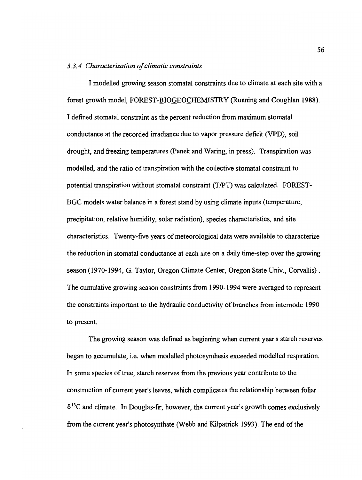#### 3.3.4 Characterization of climatic constraints

I modelled growing season stomatal constraints due to climate at each site with a forest growth model, FOREST-BIOGEOCHEMISTRY (Running and Coughlan 1988). I defined stomatal constraint as the percent reduction from maximum stomatal conductance at the recorded irradiance due to vapor pressure deficit (VPD), soi! drought, and freezing temperatures (Panek and Waring, in press). Transpiration was modelled, and the ratio of transpiration with the collective stomatal constraint to potential transpiration without stomatal constraint (T/PT) was calculated. FOREST-BGC models water balance in a forest stand by using climate inputs (temperature, precipitation, relative humidity, solar radiation), species characteristics, and site characteristics. Twenty-five years of meteorological data were available to characterize the reduction in stomatal conductance at each site on a daily time-step over the growing season (1970-1994, G. Taylor, Oregon Climate Center, Oregon State Univ., Corvallis). The cumulative growing season constraints from 1990-1994 were averaged to represent the constraints important to the hydraulic conductivity of branches from internode 1990 to present.

The growing season was defined as beginning when current year's starch reserves began to accumulate, i.e. when modelled photosynthesis exceeded modelled respiration. In some species of tree, starch reserves from the previous year contribute to the construction of current year's leaves, which complicates the relationship between foliar  $\delta^{13}$ C and climate. In Douglas-fir, however, the current year's growth comes exclusively from the current year's photosynthate (Webb and Kilpatrick 1993). The end of the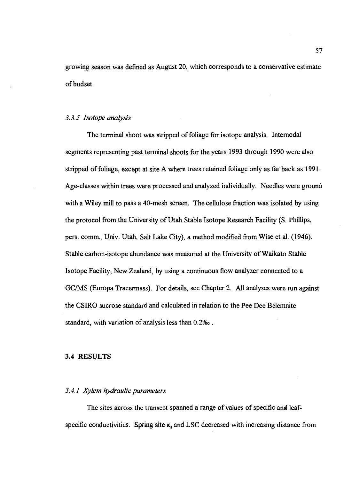growing season was defined as August 20, which corresponds to a conservative estimate of budset.

#### 3.3.5 Isotope analysis

The terminal shoot was stripped of foliage for isotope analysis. Internodal segments representing past terminal shoots for the years 1993 through 1990 were also stripped of foliage, except at site A where trees retained foliage only as far back as 1991. Age-classes within trees were processed and analyzed individually. Needles were ground with a Wiley mill to pass a 40-mesh screen. The cellulose fraction was isolated by using the protocol from the University of Utah Stable Isotope Research Facility (S. Phillips, pers. comm., Univ. Utah, Salt Lake City), a method modified from Wise et al. (1946). Stable carbon-isotope abundance was measured at the University of Waikato Stable Isotope Facility, New Zealand, by using a continuous flow analyzer connected to a GC/MS (Europa Tracermass). For details, see Chapter 2. All analyses were run against the CSIRO sucrose standard and calculated in relation to the Pee Dee Belemnite standard, with variation of analysis less than O.2%o.

#### 3.4 RESULTS

## 3.4.1 Xylem hydraulic parameters

The sites across the transect spanned a range of values of specific and leafspecific conductivities. Spring site  $\kappa_s$  and LSC decreased with increasing distance from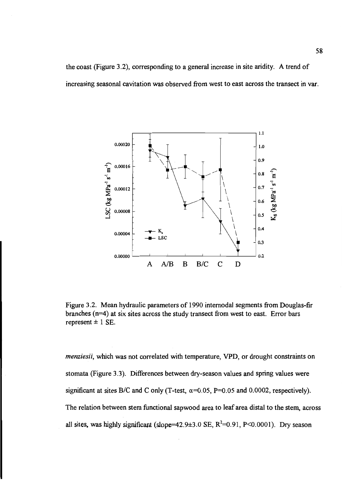the coast (Figure 3.2), corresponding to a general increase in site aridity. A trend of increasing seasonal cavitation was observed from west to east across the transect in var.



Figure 3.2. Mean hydraulic parameters of 1990 internodal segments from Douglas-fir branches (n=4) at six sites across the study transect from west to east. Error bars represent  $\pm$  1 SE.

menziesii, which was not correlated with temperature, VPD, or drought constraints on stomata (Figure 3.3). Differences between dry-season values and spring values were significant at sites B/C and C only (T-test,  $\alpha$ =0.05, P=0.05 and 0.0002, respectively). The relation between stem functional sapwood area to leaf area distal to the stem, across all sites, was highly significant (slope=42.9 $\pm$ 3.0 SE, R<sup>2</sup>=0.91, P<0.0001). Dry season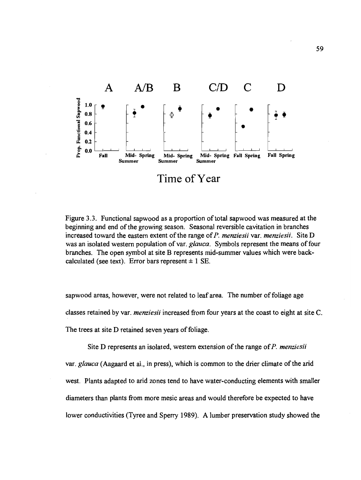

Figure 3.3. Functional sapwood as a proportion of total sapwood was measured at the beginning and end of the growing season. Seasonal reversible cavitation in branches increased toward the eastern extent of the range of P. menziesii var. menziesii. Site D was an isolated western population of var. glauca. Symbols represent the means of four branches. The open symbol at site B represents mid-summer values which were backcalculated (see text). Error bars represent  $\pm$  1 SE.

sapwood areas, however, were not related to leaf area. The number of foliage age classes retained by var. menziesii increased from four years at the coast to eight at site C. The trees at site D retained seven years of foliage.

Site D represents an isolated, western extension of the range of  $P$ . menziesii var. glauca (Aagaard et al., in press), which is common to the drier climate of the arid west. Plants adapted to arid zones tend to have water-conducting elements with smaller diameters than plants from more mesic areas and would therefore be expected to have lower conductivities (Tyree and Sperry 1989). A lumber preservation study showed the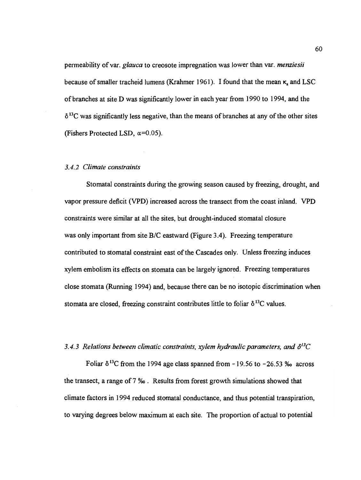permeability of var. *glauca* to creosote impregnation was lower than var. *menziesii* because of smaller tracheid lumens (Krahmer 1961). I found that the mean  $\kappa$ , and LSC of branches at site D was significantly lower in each year from 1990 to 1994, and the  $\delta^{13}$ C was significantly less negative, than the means of branches at any of the other sites (Fishers Protected LSD,  $\alpha=0.05$ ).

## 3.4.2 Climate constraints

Stomatal constraints during the growing season caused by freezing, drought, and vapor pressure deficit (VPD) increased across the transect from the coast inland. VPD constraints were similar at all the sites, but drought-induced stomatal closure was only important from site B/C eastward (Figure 3.4). Freezing temperature contributed to stomatal constraint east of the Cascades only. Unless freezing induces xylem embolism its effects on stomata can be largely ignored. Freezing temperatures close stomata (Running 1994) and, because there can be no isotopic discrimination when stomata are closed, freezing constraint contributes little to foliar  $\delta^{13}C$  values.

### 3.4.3 Relations between climatic constraints, xylem hydraulic parameters, and  $\delta^{13}C$

Foliar  $\delta^{13}$ C from the 1994 age class spanned from -19.56 to -26.53 ‰ across the transect, a range of 7 %o. Results from forest growth simulations showed that climate factors in 1994 reduced stomatal conductance, and thus potential transpiration, to varying degrees below maximum at each site. The proportion of actual to potential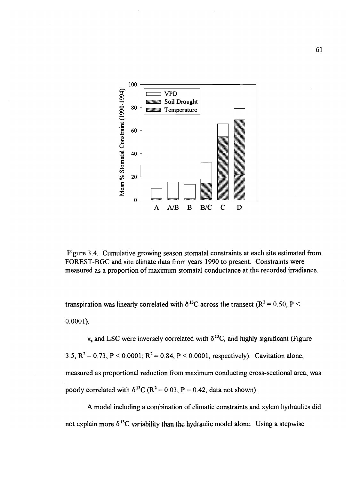

Figure 3.4. Cumulative growing season stomatal constraints at each site estimated from FOREST-BGC and site climate data from years 1990 to present. Constraints were measured as a proportion of maximum stomatal conductance at the recorded irradiance.

transpiration was linearly correlated with  $\delta^{13}$ C across the transect (R<sup>2</sup> = 0.50, P <  $0.0001$ ).

 $\kappa$  and LSC were inversely correlated with  $\delta^{13}$ C, and highly significant (Figure 3.5,  $R^2 = 0.73$ ,  $P < 0.0001$ ;  $R^2 = 0.84$ ,  $P < 0.0001$ , respectively). Cavitation alone, measured as proportional reduction from maximum conducting cross-sectional area, was poorly correlated with  $\delta^{13}C (R^2 = 0.03, P = 0.42, \text{ data not shown}).$ 

A model including a combination of climatic constraints and xylem hydraulics did not explain more  $\delta^{13}$ C variability than the hydraulic model alone. Using a stepwise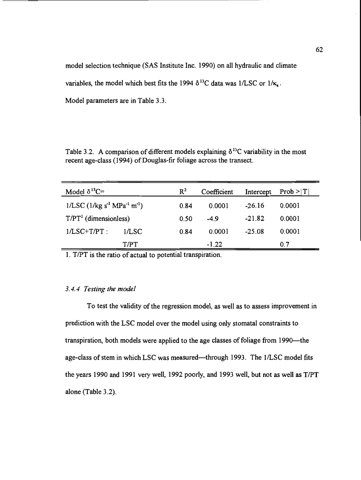model selection technique (SAS Institute Inc. 1990) on all hydraulic and climate

variables, the model which best fits the 1994  $\delta^{13}$ C data was 1/LSC or 1/ $\kappa_{\rm s}$ .

Model parameters are in Table 3.3.

Table 3.2. A comparison of different models explaining  $\delta^{13}$ C variability in the most recent age-class (1994) of Douglas-fir foliage across the transect.

| Model $\delta^{13}C=$                                                    |       | $R^2$ | Coefficient |          | Intercept $Prob >  T $ |
|--------------------------------------------------------------------------|-------|-------|-------------|----------|------------------------|
| $1/\text{LSC}$ (1/kg s <sup>-1</sup> MPa <sup>-1</sup> m <sup>-1</sup> ) |       | 0.84  | 0.0001      | $-26.16$ | 0.0001                 |
| $T/PT1$ (dimensionless)                                                  |       | 0.50  | $-4.9$      | $-21.82$ | 0.0001                 |
| $1/LSC+T/PT$ :                                                           | 1/LSC | 0.84  | 0.0001      | $-25.08$ | 0.0001                 |
|                                                                          | T/PT  |       | $-1.22$     |          | 0.7                    |

1. T/PT is the ratio of actual to potential transpiration.

## 3.4.4 Testing the model

To test the validity of the regression model, as well as to assess improvement in prediction with the LSC model over the model using only stomatal constraints to transpiration, both models were applied to the age classes of foliage from 1990—the age-class of stem in which LSC was measured—through 1993. The 1/LSC model fits the years 1990 and 1991 very well, 1992 poorly, and 1993 well, but not as well as T/PT alone (Table 3.2).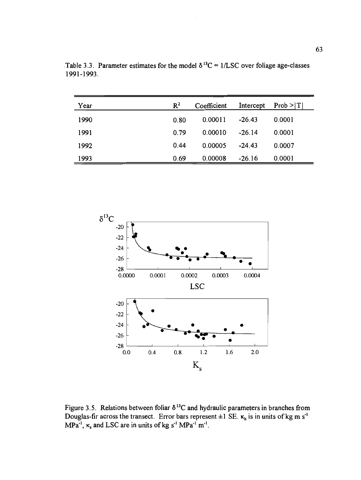| Year | $R^2$ | Coefficient | Intercept | Prob >  T |
|------|-------|-------------|-----------|-----------|
| 1990 | 0.80  | 0.00011     | $-26.43$  | 0.0001    |
| 1991 | 0.79  | 0.00010     | $-26.14$  | 0.0001    |
| 1992 | 0.44  | 0.00005     | $-24.43$  | 0.0007    |
| 1993 | 0.69  | 0.00008     | $-26.16$  | 0.0001    |

Table 3.3. Parameter estimates for the model  $\delta^{13}C = 1/LSC$  over foliage age-classes 199 1-1993.



Figure 3.5. Relations between foliar  $\delta^{13}$ C and hydraulic parameters in branches from Douglas-fir across the transect. Error bars represent  $\pm 1$  SE.  $\kappa_h$  is in units of kg m s<sup>-1</sup> MPa<sup>-1</sup>,  $\kappa_s$  and LSC are in units of kg s<sup>-1</sup> MPa<sup>-1</sup> m<sup>-1</sup>.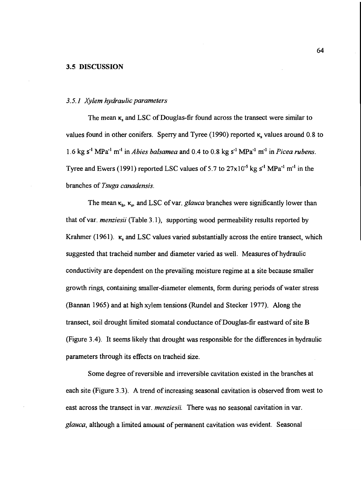#### 3.5 DISCUSSION

#### 3.5.1 Xylem hydraulic parameters

The mean  $\kappa$ , and LSC of Douglas-fir found across the transect were similar to values found in other conifers. Sperry and Tyree (1990) reported  $\kappa$ , values around 0.8 to 1.6 kg s<sup>-1</sup> MPa<sup>-1</sup> m<sup>-1</sup> in *Abies balsamea* and 0.4 to 0.8 kg s<sup>-1</sup> MPa<sup>-1</sup> m<sup>-1</sup> in *Picea rubens*. Tyree and Ewers (1991) reported LSC values of 5.7 to  $27 \times 10^{-5}$  kg s<sup>-1</sup> MPa<sup>-1</sup> m<sup>-1</sup> in the branches of Tsuga canadensis.

The mean  $\kappa_b$ ,  $\kappa_s$ , and LSC of var. glauca branches were significantly lower than that of var. menziesii (Table 3.1), supporting wood permeability results reported by Krahmer (1961).  $\kappa$ , and LSC values varied substantially across the entire transect, which suggested that tracheid number and diameter varied as well. Measures of hydraulic conductivity are dependent on the prevailing moisture regime at a site because smaller growth rings, containing smaller-diameter elements, form during periods of water stress (Bannan 1965) and at high xylem tensions (Rundel and Stecker 1977). Along the transect, soil drought limited stomatal conductance of Douglas-fir eastward of site B (Figure 3.4). It seems likely that drought was responsible for the differences in hydraulic parameters through its effects on tracheid size.

Some degree of reversible and irreversible cavitation existed in the branches at each site (Figure 3.3). A trend of increasing seasonal cavitation is observed from west to east across the transect in var. menziesii. There was no seasonal cavitation in var. glauca, although a limited amount of permanent cavitation was evident. Seasonal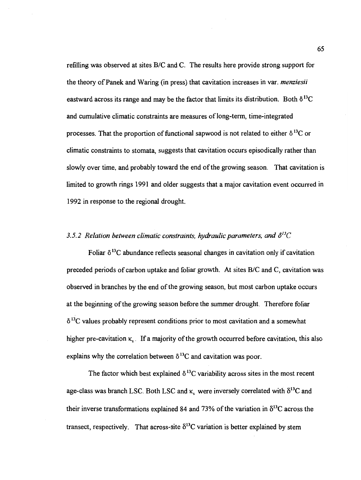refilling was observed at sites B/C and C. The results here provide strong support for the theory of Panek and Waring (in press) that cavitation increases in var. menziesii eastward across its range and may be the factor that limits its distribution. Both  $\delta^{13}C$ and cumulative climatic constraints are measures of long-term, time-integrated processes. That the proportion of functional sapwood is not related to either  $\delta^{13}C$  or climatic constraints to stomata, suggests that cavitation occurs episodically rather than slowly over time, and probably toward the end of the growing season. That cavitation is limited to growth rings 1991 and older suggests that a major cavitation event occurred in 1992 in response to the regional drought.

### 3.5.2 Relation between climatic constraints, hydraulic parameters, and  $\delta^{13}C$

Foliar  $\delta^{13}$ C abundance reflects seasonal changes in cavitation only if cavitation preceded periods of carbon uptake and foliar growth. At sites B/C and C, cavitation was observed in branches by the end of the growing season, but most carbon uptake occurs at the beginning of the growing season before the summer drought. Therefore foliar  $\delta$ <sup>13</sup>C values probably represent conditions prior to most cavitation and a somewhat higher pre-cavitation  $\kappa$ . If a majority of the growth occurred before cavitation, this also explains why the correlation between  $\delta^{13}$ C and cavitation was poor.

The factor which best explained  $\delta^{13}$ C variability across sites in the most recent age-class was branch LSC. Both LSC and  $\kappa$ , were inversely correlated with  $\delta^{13}C$  and their inverse transformations explained 84 and 73% of the variation in  $\delta^{13}$ C across the transect, respectively. That across-site  $\delta^{13}$ C variation is better explained by stem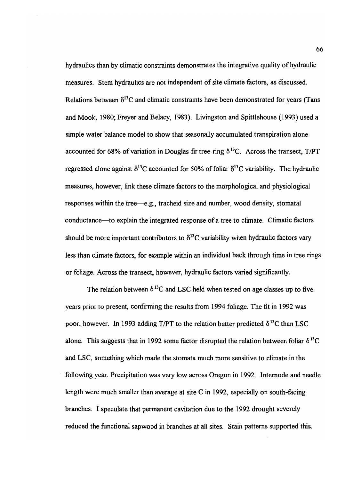hydraulics than by climatic constraints demonstrates the integrative quality of hydraulic measures. Stem hydraulics are not independent of site climate factors, as discussed. Relations between  $\delta^{13}$ C and climatic constraints have been demonstrated for years (Tans and Mook, 1980; Freyer and Belacy, 1983). Livingston and Spittlehouse (1993) used a simple water balance model to show that seasonally accumulated transpiration alone accounted for 68% of variation in Douglas-fir tree-ring  $\delta^{13}$ C. Across the transect, T/PT regressed alone against  $\delta^{13}C$  accounted for 50% of foliar  $\delta^{13}C$  variability. The hydraulic measures, however, link these climate factors to the morphological and physiological responses within the tree—e.g., tracheid size and number, wood density, stomatal conductance—to explain the integrated response of a tree to climate. Climatic factors should be more important contributors to  $\delta^{13}$ C variability when hydraulic factors vary less than climate factors, for example within an individual back through time in tree rings or foliage. Across the transect, however, hydraulic factors varied significantly.

The relation between  $\delta^{13}$ C and LSC held when tested on age classes up to five years prior to present, confirming the results from 1994 foliage. The fit in 1992 was poor, however. In 1993 adding T/PT to the relation better predicted  $\delta^{13}C$  than LSC alone. This suggests that in 1992 some factor disrupted the relation between foliar  $\delta^{13}C$ and LSC, something which made the stomata much more sensitive to climate in the following year. Precipitation was very low across Oregon in 1992. Internode and needle length were much smaller than average at site C in 1992, especially on south-facing branches. I speculate that permanent cavitation due to the 1992 drought severely reduced the functional sapwood in branches at all sites. Stain patterns supported this.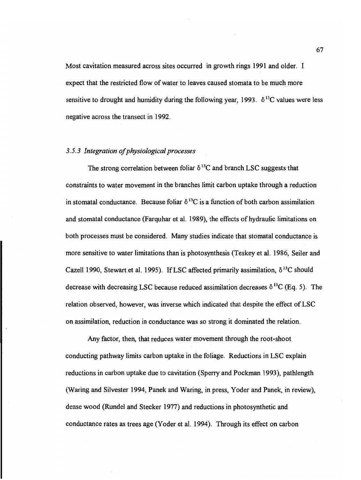Most cavitation measured across sites occurred in growth rings 1991 and older. I expect that the restricted flow of water to leaves caused stomata to be much more sensitive to drought and humidity during the following year, 1993.  $\delta^{13}$ C values were less negative across the transect in 1992.

## 3.5.3 Integration of physiological processes

The strong correlation between foliar  $\delta^{13}$ C and branch LSC suggests that constraints to water movement in the branches limit carbon uptake through a reduction in stomatal conductance. Because foliar  $\delta^{13}$ C is a function of both carbon assimilation and stomatal conductance (Farquhar et al. 1989), the effects of hydraulic limitations on both processes must be considered. Many studies indicate that stomatal conductance is more sensitive to water limitations than is photosynthesis (Teskey et al. 1986, Seiler and Cazell 1990, Stewart et al. 1995). If LSC affected primarily assimilation,  $\delta^{13}$ C should decrease with decreasing LSC because reduced assimilation decreases  $\delta^{13}C$  (Eq. 5). The relation observed, however, was inverse which indicated that despite the effect of LSC on assimilation, reduction in conductance was so strong it dominated the relation.

Any factor, then, that reduces water movement through the root-shoot conducting pathway limits carbon uptake in the foliage. Reductions in LSC explain reductions in carbon uptake due to cavitation (Sperry and Pockman 1993), pathlength (Waring and Silvester 1994, Panek and Waring, in press, Yoder and Panek, in review), dense wood (Rundel and Stecker 1977) and reductions in photosynthetic and conductance rates as trees age (Yoder et al. 1994). Through its effect on carbon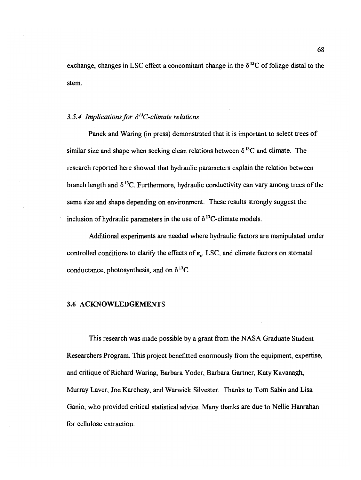exchange, changes in LSC effect a concomitant change in the  $\delta^{13}$ C of foliage distal to the stem.

### 3.5.4 Implications for  $\delta^{13}$ C-climate relations

Panek and Waring (in press) demonstrated that it is important to select trees of similar size and shape when seeking clean relations between  $\delta^{13}$ C and climate. The research reported here showed that hydraulic parameters explain the relation between branch length and  $\delta^{13}$ C. Furthermore, hydraulic conductivity can vary among trees of the same size and shape depending on environment. These results strongly suggest the inclusion of hydraulic parameters in the use of  $\delta^{13}$ C-climate models.

Additional experiments are needed where hydraulic factors are manipulated under controlled conditions to clarify the effects of  $\kappa$ . LSC, and climate factors on stomatal conductance, photosynthesis, and on  $\delta^{13}C$ .

### 3.6 ACKNOWLEDGEMENTS

This research was made possible by a grant from the NASA Graduate Student Researchers Program. This project benefitted enormously from the equipment, expertise, and critique of Richard Waring, Barbara Yoder, Barbara Gartner, Katy Kavanagh, Murray Layer, Joe Karchesy, and Warwick Silvester. Thanks to Tom Sabin and Lisa Ganio, who provided critical statistical advice. Many thanks are due to Nellie Hanrahan for cellulose extraction.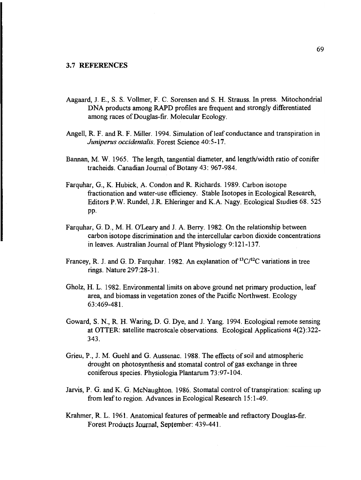- Aagaard, J. E., S. S. Volimer, F. C. Sorensen and S. H. Strauss. In press. Mitochondrial DNA products among RAPD profiles are frequent and strongly differentiated among races of Douglas-fir. Molecular Ecology.
- Angell, R. F. and R. F. Miller. 1994. Simulation of leaf conductance and transpiration in Juniperus occidentalis. Forest Science 40:5-17.
- Bannan, M. W. 1965. The length, tangential diameter, and length/width ratio of conifer tracheids. Canadian Journal of Botany 43: 967-984.
- Farquhar, G., K. Hubick, A. Condon and R. Richards. 1989. Carbon isotope fractionation and water-use efficiency. Stable Isotopes in Ecological Research, Editors P.W. Rundel, J.R. Ehleringer and K.A. Nagy, Ecological Studies 68. 525 pp.
- Farquhar, G. D., M. H. O'Leary and J. A. Berry. 1982. On the relationship between carbon isotope discrimination and the intercellular carbon dioxide concentrations in leaves. Australian Journal of Plant Physiology 9:121-137.
- Francey, R. J. and G. D. Farquhar. 1982. An explanation of  ${}^{13}C/{}^{12}C$  variations in tree rings. Nature 297:28-31.
- Gholz, H. L. 1982. Environmental limits on above ground net primary production, leaf area, and biomass in vegetation zones of the Pacific Northwest. Ecology 63:469-481.
- Goward, S. N., R. H. Waring, D. G. Dye, and J. Yang. 1994. Ecological remote sensing at OTTER: satellite macroscale observations. Ecological Applications 4(2):322- 343.
- Grieu, P., J. M. Guehl and G. Aussenac. 1988. The effects of soil and atmospheric drought on photosynthesis and stomatal control of gas exchange in three coniferous species. Physiologia Plantarum 73:97-104.
- Jarvis, P. G. and K. G. McNaughton. 1986. Stomatal control of transpiration: scaling up from leaf to region. Advances in Ecological Research 15:1-49.
- Krahmer, R. L. 1961. Anatomical features of permeable and refractory Douglas-fir. Forest Products Journa!, September: 439-441.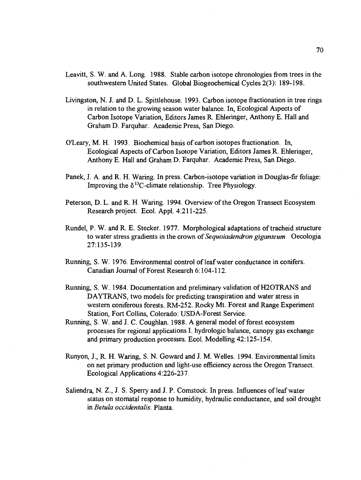- Leavitt, S. W. and A. Long. 1988. Stable carbon isotope chronologies from trees in the southwestern United States. Global Biogeochemical Cycles 2(3): 189-198.
- Livingston, N. J. and D. L. Spittlehouse. 1993. Carbon isotope fractionation in tree rings in relation to the growing season water balance. In, Ecological Aspects of Carbon Isotope Variation, Editors James R. Ehieringer, Anthony E. Hall and Graham D. Farquhar. Academic Press, San Diego.
- O'Leary, M. H. 1993. Biochemical basis of carbon isotopes fractionation. In, Ecological Aspects of Carbon Isotope Variation, Editors James R. Ehieringer, Anthony E. Hall and Graham D. Farquhar. Academic Press, San Diego.
- Panek, J. A. and R. H. Waring. In press. Carbon-isotope variation in Douglas-fir foliage: Improving the  $\delta^{13}$ C-climate relationship. Tree Physiology.
- Peterson, D. L. and R. H. Waring. 1994. Overview of the Oregon Transect Ecosystem Research project. Ecol. Appl. 4:211-225.
- Rundel, P. W. and R. E. Stecker. 1977. Morphological adaptations of tracheid structure to water stress gradients in the crown of Sequoiadendron giganteum. Oecologia 27:135-139.
- Running, S. W. 1976. Environmental control of leaf water conductance in conifers. Canadian Journal of Forest Research 6:104-112.
- Running, S. W. 1984. Documentation and preliminary validation of H2OTRANS and DAYTRANS, two models for predicting transpiration and water stress in western coniferous forests. RM-252. Rocky Mt. Forest and Range Experiment Station, Fort Collins, Colorado: USDA-Forest Service.
- Running, S. W. and J. C. Coughlan. 1988. A general model of forest ecosystem processes for regional applications I. hydrologic balance, canopy gas exchange and primary production processes. Ecol. Modelling 42:125-154.
- Runyon, J., R. H. Waring, S. N. Goward and J. M. Welles. 1994. Environmental limits on net primary production and light-use efficiency across the Oregon Transect. Ecological Applications 4:226-237.
- Saliendra, N. Z., J. S. Sperry and J. P. Comstock. In press. Influences of leaf water status on stomatal response to humidity, hydraulic conductance, and soil drought in Betula occidentalis. Planta.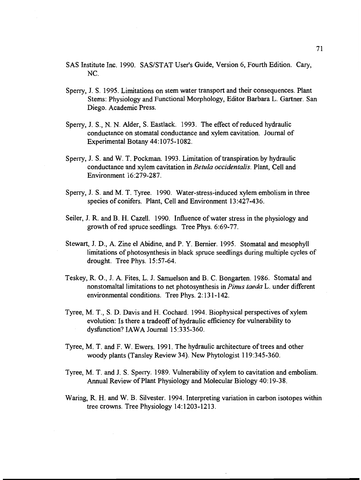- SAS Institute Inc. 1990. SAS/STAT User's Guide, Version 6, Fourth Edition. Cary, NC.
- Sperry, J. 5. 1995. Limitations on stem water transport and their consequences. Plant Stems: Physiology and Functional Morphology, Editor Barbara L. Gartner. San Diego. Academic Press.
- Sperry, J. S., N. N. Alder, S. Eastlack. 1993. The effect of reduced hydraulic conductance on stomatal conductance and xylem cavitation. Journal of Experimental Botany 44:1075-1082.
- Sperry, J. S. and W. T. Pockman. 1993. Limitation of transpiration by hydraulic conductance and xylem cavitation in Betula occidentalis. Plant, Cell and Environment 16:279-287.
- Sperry, J. S. and M. T. Tyree. 1990. Water-stress-induced xylem embolism in three species of conifers. Plant, Cell and Environment 13:427-436.
- Seiler, J. R. and B. H. Cazell. 1990. Influence of water stress in the physiology and growth of red spruce seedlings. Tree Phys. 6:69-77.
- Stewart, J. D., A. Zine el Abidine, and P. Y. Bernier. 1995. Stomatal and mesophyll limitations of photosynthesis in black spruce seedlings during multiple cycles of drought. Tree Phys. 15:57-64.
- Teskey, R. 0., J. A. Fites, L. J. Samuelson and B. C. Bongarten. 1986. Stomatal and nonstomaltal limitations to net photosynthesis in *Pinus taeda* L. under different environmental conditions. Tree Phys. 2:13 1-142.
- Tyree, M. T., S. D. Davis and H. Cochard. 1994. Biophysical perspectives of xylem evolution: Is there a tradeoff of hydraulic efficiency for vulnerability to dysfunction? IAWA Journal 15:335-360.
- Tyree, M. T. and F. W. Ewers. 1991. The hydraulic architecture of trees and other woody plants (Tansley Review 34). New Phytologist 119:345-360.
- Tyree, M. T. and J. S. Sperry. 1989. Vulnerability of xylem to cavitation and embolism. Annual Review of Plant Physiology and Molecular Biology 40:19-38.
- Waring, R. H. and W. B. Silvester. 1994. Interpreting variation in carbon isotopes within tree crowns. Tree Physiology 14:1203-1213.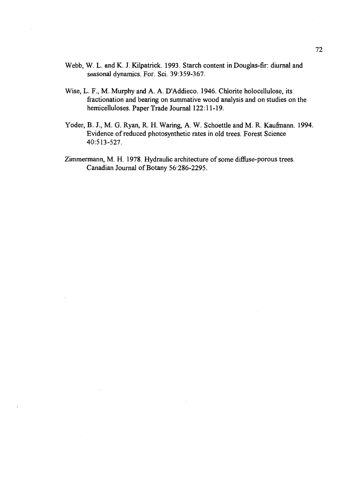- Webb, W. L. and K. J. Kilpatrick. 1993. Starch content in Douglas-fir: diurnal and seasonal dynamics. For. Sci. 39:359-367.
- Wise, L. F., M. Murphy and A. A. D'Addieco. 1946. Chlorite holocellulose, its fractionation and bearing on summative wood analysis and on studies on the hemicelluloses. Paper Trade Journal 122:11-19.
- Yoder, B. J., M. G. Ryan, R. H. Waring, A. W. Schoettle and M. R. Kaufmann. 1994. Evidence of reduced photosynthetic rates in old trees. Forest Science 40:513-527.
- Zimmermann, M. H. 1978. Hydraulic architecture of some diffuse-porous trees. Canadian Journal of Botany 56:286-2295.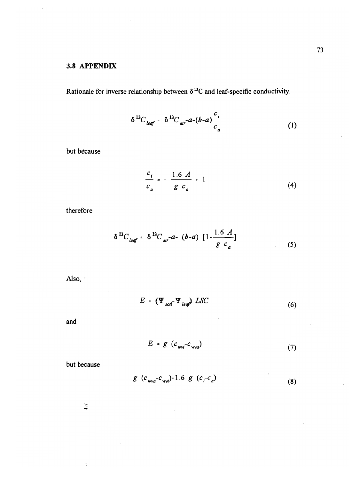# 3.8 APPENDIX

Rationale for inverse relationship between  $\delta^{13}$ C and leaf-specific conductivity.

$$
\delta^{13}C_{\text{leaf}} = \delta^{13}C_{\text{air}} - a - (b-a)\frac{c_i}{c_a} \tag{1}
$$

but because

$$
\frac{c_i}{c_a} = -\frac{1.6 \, A}{g \, c_a} + 1 \tag{4}
$$

therefore

$$
\delta^{13}C_{\text{leaf}} = \delta^{13}C_{\text{air}} - a - (b-a) \left[1 - \frac{1.6 \ A}{g \ c_a}\right] \tag{5}
$$

Also,

$$
E = (\Psi_{\text{sol}}^{\dagger} \Psi_{\text{leaf}}^{\dagger}) \text{ LSC} \tag{6}
$$

and

$$
E = g \left( c_{\text{wvi}} - c_{\text{wva}} \right) \tag{7}
$$

but because

$$
g (c_{wva}c_{wvi}) = 1.6 g (c_i c_a)
$$
 (8)

 $\frac{1}{\sqrt{2}}$ 

 $\overline{a}$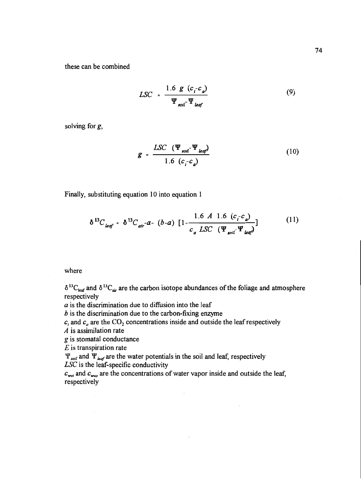these can be combined

$$
LSC = \frac{1.6 \ g \ (c_i - c_a)}{\Psi_{\text{roll}} - \Psi_{\text{leaf}}}
$$
 (9)

solving for g,

$$
g = \frac{LSC \left(\Psi_{sol} - \Psi_{leq}\right)}{1.6 \left(c_i - c_q\right)} \tag{10}
$$

Finally, substituting equation 10 into equation 1

$$
\delta^{13}C_{\text{leaf}} = \delta^{13}C_{\text{air}} - a - (b-a) \left[1 - \frac{1.6 \ A \ 1.6 \ (c_i - c_a)}{c_a \ LSC \ (\Psi_{\text{coil}} - \Psi_{\text{leaf}})}\right]
$$
(11)

where

 $\delta^{13}C_{\text{leaf}}$  and  $\delta^{13}C_{\text{air}}$  are the carbon isotope abundances of the foliage and atmosphere respectively

 $a$  is the discrimination due to diffusion into the leaf

b is the discrimination due to the carbon-fixing enzyme

 $c_i$  and  $c_a$  are the CO<sub>2</sub> concentrations inside and outside the leaf respectively

 $\overline{A}$  is assimilation rate

g is stomatal conductance

 $E$  is transpiration rate

 $\Psi_{\text{sol}}$  and  $\Psi_{\text{leaf}}$  are the water potentials in the soil and leaf, respectively LSC is the leaf-specific conductivity

 $c_{\text{wvi}}$  and  $c_{\text{wva}}$  are the concentrations of water vapor inside and outside the leaf, respectively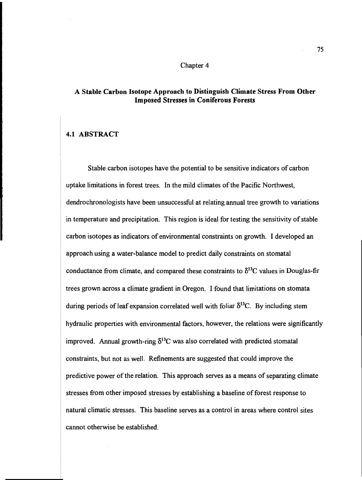#### Chapter 4

## A Stable Carbon Isotope Approach to Distinguish Climate Stress From Other Imposed Stresses in Coniferous Forests

## 4.1 ABSTRACT

Stable carbon isotopes have the potential to be sensitive indicators of carbon uptake limitations in forest trees. In the mild climates of the Pacific Northwest, dendrochronologists have been unsuccessful at relating annual tree growth to variations in temperature and precipitation. This region is ideal for testing the sensitivity of stable carbon isotopes as indicators of environmental constraints on growth. I developed an approach using a water-balance model to predict daily constraints on stomatal conductance from climate, and compared these constraints to  $\delta^{13}$ C values in Douglas-fir trees grown across a climate gradient in Oregon. I found that limitations on stomata during periods of leaf expansion correlated well with foliar  $\delta^{13}C$ . By including stem hydraulic properties with environmental factors, however, the relations were significantly improved. Annual growth-ring  $\delta^{13}$ C was also correlated with predicted stomatal constraints, but not as well. Refinements are suggested that could improve the predictive power of the relation. This approach serves as a means of separating climate stresses from other imposed stresses by establishing a baseline of forest response to natural climatic stresses. This baseline serves as a control in areas where control sites cannot otherwise be established.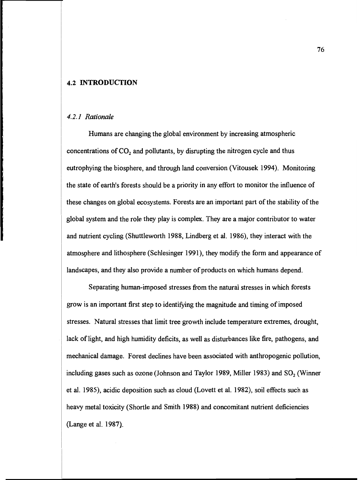#### 4.2 INTRODUCTION

#### 4.2.1 Rationale

Humans are changing the global environment by increasing atmospheric concentrations of  $CO<sub>2</sub>$  and pollutants, by disrupting the nitrogen cycle and thus eutrophying the biosphere, and through land conversion (Vitousek 1994). Monitoring the state of earth's forests should be a priority in any effort to monitor the influence of these changes on global ecosystems. Forests are an important part of the stability of the global system and the role they play is complex. They are a major contributor to water and nutrient cycling (Shuttleworth 1988, Lindberg et al. 1986), they interact with the atmosphere and lithosphere (Schlesinger 1991), they modify the form and appearance of landscapes, and they also provide a number of products on which humans depend.

Separating human-imposed stresses from the natural stresses in which forests grow is an important first step to identifying the magnitude and timing of imposed stresses. Natural stresses that limit tree growth include temperature extremes, drought, lack of light, and high humidity deficits, as well as disturbances like fire, pathogens, and mechanical damage. Forest declines have been associated with anthropogenic pollution, including gases such as ozone (Johnson and Taylor 1989, Miller 1983) and  $SO<sub>2</sub>$  (Winner et al. 1985), acidic deposition such as cloud (Lovett et al. 1982), soil effects such as heavy metal toxicity (Shortle and Smith 1988) and concomitant nutrient deficiencies (Lange et al. 1987).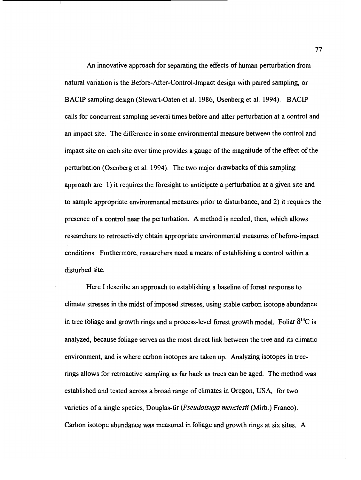An innovative approach for separating the effects of human perturbation from natural variation is the Before-After-Control-Impact design with paired sampling, or BACIP sampling design (Stewart-Oaten et al. 1986, Osenberg et al. 1994). BACIP calls for concurrent sampling several times before and after perturbation at a control and an impact site. The difference in some environmental measure between the control and impact site on each site over time provides a gauge of the magnitude of the effect of the perturbation (Osenberg et al. 1994). The two major drawbacks of this sampling approach are 1) it requires the foresight to anticipate a perturbation at a given site and to sample appropriate environmental measures prior to disturbance, and 2) it requires the presence of a control near the perturbation. A method is needed, then, which allows researchers to retroactively obtain appropriate environmental measures of before-impact conditions. Furthermore, researchers need a means of establishing a control within a disturbed site.

Here I describe an approach to establishing a baseline of forest response to climate stresses in the midst of imposed stresses, using stable carbon isotope abundance in tree foliage and growth rings and a process-level forest growth model. Foliar  $\delta^{13}C$  is analyzed, because foliage serves as the most direct link between the tree and its climatic environment, and is where carbon isotopes are taken up. Analyzing isotopes in treerings allows for retroactive sampling as far back as trees can be aged. The method was established and tested across a broad range of climates in Oregon, USA, for two varieties of a single species, Douglas-fir (Pseudotsuga menziesii (Mirb.) Franco). Carbon isotope abundance was measured in foliage and growth rings at six sites. A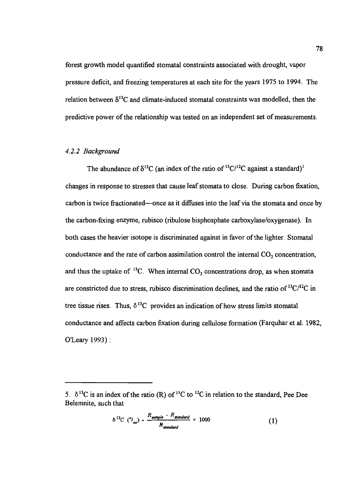forest growth model quantified stomatal constraints associated with drought, vapor pressure deficit, and freezing temperatures at each site for the years 1975 to 1994. The relation between  $\delta^{13}$ C and climate-induced stomatal constraints was modelled, then the predictive power of the relationship was tested on an independent set of measurements.

#### 4.2.2 Background

The abundance of  $\delta^{13}C$  (an index of the ratio of  ${}^{13}C/{}^{12}C$  against a standard)<sup>1</sup> changes in response to stresses that cause leaf stomata to close. During carbon fixation, carbon is twice fractionated—once as it diffuses into the leaf via the stomata and once by the carbon-fixing enzyme, rubisco (ribulose bisphosphate carboxylase/oxygenase). In both cases the heavier isotope is discriminated against in favor of the lighter. Stomatal conductance and the rate of carbon assimilation control the internal  $CO<sub>2</sub>$  concentration, and thus the uptake of  $^{13}C$ . When internal  $CO<sub>2</sub>$  concentrations drop, as when stomata are constricted due to stress, rubisco discrimination declines, and the ratio of  ${}^{13}C/{}^{12}C$  in tree tissue rises. Thus,  $\delta^{13}C$  provides an indication of how stress limits stomatal conductance and affects carbon fixation during cellulose formation (Farquhar et al. 1982, O'Leary 1993):

$$
\delta^{13}C\,\left(^oI_{oo}\right)\cdot\frac{R_{sample} - R_{standard}}{R_{standard}} \times 1000\tag{1}
$$

<sup>5.</sup>  $\delta^{13}$ C is an index of the ratio (R) of <sup>13</sup>C to <sup>12</sup>C in relation to the standard, Pee Dee Belemnite, such that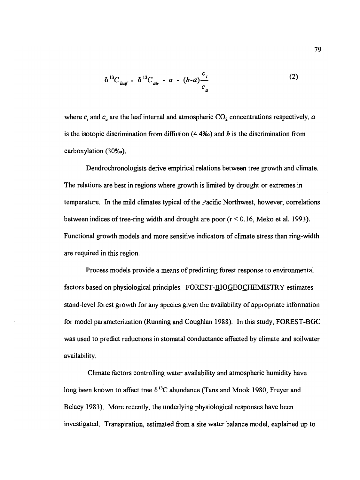$$
\delta^{13}C_{\text{leaf}} = \delta^{13}C_{\text{air}} - a - (b-a)\frac{c_i}{c_a}
$$
 (2)

where  $c_i$  and  $c_a$  are the leaf internal and atmospheric  $CO_2$  concentrations respectively, a is the isotopic discrimination from diffusion (4.4‰) and  $\boldsymbol{b}$  is the discrimination from carboxylation (30‰).

Dendrochronologists derive empirical relations between tree growth and climate. The relations are best in regions where growth is limited by drought or extremes in temperature. In the mild climates typical of the Pacific Northwest, however, correlations between indices of tree-ring width and drought are poor (r < 0.16, Meko et al. 1993). Functional growth models and more sensitive indicators of climate stress than ring-width are required in this region.

Process models provide a means of predicting forest response to environmental factors based on physiological principles. FOREST-BIOGEOCHEMISTRY estimates stand-level forest growth for any species given the availability of appropriate information for model parameterization (Running and Coughlan 1988). In this study, FOREST-BGC was used to predict reductions in stomatal conductance affected by climate and soilwater availability.

Climate factors controlling water availability and atmospheric humidity have long been known to affect tree  $\delta^{13}$ C abundance (Tans and Mook 1980, Freyer and Belacy 1983). More recently, the underlying physiological responses have been investigated. Transpiration, estimated from a site water balance model, explained up to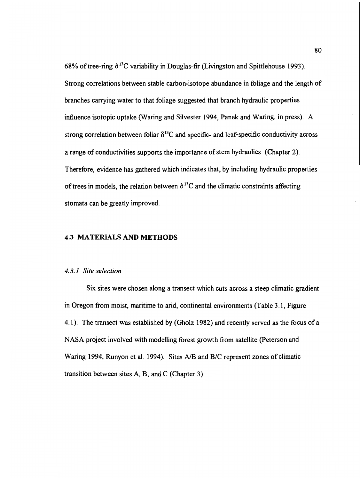68% of tree-ring  $\delta^{13}$ C variability in Douglas-fir (Livingston and Spittlehouse 1993). Strong correlations between stable carbon-isotope abundance in foliage and the length of branches carrying water to that foliage suggested that branch hydraulic properties influence isotopic uptake (Waring and Silvester 1994, Panek and Waring, in press). A strong correlation between foliar  $\delta^{13}$ C and specific- and leaf-specific conductivity across a range of conductivities supports the importance of stem hydraulics (Chapter 2). Therefore, evidence has gathered which indicates that, by including hydraulic properties of trees in models, the relation between  $\delta^{13}$ C and the climatic constraints affecting stomata can be greatly improved.

#### 4.3 MATERIALS AND METHODS

### 4.3.1 Site selection

Six sites were chosen along a transect which cuts across a steep climatic gradient in Oregon from moist, maritime to arid, continental environments (Table 3.1, Figure 4.1). The transect was established by (Gholz 1982) and recently served as the focus of a NASA project involved with modelling forest growth from satellite (Peterson and Waring 1994, Runyon et al. 1994). Sites A/B and B/C represent zones of climatic transition between sites A, B, and C (Chapter 3).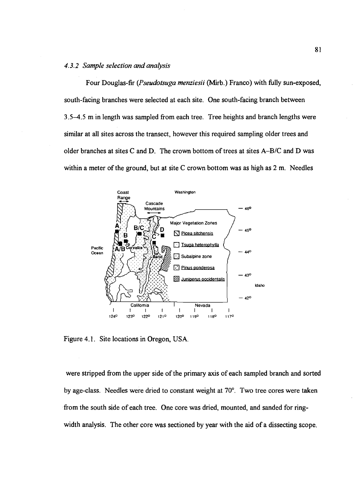### 4.3.2 Sample selection and analysis

Four Douglas-fir (Pseudotsuga menziesii (Mirb.) Franco) with fully sun-exposed, south-facing branches were selected at each site. One south-facing branch between 3.5-4.5 m in length was sampled from each tree. Tree heights and branch lengths were similar at all sites across the transect, however this required sampling older trees and older branches at sites C and D. The crown bottom of trees at sites  $A-B/C$  and D was within a meter of the ground, but at site C crown bottom was as high as 2 m. Needles



Figure 4.1. Site locations in Oregon, USA.

were stripped from the upper side of the primary axis of each sampled branch and sorted by age-class. Needles were dried to constant weight at 70°. Two tree cores were taken from the south side of each tree. One core was dried, mounted, and sanded for ringwidth analysis. The other core was sectioned by year with the aid of a dissecting scope.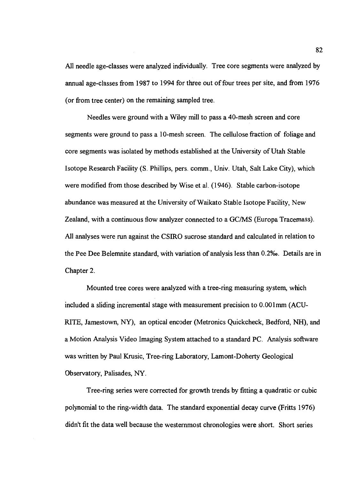All needle age-classes were analyzed individually. Tree core segments were analyzed by annual age-classes from 1987 to 1994 for three out of four trees per site, and from 1976 (or from tree center) on the remaining sampled tree.

Needles were ground with a Wiley mill to pass a 40-mesh screen and core segments were ground to pass a 10-mesh screen. The cellulose fraction of foliage and core segments was isolated by methods established at the University of Utah Stable Isotope Research Facility (S. Phillips, pers. comm., Univ. Utah, Salt Lake City), which were modified from those described by Wise et al. (1946). Stable carbon-isotope abundance was measured at the University of Waikato Stable Isotope Facility, New Zealand, with a continuous flow analyzer connected to a GC/MS (Europa Tracemass). All analyses were run against the CSIRO sucrose standard and calculated in relation to the Pee Dee Belemnite standard, with variation of analysis less than O.2%o. Details are in Chapter 2.

Mounted tree cores were analyzed with a tree-ring measuring system, which included a sliding incremental stage with measurement precision to 0.001mm (ACU-RITE, Jamestown, NY), an optical encoder (Metronics Quickcheck, Bedford, NH), and a Motion Analysis Video Imaging System attached to a standard PC. Analysis software was written by Paul Krusic, Tree-ring Laboratory, Lamont-Doherty Geological Observatory, Palisades, NY.

Tree-ring series were corrected for growth trends by fitting a quadratic or cubic polynomial to the ring-width data. The standard exponential decay curve (Fritts 1976) didn't fit the data well because the westernmost chronologies were short. Short series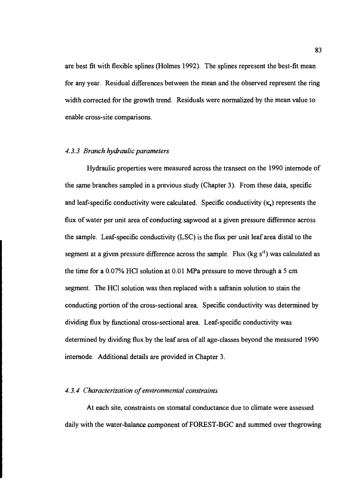are best fit with flexible splines (Holmes 1992). The splines represent the best-fit mean for any year. Residual differences between the mean and the observed represent the ring width corrected for the growth trend. Residuals were normalized by the mean value to enable cross-site comparisons.

## 4.3.3 Branch hydraulic parameters

Hydraulic properties were measured across the transect on the 1990 internode of the same branches sampled in a previous study (Chapter 3). From these data, specific and leaf-specific conductivity were calculated. Specific conductivity  $(\kappa_n)$  represents the flux of water per unit area of conducting sapwood at a given pressure difference across the sample. Leaf-specific conductivity (LSC) is the flux per unit leaf area distal to the segment at a given pressure difference across the sample. Flux ( $kg s<sup>-1</sup>$ ) was calculated as the time for a 0.07% HC1 solution at 0.01 MPa pressure to move through a 5 cm segment. The HC1 solution was then replaced with a safranin solution to stain the conducting portion of the cross-sectional area. Specific conductivity was determined by dividing flux by functional cross-sectional area. Leaf-specific conductivity was determined by dividing flux by the leaf area of all age-classes beyond the measured 1990 internode. Additional details are provided in Chapter 3.

## 4.3.4 Characterization of environmental constraints

At each site, constraints on stomatal conductance due to climate were assessed daily with the water-balance component of FOREST-BGC and summed over thegrowing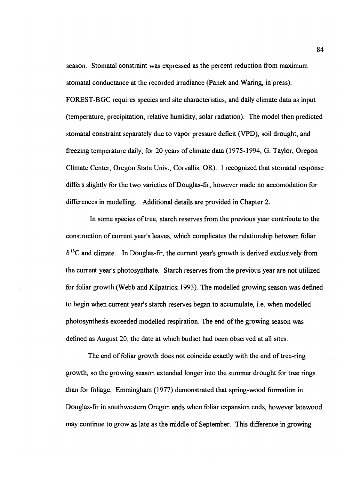season. Stomatal constraint was expressed as the percent reduction from maximum stomata! conductance at the recorded irradiance (Panek and Waring, in press). FOREST-BGC requires species and site characteristics, and daily climate data as input (temperature, precipitation, relative humidity, solar radiation). The model then predicted stomatal constraint separately due to vapor pressure deficit (VPD), soil drought, and freezing temperature daily, for 20 years of climate data (1975-1994, G. Taylor, Oregon Climate Center, Oregon State Univ., Corvallis, OR). I recognized that stomatal response differs slightly for the two varieties of Douglas-fir, however made no accomodation for differences in modelling. Additional details are provided in Chapter 2.

In some species of tree, starch reserves from the previous year contribute to the construction of current year's leaves, which complicates the relationship between foliar  $\delta^{13}$ C and climate. In Douglas-fir, the current year's growth is derived exclusively from the current year's photosynthate. Starch reserves from the previous year are not utilized for foliar growth (Webb and Kilpatrick 1993). The modelled growing season was defined to begin when current year's starch reserves began to accumulate, i.e. when modelled photosynthesis exceeded mode!Ied respiration. The end of the growing season was defined as August 20, the date at which budset had been observed at all sites.

The end of foliar growth does not coincide exactly with the end of tree-ring growth, so the growing season extended longer into the summer drought for tree rings than for foliage. Emmingham (1977) demonstrated that spring-wood formation in Douglas-fir in southwestern Oregon ends when foliar expansion ends, however latewood may continue to grow as late as the middle of September. This difference in growing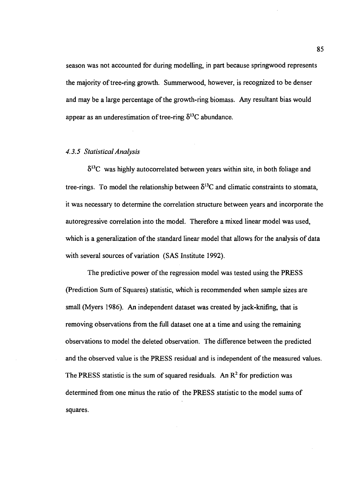season was not accounted for during modelling, in part because springwood represents the majority of tree-ring growth. Surnmerwood, however, is recognized to be denser and may be a large percentage of the growth-ring biomass. Any resultant bias would appear as an underestimation of tree-ring  $\delta^{13}C$  abundance.

### 4.3.5 Statistical Analysis

 $\delta^{13}$ C was highly autocorrelated between years within site, in both foliage and tree-rings. To model the relationship between  $\delta^{13}$ C and climatic constraints to stomata, it was necessary to determine the correlation structure between years and incorporate the autoregressive correlation into the model. Therefore a mixed linear model was used, which is a generalization of the standard linear model that allows for the analysis of data with several sources of variation (SAS Institute 1992).

The predictive power of the regression model was tested using the PRESS (Prediction Sum of Squares) statistic, which is recommended when sample sizes are small (Myers 1986). An independent dataset was created by jack-knifing, that is removing observations from the full dataset one at a time and using the remaining observations to model the deleted observation. The difference between the predicted and the observed value is the PRESS residual and is independent of the measured values. The PRESS statistic is the sum of squared residuals. An  $\mathbb{R}^2$  for prediction was determined from one minus the ratio of the PRESS statistic to the model sums of squares.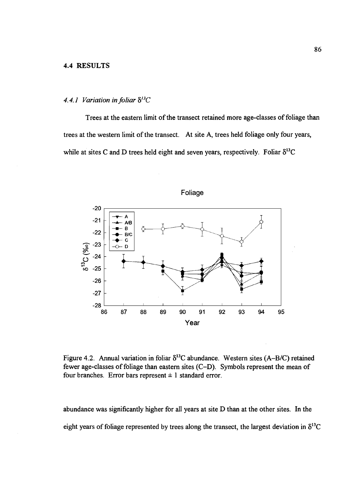#### 4.4 RESULTS

## 4.4.1 Variation in foliar  $\delta^{13}C$

Trees at the eastern limit of the transect retained more age-classes of foliage than trees at the western limit of the transect. At site A, trees held foliage only four years, while at sites C and D trees held eight and seven years, respectively. Foliar  $\delta^{13}C$ 



Figure 4.2. Annual variation in foliar  $\delta^{13}$ C abundance. Western sites (A-B/C) retained fewer age-classes of foliage than eastern sites  $(C-D)$ . Symbols represent the mean of four branches. Error bars represent  $\pm 1$  standard error.

abundance was significantly higher for all years at site D than at the other sites. In the eight years of foliage represented by trees along the transect, the largest deviation in  $\delta^{13}C$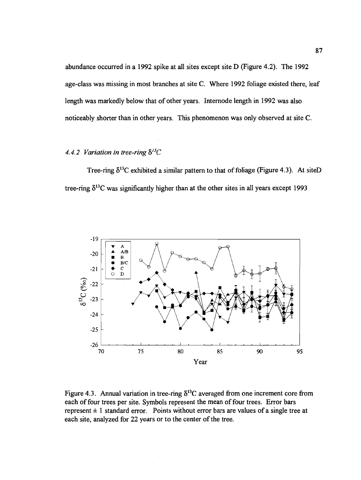abundance occurred in a 1992 spike at all sites except site D (Figure 4.2). The 1992 age-class was missing in most branches at site C. Where 1992 foliage existed there, leaf length was markedly below that of other years. Internode length in 1992 was also noticeably shorter than in other years. This phenomenon was only observed at site C.

# 4.4.2 Variation in tree-ring  $\delta^{13}C$

Tree-ring  $\delta^{13}$ C exhibited a similar pattern to that of foliage (Figure 4.3). At siteD tree-ring  $\delta^{13}$ C was significantly higher than at the other sites in all years except 1993



Figure 4.3. Annual variation in tree-ring  $\delta^{13}$ C averaged from one increment core from each of four trees per site. Symbols represent the mean of four trees. Error bars represent  $\pm 1$  standard error. Points without error bars are values of a single tree at each site, analyzed for 22 years or to the center of the tree.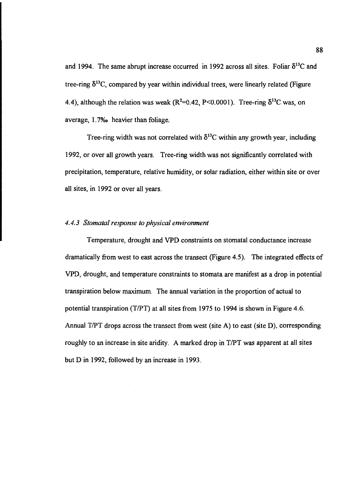and 1994. The same abrupt increase occurred in 1992 across all sites. Foliar  $\delta^{13}C$  and tree-ring  $\delta^{13}$ C, compared by year within individual trees, were linearly related (Figure 4.4), although the relation was weak ( $R^2$ =0.42, P<0.0001). Tree-ring  $\delta^{13}$ C was, on average, 1. 7%o heavier than foliage.

Tree-ring width was not correlated with  $\delta^{13}$ C within any growth year, including 1992, or over all growth years. Tree-ring width was not significantly correlated with precipitation, temperature, relative humidity, or solar radiation, either within site or over all sites, in 1992 or over all years.

## 4.4.3 Stomatal response to physical environment

Temperature, drought and VPD constraints on stomatal conductance increase dramatically from west to east across the transect (Figure 4.5). The integrated effects of VPD, drought, and temperature constraints to stomata are manifest as a drop in potential transpiration below maximum. The annual variation in the proportion of actual to potential transpiration (T/PT) at all sites from 1975 to 1994 is shown in Figure 4.6. Annual T/PT drops across the transect from west (site A) to east (site D), corresponding roughly to an increase in site aridity. A marked drop in T/PT was apparent at all sites but D in 1992, followed by an increase in 1993.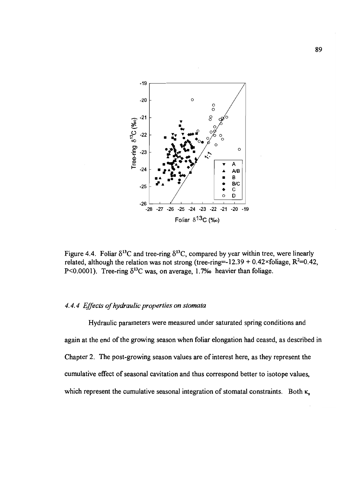

Figure 4.4. Foliar  $\delta^{13}$ C and tree-ring  $\delta^{13}$ C, compared by year within tree, were linearly related, although the relation was not strong (tree-ring=-12.39 + 0.42×foliage,  $R^2$ =0.42, P<0.0001). Tree-ring  $\delta^{13}$ C was, on average, 1.7% heavier than foliage.

## 4.4.4 Effects of hydraulic properties on stomata

Hydraulic parameters were measured under saturated spring conditions and again at the end of the growing season when foliar elongation had ceased, as described in Chapter 2. The post-growing season values are of interest here, as they represent the cumulative effect of seasonal cavitation and thus correspond better to isotope values, which represent the cumulative seasonal integration of stomatal constraints. Both  $\kappa$ .

89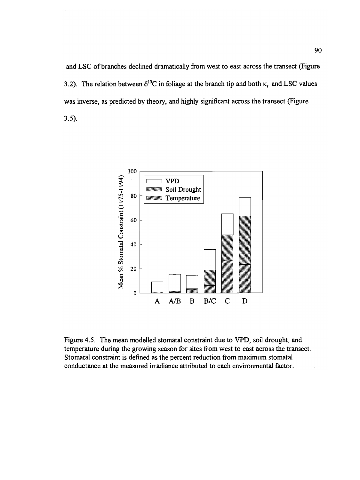and LSC of branches declined dramatically from west to east across the transect (Figure 3.2). The relation between  $\delta^{13}C$  in foliage at the branch tip and both  $\kappa_s$  and LSC values was inverse, as predicted by theory, and highly significant across the transect (Figure 3.5).



Figure 4.5. The mean modelled stomatal constraint due to VPD, soil drought, and temperature during the growing season for sites from west to east across the transect. Stomatal constraint is defined as the percent reduction from maximum stomatal conductance at the measured irradiance attributed to each environmental factor.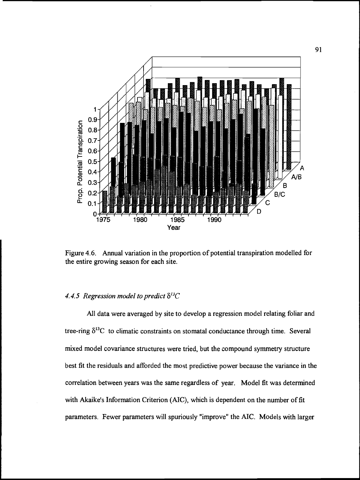

Figure 4.6. Annual variation in the proportion of potential transpiration modelled for the entire growing season for each site.

## 4.4.5 Regression model to predict  $\delta^{13}C$

All data were averaged by site to develop a regression model relating foliar and tree-ring  $\delta^{13}C$  to climatic constraints on stomatal conductance through time. Several mixed model covariance structures were tried, but the compound symmetry structure best fit the residuals and afforded the most predictive power because the variance in the correlation between years was the same regardless of year. Model fit was determined with Akaike's Information Criterion (AIC), which is dependent on the number of fit parameters. Fewer parameters will spuriously "improve" the AIC. Models with larger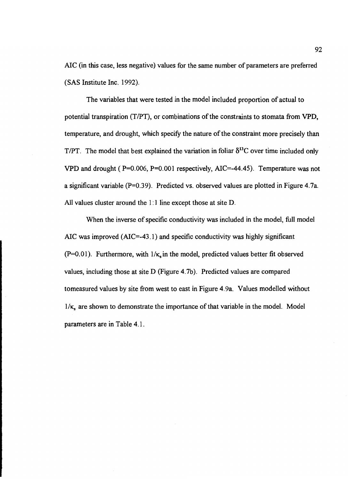A1C (in this case, less negative) values for the same number of parameters are preferred (SAS Institute Inc. 1992).

The variables that were tested in the model included proportion of actual to potential transpiration (T/PT), or combinations of the constraints to stomata from VPD, temperature, and drought, which specify the nature of the constraint more precisely than T/PT. The model that best explained the variation in foliar  $\delta^{13}C$  over time included only VPD and drought ( $P=0.006$ ,  $P=0.001$  respectively, AIC=-44.45). Temperature was not a significant variable (P=O.39). Predicted vs. observed values are plotted in Figure 4.7a. All values cluster around the 1:1 line except those at site D.

When the inverse of specific conductivity was included in the model, fill model A1C was improved (A1C=-43. 1) and specific conductivity was highly significant (P=0.01). Furthermore, with  $1/\kappa$  in the model, predicted values better fit observed values, including those at site D (Figure 4.7b). Predicted values are compared tomeasured values by site from west to east in Figure 4.9a. Values modelled without  $1/\kappa$ , are shown to demonstrate the importance of that variable in the model. Model parameters are in Table 4.1.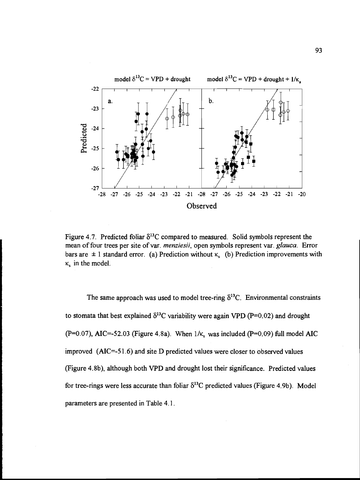

Figure 4.7. Predicted foliar  $\delta^{13}$ C compared to measured. Solid symbols represent the mean of four trees per site of var. *menziesii*, open symbols represent var. *glauca*. Error bars are  $\pm 1$  standard error. (a) Prediction without  $\kappa$  (b) Prediction improvements with  $\kappa$ , in the model.

The same approach was used to model tree-ring  $\delta^{13}$ C. Environmental constraints to stomata that best explained  $\delta^{13}$ C variability were again VPD (P=0.02) and drought (P=0.07), AIC=-52.03 (Figure 4.8a). When  $1/\kappa$ , was included (P=0.09) full model AIC improved  $(AIC = -51.6)$  and site D predicted values were closer to observed values (Figure 4.8b), although both VPD and drought lost their significance. Predicted values for tree-rings were less accurate than foliar  $\delta^{13}$ C predicted values (Figure 4.9b). Model parameters are presented in Table 4.1.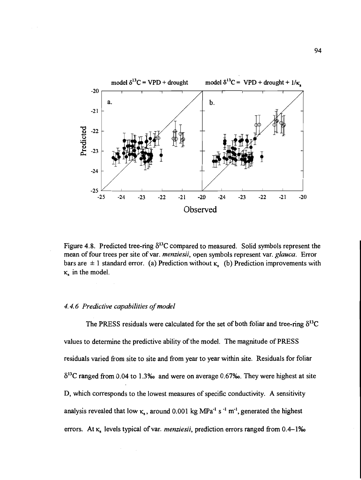

Figure 4.8. Predicted tree-ring  $\delta^{13}$ C compared to measured. Solid symbols represent the mean of four trees per site of var. menziesii, open symbols represent var. glauca. Error bars are  $\pm 1$  standard error. (a) Prediction without  $\kappa_{\rm s}$  (b) Prediction improvements with  $\kappa$ , in the model.

## 4.4.6 Predictive capabilities of model

The PRESS residuals were calculated for the set of both foliar and tree-ring  $\delta^{13}C$ values to determine the predictive ability of the model. The magnitude of PRESS residuals varied from site to site and from year to year within site. Residuals for foliar  $\delta^{13}$ C ranged from 0.04 to 1.3‰ and were on average 0.67‰. They were highest at site D, which corresponds to the lowest measures of specific conductivity. A sensitivity analysis revealed that low  $\kappa_s$ , around 0.001 kg MPa<sup>-1</sup> s <sup>-1</sup> m<sup>-1</sup>, generated the highest errors. At  $\kappa$ , levels typical of var. *menziesii*, prediction errors ranged from 0.4–1‰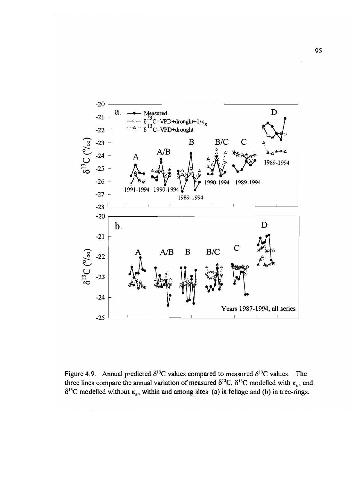

Figure 4.9. Annual predicted  $\delta^{13}$ C values compared to measured  $\delta^{13}$ C values. The three lines compare the annual variation of measured  $\delta^{13}C$ ,  $\delta^{13}C$  modelled with  $\kappa_s$ , and  $\delta^{13}$ C modelled without  $\kappa_s$ , within and among sites (a) in foliage and (b) in tree-rings.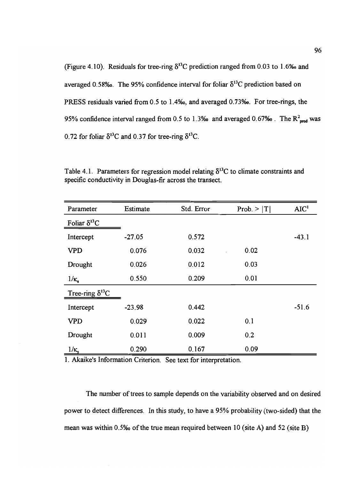| (Figure 4.10). Residuals for tree-ring $\delta^{13}$ C prediction ranged from 0.03 to 1.6‰ and  |
|-------------------------------------------------------------------------------------------------|
| averaged 0.58‰. The 95% confidence interval for foliar $\delta^{13}$ C prediction based on      |
| PRESS residuals varied from 0.5 to 1.4‰, and averaged 0.73‰. For tree-rings, the                |
| 95% confidence interval ranged from 0.5 to 1.3% and averaged 0.67% . The $R^2_{\text{med}}$ was |
| 0.72 for foliar $\delta^{13}$ C and 0.37 for tree-ring $\delta^{13}$ C.                         |

| Parameter                | Estimate | Std. Error | Prob. $>  T $ | AIC <sup>1</sup> |
|--------------------------|----------|------------|---------------|------------------|
| Foliar $\delta^{13}C$    |          |            |               |                  |
| Intercept                | $-27.05$ | 0.572      |               | $-43.1$          |
| <b>VPD</b>               | 0.076    | 0.032      | 0.02          |                  |
| Drought                  | 0.026    | 0.012      | 0.03          |                  |
| $1/\kappa$               | 0.550    | 0.209      | 0.01          |                  |
| Tree-ring $\delta^{13}C$ |          |            |               |                  |
| Intercept                | $-23.98$ | 0.442      |               | $-51.6$          |
| <b>VPD</b>               | 0.029    | 0.022      | 0.1           |                  |
| Drought                  | 0.011    | 0.009      | 0.2           |                  |
| $1/\kappa$               | 0.290    | 0.167      | 0.09          |                  |

Table 4.1. Parameters for regression model relating  $\delta^{13}C$  to climate constraints and specific conductivity in Douglas-fir across the transect.

1. Akaike's Information Criterion. See text for interpretation.

The number of trees to sample depends on the variability observed and on desired power to detect differences. In this study, to have a 95% probability (two-sided) that the mean was within O.5%o of the true mean required between 10 (site A) and 52 (site B)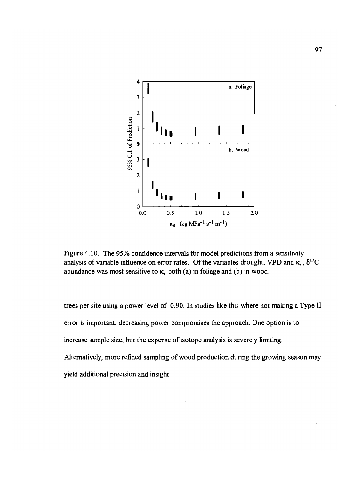

Figure 4.10. The 95% confidence intervals for model predictions from a sensitivity analysis of variable influence on error rates. Of the variables drought, VPD and  $\kappa_s$ ,  $\delta^{13}C$ abundance was most sensitive to  $\kappa$ , both (a) in foliage and (b) in wood.

trees per site using a power level of 0.90. In studies like this where not making a Type II error is important, decreasing power compromises the approach. One option is to increase sample size, but the expense of isotope analysis is severely limiting. Alternatively, more refined sampling of wood production during the growing season may yield additional precision and insight.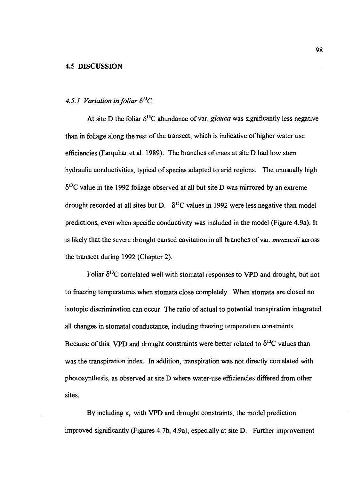## 4.5 DISCUSSION

## 4.5.1 Variation in foliar  $\delta^{13}C$

At site D the foliar  $\delta^{13}$ C abundance of var. glauca was significantly less negative than in foliage along the rest of the transect, which is indicative of higher water use efficiencies (Farquhar et al. 1989). The branches of trees at site D had low stem hydraulic conductivities, typical of species adapted to arid regions. The unusually high  $\delta^{13}$ C value in the 1992 foliage observed at all but site D was mirrored by an extreme drought recorded at all sites but D.  $\delta^{13}$ C values in 1992 were less negative than model predictions, even when specific conductivity was included in the model (Figure 4.9a). It is likely that the severe drought caused cavitation in all branches of var. *menziesii* across the transect during 1992 (Chapter 2).

Foliar  $\delta^{13}$ C correlated well with stomatal responses to VPD and drought, but not to freezing temperatures when stomata close completely. When stomata are closed no isotopic discrimination can occur. The ratio of actual to potential transpiration integrated all changes in stomatal conductance, including freezing temperature constraints. Because of this, VPD and drought constraints were better related to  $\delta^{13}C$  values than was the transpiration index. In addition, transpiration was not directly correlated with photosynthesis, as observed at site D where water-use efficiencies differed from other sites.

By including  $\kappa$ , with VPD and drought constraints, the model prediction improved significantly (Figures 4.7b, 4.9a), especially at site D. Further improvement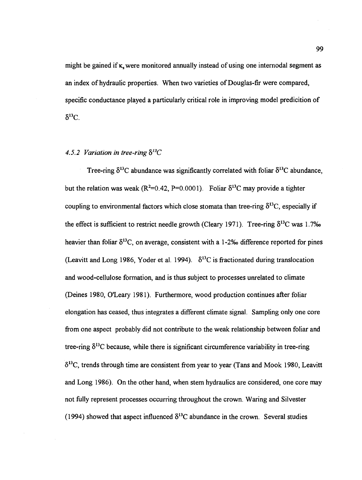might be gained if  $\kappa$ , were monitored annually instead of using one internodal segment as an index of hydraulic properties. When two varieties of Douglas-fir were compared, specific conductance played a particularly critical role in improving model predicition of  $\delta^{13}C$ .

# 4.5.2 Variation in tree-ring  $\delta^{13}C$

Tree-ring  $\delta^{13}$ C abundance was significantly correlated with foliar  $\delta^{13}$ C abundance, but the relation was weak ( $R^2$ =0.42, P=0.0001). Foliar  $\delta^{13}$ C may provide a tighter coupling to environmental factors which close stomata than tree-ring  $\delta^{13}C$ , especially if the effect is sufficient to restrict needle growth (Cleary 1971). Tree-ring  $\delta^{13}$ C was 1.7% heavier than foliar  $\delta^{13}$ C, on average, consistent with a 1-2% difference reported for pines (Leavitt and Long 1986, Yoder et al. 1994).  $\delta^{13}$ C is fractionated during translocation and wood-cellulose formation, and is thus subject to processes unrelated to climate (Deines 1980, O'Leary 1981). Furthermore, wood production continues after foliar elongation has ceased, thus integrates a different climate signal. Sampling only one core from one aspect probably did not contribute to the weak relationship between foliar and tree-ring  $\delta^{13}$ C because, while there is significant circumference variability in tree-ring  $\delta^{13}$ C, trends through time are consistent from year to year (Tans and Mook 1980, Leavitt and Long 1986). On the other hand, when stem hydraulics are considered, one core may not fully represent processes occurring throughout the crown. Waring and Silvester (1994) showed that aspect influenced  $\delta^{13}$ C abundance in the crown. Several studies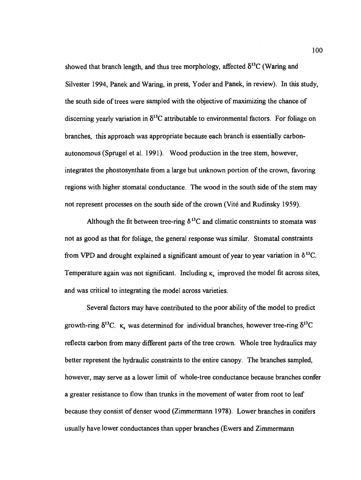showed that branch length, and thus tree morphology, affected  $\delta^{13}C$  (Waring and Silvester 1994, Panek and Waring, in press, Yoder and Panek, in review). In this study, the south side of trees were sampled with the objective of maximizing the chance of discerning yearly variation in  $\delta^{13}$ C attributable to environmental factors. For foliage on branches, this approach was appropriate because each branch is essentially carbonautonomous (Sprugel et al. 1991). Wood production in the tree stem, however, integrates the phostosynthate from a large but unknown portion of the crown, favoring regions with higher stomatal conductance. The wood in the south side of the stem may not represent processes on the south side of the crown (Vité and Rudinsky 1959).

Although the fit between tree-ring  $\delta^{13}$ C and climatic constraints to stomata was not as good as that for foliage, the general response was similar. Stomatal constraints from VPD and drought explained a significant amount of year to year variation in  $\delta^{13}C$ . Temperature again was not significant. Including  $\kappa$ , improved the model fit across sites, and was critical to integrating the model across varieties.

Several factors may have contributed to the poor ability of the model to predict growth-ring  $\delta^{13}C$ .  $\kappa_{\rm s}$  was determined for individual branches, however tree-ring  $\delta^{13}C$ reflects carbon from many different parts of the tree crown. Whole tree hydraulics may better represent the hydraulic constraints to the entire canopy. The branches sampled, however, may serve as a lower limit of whole-tree conductance because branches confer a greater resistance to flow than trunks in the movement of water from root to leaf because they consist of denser wood (Zimmermann 1978). Lower branches in conifers usually have lower conductances than upper branches (Ewers and Zimmermann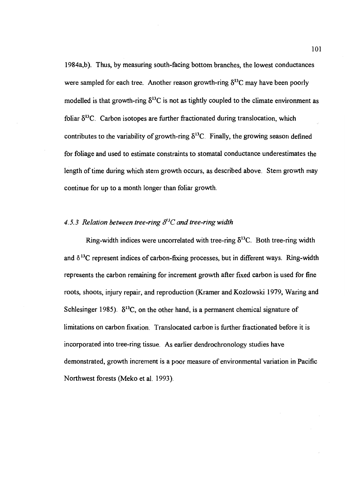1984a,b). Thus, by measuring south-facing bottom branches, the lowest conductances were sampled for each tree. Another reason growth-ring  $\delta^{13}$ C may have been poorly modelled is that growth-ring  $\delta^{13}$ C is not as tightly coupled to the climate environment as foliar  $\delta^{13}$ C. Carbon isotopes are further fractionated during translocation, which contributes to the variability of growth-ring  $\delta^{13}$ C. Finally, the growing season defined for foliage and used to estimate constraints to stomatal conductance underestimates the length of time during which stem growth occurs, as described above. Stem growth may continue for up to a month longer than foliar growth.

# 4.5.3 Relation between tree-ring  $\delta^{3}C$  and tree-ring width

Ring-width indices were uncorrelated with tree-ring  $\delta^{13}$ C. Both tree-ring width and  $\delta^{13}$ C represent indices of carbon-fixing processes, but in different ways. Ring-width represents the carbon remaining for increment growth after fixed carbon is used for fine roots, shoots, injury repair, and reproduction (Kramer and Kozlowski 1979, Waring and Schlesinger 1985).  $\delta^{13}$ C, on the other hand, is a permanent chemical signature of limitations on carbon fixation. Translocated carbon is further fractionated before it is incorporated into tree-ring tissue. As earlier dendrochronology studies have demonstrated, growth increment is a poor measure of environmental variation in Pacific Northwest forests (Meko et al. 1993).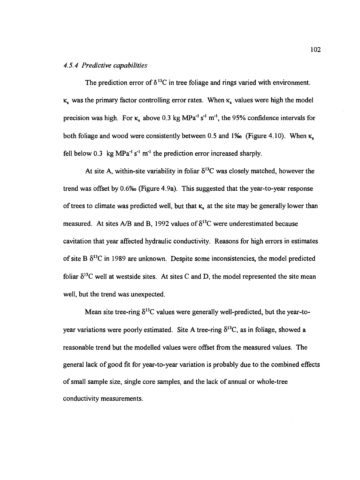# 4.5.4 Predictive capabilities

The prediction error of  $\delta^{13}$ C in tree foliage and rings varied with environment.  $\kappa$ , was the primary factor controlling error rates. When  $\kappa$ , values were high the model precision was high. For  $\kappa_s$  above 0.3 kg MPa<sup>-1</sup> s<sup>-1</sup> m<sup>-1</sup>, the 95% confidence intervals for both foliage and wood were consistently between 0.5 and 1‰ (Figure 4.10). When  $\kappa$ , fell below 0.3 kg  $MPa^{-1} s^{-1}$  m<sup>-1</sup> the prediction error increased sharply.

At site A, within-site variability in foliar  $\delta^{13}$ C was closely matched, however the trend was offset by 0.6% (figure 4.9a). This suggested that the year-to-year response of trees to climate was predicted well, but that  $\kappa$ , at the site may be generally lower than measured. At sites A/B and B, 1992 values of  $\delta^{13}$ C were underestimated because cavitation that year affected hydraulic conductivity. Reasons for high errors in estimates of site B  $\delta^{13}$ C in 1989 are unknown. Despite some inconsistencies, the model predicted foliar  $\delta^{13}$ C well at westside sites. At sites C and D, the model represented the site mean well, but the trend was unexpected.

Mean site tree-ring  $\delta^{13}$ C values were generally well-predicted, but the year-toyear variations were poorly estimated. Site A tree-ring  $\delta^{13}C$ , as in foliage, showed a reasonable trend but the modelled values were offset from the measured values. The general lack of good fit for year-to-year variation is probably due to the combined effects of small sample size, single core samples, and the lack of annual or whole-tree conductivity measurements.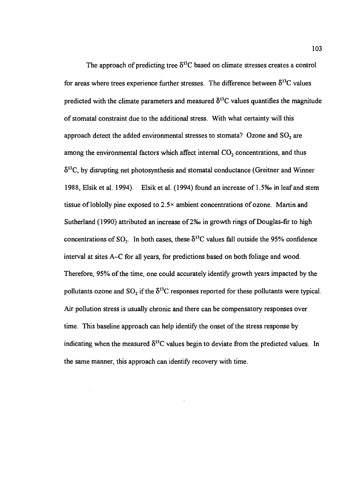The approach of predicting tree  $\delta^{13}$ C based on climate stresses creates a control for areas where trees experience further stresses. The difference between  $\delta^{13}C$  values predicted with the climate parameters and measured  $\delta^{13}$ C values quantifies the magnitude of stomatal constraint due to the additional stress. With what certainty will this approach detect the added environmental stresses to stomata? Ozone and  $SO_2$  are among the environmental factors which affect internal  $CO<sub>2</sub>$  concentrations, and thus  $\delta^{13}$ C, by disrupting net photosynthesis and stomatal conductance (Greitner and Winner 1988, Elsik et al. 1994). Elsik et al. (1994) found an increase of 1.5% in leaf and stem tissue of loblolly pine exposed to  $2.5^{\times}$  ambient concentrations of ozone. Martin and Sutherland (1990) attributed an increase of 2% in growth rings of Douglas-fir to high concentrations of SO<sub>2</sub>. In both cases, these  $\delta^{13}$ C values fall outside the 95% confidence interval at sites A–C for all years, for predictions based on both foliage and wood. Therefore, 95% of the time, one could accurately identify growth years impacted by the pollutants ozone and  $SO_2$  if the  $\delta^{13}C$  responses reported for these pollutants were typical. Air pollution stress is usually chronic and there can be compensatory responses over time. This baseline approach can help identify the onset of the stress response by indicating when the measured  $\delta^{13}$ C values begin to deviate from the predicted values. In the same manner, this approach can identify recovery with time.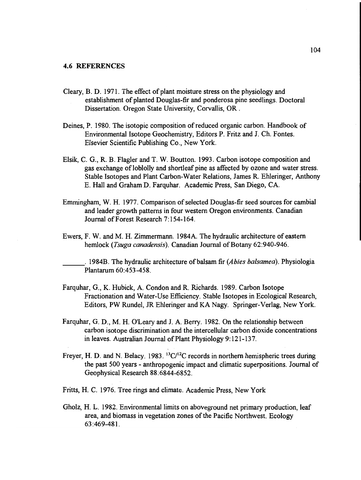#### 4.6 REFERENCES

- Cleary, B. D. 1971. The effect of plant moisture stress on the physiology and establishment of planted Douglas-fir and ponderosa pine seedlings. Doctoral Dissertation. Oregon State University, Corvallis, OR.
- Deines, P. 1980. The isotopic composition of reduced organic carbon. Handbook of Environmental Isotope Geochemistry, Editors P. Fritz and J. Ch. Fontes. Elsevier Scientific Publishing Co., New York.
- Elsik, C. G., R. B. Flagler and T. W. Boutton. 1993. Carbon isotope composition and gas exchange of loblolly and shortleaf pine as affected by ozone and water stress. Stable Isotopes and Plant Carbon-Water Relations, James R. Ehleringer, Anthony E. Hall and Graham D. Farquhar. Academic Press, San Diego, CA.
- Emmingham, W. H. 1977. Comparison of selected Douglas-fir seed sources for cambial and leader growth patterns in four western Oregon environments. Canadian Journal of Forest Research 7:154-164.
- Ewers, F. W. and M. H. Zimmermann. I 984A. The hydraulic architecture of eastern hemlock (Tsuga canadensis). Canadian Journal of Botany 62:940-946.

1984B. The hydraulic architecture of balsam fir (Abies balsamea). Physiologia Plantarum 60:453-458.

- Farquhar, G., K. Hubick, A. Condon and R. Richards. 1989. Carbon Isotope Fractionation and Water-Use Efficiency. Stable Isotopes in Ecological Research, Editors, PW Rundel, JR Ehleringer and KA Nagy. Springer-Verlag, New York.
- Farquhar, G. D., M. H. O'Leary and J. A. Berry. 1982. On the relationship between carbon isotope discrimination and the intercellular carbon dioxide concentrations in leaves. Australian Journal of Plant Physiology 9:121-137.
- Freyer, H. D. and N. Belacy. 1983.  ${}^{13}C/{}^{12}C$  records in northern hemispheric trees during the past 500 years - anthropogenic impact and climatic superpositions. Journal of Geophysical Research 88:6844-6852.
- Fritts, H. C. 1976. Tree rings and climate. Academic Press, New York
- Gholz, H. L. 1982. Environmental limits on aboveground net primary production, leaf area, and biomass in vegetation zones of the Pacific Northwest. Ecology 63:469-481.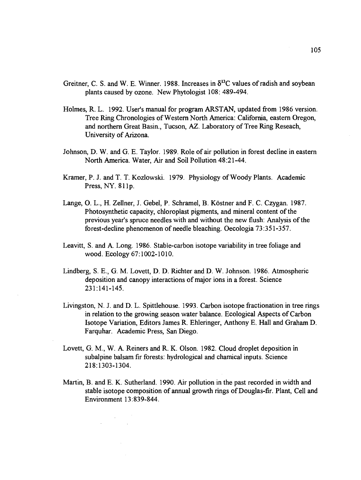- Greitner, C. S. and W. E. Winner. 1988. Increases in  $\delta^{13}$ C values of radish and soybean plants caused by ozone. New Phytologist 108: 489-494.
- Holmes, R. L. 1992. User's manual for program ARSTAN, updated from 1986 version. Tree Ring Chronologies of Western North America: California, eastern Oregon, and northern Great Basin., Tucson, AZ. Laboratory of Tree Ring Reseach, University of Arizona.
- Johnson, D. W. and G. E. Taylor. 1989. Role of air pollution in forest decline in eastern North America. Water, Air and Soil Pollution 48:21-44.
- Kramer, P. J. and T. T. Kozlowski. 1979. Physiology of Woody Plants. Academic Press, NY. 8llp.
- Lange, O. L., H. Zellner, J. Gebel, P. Schramel, B. Köstner and F. C. Czygan. 1987. Photosynthetic capacity, chioroplast pigments, and mineral content of the previous year's spruce needles with and without the new flush: Analysis of the forest-decline phenomenon of needle bleaching. Oecologia 73:351-357.
- Leavitt, S. and A. Long. 1986. Stable-carbon isotope variability in tree foliage and wood. Ecology 67:1002-1010.
- Lindberg, S. E., G. M. Lovett, D. D. Richter and D. W. Johnson. 1986. Atmospheric deposition and canopy interactions of major ions in a forest. Science 231:141-145.
- Livingston, N. J. and D. L. Spittlehouse. 1993. Carbon isotope fractionation in tree rings in relation to the growing season water balance. Ecological Aspects of Carbon Isotope Variation, Editors James R. Eh!eringer, Anthony E. Hall and Graham D. Farquhar. Academic Press, San Diego.
- Lovett, G. M., W. A. Reiners and R. K. Olson. 1982. Cloud droplet deposition in subalpine balsam fir forests: hydrological and chamical inputs. Science 218:1303-1304.
- Martin, B. and E. K. Sutherland. 1990. Air pollution in the past recorded in width and stable isotope composition of annual growth rings of Douglas-fir. Plant, Cell and Environment 13:839-844.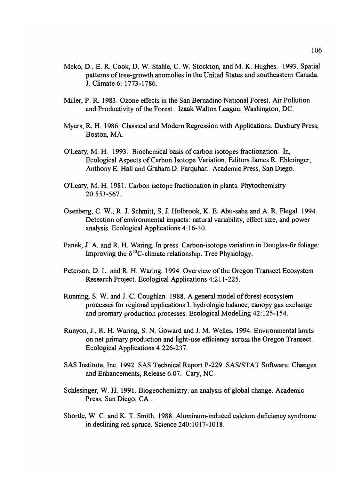- Meko, D., E. R. Cook, D. W. Stahie, C. W. Stockton, and M. K. Hughes. 1993. Spatial patterns of tree-growth anomolies in the United States and southeastern Canada. J. Climate 6: 1773-1786.
- Miller, P. R. 1983. Ozone effects in the San Bernadino National Forest. Air Pollution and Productivity of the Forest. Izaak Walton League, Washington, DC.
- Myers, R. H. 1986. Classical and Modern Regression with Applications. Duxbury Press, Boston, MA.
- O'Leary, M. H. 1993. Biochemical basis of carbon isotopes fractionation. In, Ecological Aspects of Carbon Isotope Variation, Editors James R. Ehieringer, Anthony E. Hall and Graham D. Farquhar. Academic Press, San Diego.
- O'Leary, M. H. 1981. Carbon isotope fractionation in plants. Phytochemistry 20:553-567.
- Osenberg, C. W., R. J. Schmitt, S. J. Holbrook, K. E. Abu-saba and A. R. Flegal. 1994. Detection of environmental impacts: natural variability, effect size, and power analysis. Ecological Applications 4:16-30.
- Panek, J. A. and R. H. Waring. In press. Carbon-isotope variation in Douglas-fir foliage: Improving the  $\delta^{13}$ C-climate relationship. Tree Physiology.
- Peterson, D. L. and R. H. Waring. 1994. Overview of the Oregon Transect Ecosystem Research Project. Ecological Applications 4:211-225.
- Running, S. W. and J. C. Coughlan. 1988. A general model of forest ecosystem processes for regional applications I. hydrologic balance, canopy gas exchange and promary production processes. Ecological Modelling 42:125-154.
- Runyon, J., R. H. Waring, S. N. Goward and J. M. Welles. 1994. Environmental limits on net primary production and light-use efficiency across the Oregon Transect. Ecological Applications 4:226-237.
- SAS Institute, Inc. 1992. SAS Technical Report P-229. SAS/STAT Software: Changes and Enhancements, Release 6.07. Cary, NC.
- Schlesinger, W. H. 1991. Biogeochemistry: an analysis of global change. Academic Press, San Diego, CA.
- Shortle, W. C. and K. T. Smith. 1988. Aluminum-induced calcium deficiency syndrome in declining red spruce. Science 240:1017-1018.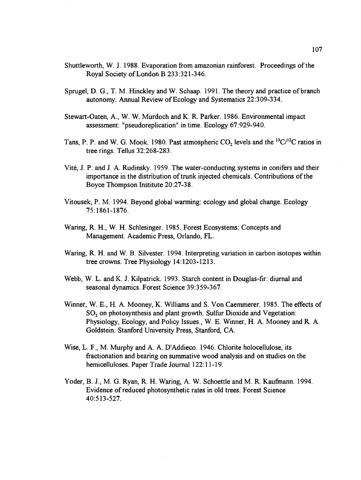- Shuttleworth, W. J. 1988. Evaporation from amazonian rainforest. Proceedings of the Royal Society of London B 233:321-346.
- Sprugel, D. G., T. M. Hinckley and W. Schaap. 1991. The theory and practice of branch autonomy. Annual Review of Ecology and Systematics 22:309-334.
- Stewart-Oaten, A., W. W. Murdoch and K. R. Parker. 1986. Environmental impact assessment: "pseudoreplication" in time. Ecology 67:929-940.
- Tans, P. P. and W. G. Mook. 1980. Past atmospheric  $CO_2$  levels and the  $^{13}C/^{12}C$  ratios in tree rings. Tellus 32:268-283.
- Vité, J. P. and J. A. Rudinsky. 1959. The water-conducting systems in conifers and their importance in the distribution of trunk injected chemicals. Contributions of the Boyce Thompson Institute 20:27-3 8.
- Vitousek, P. M. 1994. Beyond global warming: ecology and global change. Ecology 75: 1861-1876.
- Waring, R. H., W. H. Schlesinger. 1985. Forest Ecosystems: Concepts and Management. Academic Press, Orlando, FL.
- Waring, R. H. and W. B. Silvester. 1994. Interpreting variation in carbon isotopes within tree crowns. Tree Physiology 14:1203-1213.
- Webb, W. L. and K. J. Kilpatrick. 1993. Starch content in Douglas-fir: diurnal and seasonal dynamics. Forest Science 39:359-367.
- Winner, W. E., H. A. Mooney, K. Williams and S. Von Caemmerer. 1985. The effects of  $SO<sub>2</sub>$  on photosynthesis and plant growth. Sulfur Dioxide and Vegetation: Physiology, Ecology, and Policy Issues., W. E. Winner, H. A. Mooney and R. A. Goldstein. Stanford University Press, Stanford, CA.
- Wise, L. F., M. Murphy and A. A. D'Addieco. 1946. Chlorite holocellulose, its fractionation and bearing on summative wood analysis and on studies on the hemicelluloses. Paper Trade Journal 122:11-19.
- Yoder, B. J., M. G. Ryan, R. H. Waring, A. W. Schoettle and M. R. Kaufmann. 1994. Evidence of reduced photosynthetic rates in old trees. Forest Science 40:513-527.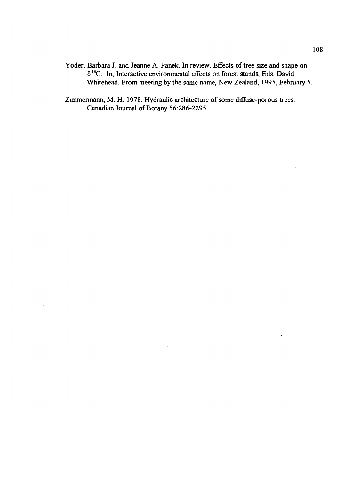Yoder, Barbara J. and Jeanne A. Panek. In review. Effects of tree size and shape on ô '3C. In, Interactive environmental effects on forest stands, Eds. David Whitehead. From meeting by the same name, New Zealand, 1995, February 5.

Zimmermann, M. H. 1978. Hydraulic architecture of some diffuse-porous trees. Canadian Journal of Botany 56:286-2295.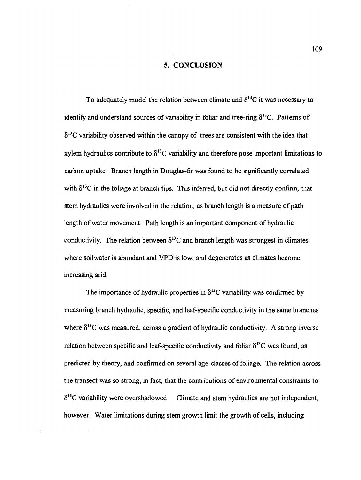### 5. CONCLUSION

To adequately model the relation between climate and  $\delta^{13}$ C it was necessary to identify and understand sources of variability in foliar and tree-ring  $\delta^{13}$ C. Patterns of  $\delta^{13}$ C variability observed within the canopy of trees are consistent with the idea that xylem hydraulics contribute to  $\delta^{13}$ C variability and therefore pose important limitations to carbon uptake. Branch length in Douglas-fir was found to be significantly correlated with  $\delta^{13}$ C in the foliage at branch tips. This inferred, but did not directly confirm, that stem hydraulics were involved in the relation, as branch length is a measure of path length of water movement. Path length is an important component of hydraulic conductivity. The relation between  $\delta^{13}$ C and branch length was strongest in climates where soilwater is abundant and VPD is low, and degenerates as climates become increasing arid.

The importance of hydraulic properties in  $\delta^{13}$ C variability was confirmed by measuring branch hydraulic, specific, and leaf-specific conductivity in the same branches where  $\delta^{13}$ C was measured, across a gradient of hydraulic conductivity. A strong inverse relation between specific and leaf-specific conductivity and foliar  $\delta^{13}$ C was found, as predicted by theory, and confirmed on several age-classes of foliage. The relation across the transect was so strong, in fact, that the contributions of environmental constraints to  $\delta^{13}$ C variability were overshadowed. Climate and stem hydraulics are not independent, however. Water limitations during stem growth limit the growth of cells, including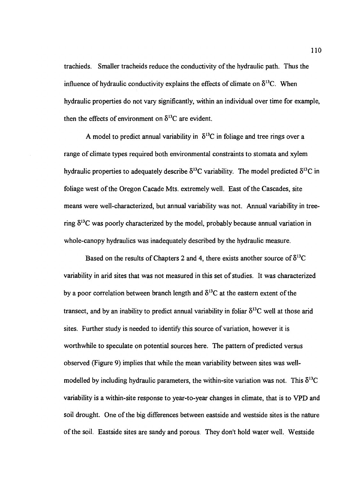trachieds. Smaller tracheids reduce the conductivity of the hydraulic path. Thus the influence of hydraulic conductivity explains the effects of climate on  $\delta^{13}C$ . When hydraulic properties do not vary significantly, within an individual over time for example, then the effects of environment on  $\delta^{13}$ C are evident.

A model to predict annual variability in  $\delta^{13}$ C in foliage and tree rings over a range of climate types required both environmental constraints to stomata and xylem hydraulic properties to adequately describe  $\delta^{13}$ C variability. The model predicted  $\delta^{13}$ C in foliage west of the Oregon Cacade Mts. extremely well. East of the Cascades, site means were well-characterized, but annual variability was not. Annual variability in treering  $\delta^{13}$ C was poorly characterized by the model, probably because annual variation in whole-canopy hydraulics was inadequately described by the hydraulic measure.

Based on the results of Chapters 2 and 4, there exists another source of  $\delta^{13}C$ variability in arid sites that was not measured in this set of studies. It was characterized by a poor correlation between branch length and  $\delta^{13}$ C at the eastern extent of the transect, and by an inability to predict annual variability in foliar  $\delta^{13}$ C well at those arid sites. Further study is needed to identify this source of variation, however it is worthwhile to speculate on potential sources here. The pattern of predicted versus observed (Figure 9) implies that while the mean variability between sites was wellmodelled by including hydraulic parameters, the within-site variation was not. This  $\delta^{13}C$ variability is a within-site response to year-to-year changes in climate, that is to VPD and soil drought. One of the big differences between eastside and westside sites is the nature of the soil. Eastside sites are sandy and porous. They don't hold water well. Westside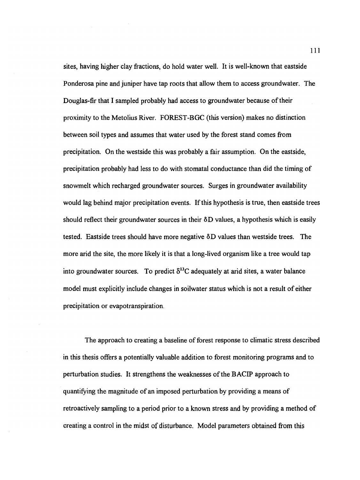sites, having higher clay fractions, do hold water well. It is well-known that eastside Ponderosa pine and juniper have tap roots that allow them to access groundwater. The Douglas-fir that I sampled probably had access to groundwater because of their proximity to the Metolius River. FOREST-BGC (this version) makes no distinction between soil types and assumes that water used by the forest stand comes from precipitation. On the westside this was probably a fair assumption. On the eastside, precipitation probably had less to do with stomatal conductance than did the timing of snowmelt which recharged groundwater sources. Surges in groundwater availability would lag behind major precipitation events. If this hypothesis is true, then eastside trees should reflect their groundwater sources in their  $\delta D$  values, a hypothesis which is easily tested. Eastside trees should have more negative  $\delta D$  values than westside trees. The more arid the site, the more likely it is that a long-lived organism like a tree would tap into groundwater sources. To predict  $\delta^{13}$ C adequately at arid sites, a water balance model must explicitly include changes in soilwater status which is not a result of either precipitation or evapotranspiration.

The approach to creating a baseline of forest response to climatic stress described in this thesis offers a potentially valuable addition to forest monitoring programs and to perturbation studies. It strengthens the weaknesses of the BACIP approach to quantifying the magnitude of an imposed perturbation by providing a means of retroactively sampling to a period prior to a known stress and by providing a method of creating a control in the midst of disturbance. Model parameters obtained from this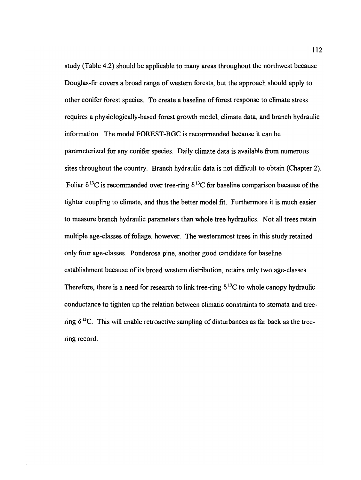study (Table 4.2) should be applicable to many areas throughout the northwest because Douglas-fir covers a broad range of western forests, but the approach should apply to other conifer forest species. To create a baseline of forest response to climate stress requires a physiologically-based forest growth model, climate data, and branch hydraulic information. The model FOREST-BGC is recommended because it can be parameterized for any conifer species. Daily climate data is available from numerous sites throughout the country. Branch hydraulic data is not difficult to obtain (Chapter 2). Foliar  $\delta^{13}$ C is recommended over tree-ring  $\delta^{13}$ C for baseline comparison because of the tighter coupling to climate, and thus the better model fit. Furthermore it is. much easier to measure branch hydraulic parameters than whole tree hydraulics. Not all trees retain multiple age-classes of foliage, however. The westernmost trees in this study retained only four age-classes. Ponderosa pine, another good candidate for baseline establishment because of its broad western distribution, retains only two age-classes. Therefore, there is a need for research to link tree-ring  $\delta^{13}$ C to whole canopy hydraulic conductance to tighten up the relation between climatic constraints to stomata and treering  $\delta^{13}$ C. This will enable retroactive sampling of disturbances as far back as the treering record.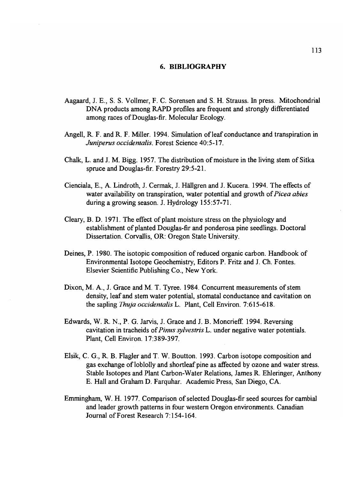# 6. BIBLIOGRAPHY

- Aagaard, J. E., S. S. Volimer, F. C. Sorensen and S. H. Strauss. In press. Mitochondrial DNA products among RAPD profiles are frequent and strongly differentiated among races of Douglas-fir. Molecular Ecology.
- Angell, R. F. and R. F. Miller. 1994. Simulation of leaf conductance and transpiration in Juniperus occidentalis. Forest Science 40:5-17.
- Chalk, L. and J. M. Bigg. 1957. The distribution of moisture in the living stem of Sitka spruce and Douglas-fir. Forestry 29:5-21.
- Cienciala, E., A. Lindroth, J. Cermak, J. Hallgren and J. Kucera. 1994. The effects of water availability on transpiration, water potential and growth of Picea abies during a growing season. J. Hydrology 155:57-71.
- Cleary, B. D. 1971. The effect of plant moisture stress on the physiology and establishment of planted Douglas-fir and ponderosa pine seedlings. Doctoral Dissertation. Corvallis, OR: Oregon State University.
- Deines, P. 1980. The isotopic composition of reduced organic carbon. Handbook of Environmental Isotope Geochemistry, Editors P. Fritz and J. Ch. Fontes. Elsevier Scientific Publishing Co., New York.
- Dixon, M. A., J. Grace and M. T. Tyree. 1984. Concurrent measurements of stem density, leaf and stem water potential, stomatal conductance and cavitation on the sapling *Thuja occidentalis* L. Plant, Cell Environ. 7:615-618.
- Edwards, W. R. N., P. G. Jarvis, J. Grace and J. B. Moncrieff. 1994. Reversing cavitation in tracheids of Pinus sylvestris L. under negative water potentials. Plant, Cell Environ. 17:389-397.
- Elsik, C. G., R. B. Flagler and T. W. Boutton. 1993. Carbon isotope composition and gas exchange of loblolly and shortleaf pine as affected by ozone and water stress. Stable Isotopes and Plant Carbon-Water Relations, James R. Ehleringer, Anthony E. Hall and Graham D. Farquhar. Academic Press, San Diego, CA.
- Emmingham, W. H. 1977. Comparison of selected Douglas-fir seed sources for cambial and leader growth patterns in four western Oregon environments. Canadian Journal of Forest Research 7:154-164.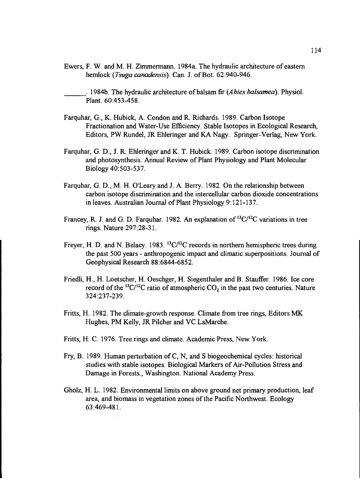- Ewers, F. W. and M. H. Zimmermann. 1984a. The hydraulic architecture of eastern hemlock (Tsuga canadensis). Can. J. of Bot. 62:940-946.
- 1984b. The hydraulic architecture of balsam fir (*Abies balsamea*). Physiol. Plant. 60:453-458.
- Farquhar, G., K. Hubick, A. Condon and R. Richards. 1989. Carbon Isotope Fractionation and Water-Use Efficiency. Stable Isotopes in Ecological Research, Editors, PW Rundel, JR Ehleringer and KA Nagy. Springer-Verlag, New York.
- Farquhar, G. D., J. R. Ehleringer and K. T. Hubick. 1989. Carbon isotope discrimination and photosynthesis. Annual Review of Plant Physiology and Plant Molecular Biology 40:503-537.
- Farquhar, G. D., M. H. O'Leary and J. A. Berry. 1982. On the relationship between carbon isotope discrimination and the intercellular carbon dioxide concentrations in leaves. Australian Journal of Plant Physiology  $9:121-137$ .
- Francey, R. J. and G. D. Farquhar. 1982. An explanation of  ${}^{13}C/{}^{12}C$  variations in tree rings. Nature 297:28-31.
- Freyer, H. D. and N. Belacy. 1983. <sup>13</sup>C/<sup>12</sup>C records in northern hemispheric trees during the past 500 years - anthropogenic impact and climatic superpositions. Journal of Geophysical Research 88:6844-6852.
- Friedli, H., H. Loetscher, H. Oeschger, H. Siegenthaler and B. Stauffer. 1986. Ice core record of the <sup>13</sup>C/<sup>12</sup>C ratio of atmospheric  $CO_2$  in the past two centuries. Nature 3 24 :23 7-239.
- Fritts, H. 1982. The climate-growth response. Climate from tree rings, Editors MIK Hughes, PM Kelly, JR Pilcher and VC LaMarche.
- Fritts, H. C. 1976. Tree rings and climate. Academic Press, New York.
- Fry, B. 1989. Human perturbation of C, N, and S biogeochemical cycles: historical studies with stable isotopes. Biological Markers of Air-Pollution Stress and Damage in Forests., Washington. National Academy Press.
- Gholz, H. L. 1982. Environmental limits on above ground net primary production, leaf area, and biomass in vegetation zones of the Pacific Northwest. Ecology 63:469-481.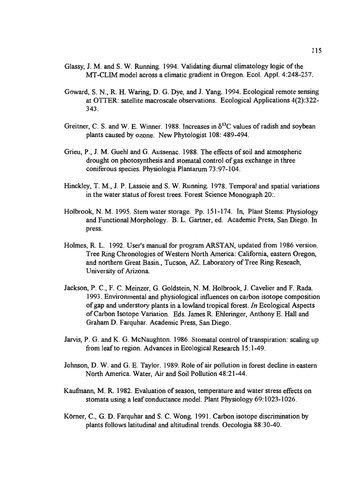- Glassy, J. M. and S. W. Running. 1994. Validating diurnal climatology logic of the MT-CLIM model across a climatic gradient in Oregon. Ecol. Appl. 4:248-257.
- Goward, S. N., R. H. Waring, D. G. Dye, and J. Yang. 1994. Ecological remote sensing at OTTER: satellite macroscale observations. Ecological Applications 4(2):322- 343.
- Greitner, C. S. and W. E. Winner. 1988. Increases in  $\delta^{13}$ C values of radish and soybean plants caused by ozone. New Phytologist 108: 489-494.
- Grieu, P., J. M. Guehl and G. Aussenac. 1988. The effects of soil and atmospheric drought on photosynthesis and stomatal control of gas exchange in three coniferous species. Physiologia Plantarum 73:97-104.
- Hinckley, T. M., J. P. Lassoie and S. W. Running. 1978. Temporal and spatial variations in the water status of forest trees. Forest Science Monograph 20:.
- Holbrook, N. M. 1995. Stem water storage. Pp. 151-174. In, Plant Stems: Physiology and Functional Morphology. B. L. Gartner, ed. Academic Press, San Diego. In press.
- Holmes, R. L. 1992. User's manual for program ARSTAN, updated from 1986 version. Tree Ring Chronologies of Western North America: California, eastern Oregon, and northern Great Basin., Tucson, AZ. Laboratory of Tree Ring Reseach, University of Arizona.
- Jackson, P. C., F. C. Meinzer, G. Goldstein, N. M. Holbrook, J. Cavelier and F. Rada. 1993. Environmental and physiological influences on carbon isotope composition of gap and understory plants in a lowland tropical forest. In Ecological Aspects of Carbon Isotope Variation. Eds. James R. Ehieringer, Anthony E. Hall and Graham D. Farquhar. Academic Press, San Diego.
- Jarvis, P. G. and K. G. McNaughton. 1986. Stomatal control of transpiration: scaling up from leaf to region. Advances in Ecological Research 15:1-49.
- Johnson, D. W. and G. E. Taylor. 1989. Role of air pollution in forest decline in eastern North America. Water, Air and Soil Pollution 48:21-44.
- Kaufinann, M. R. 1982. Evaluation of season, temperature and water stress effects on stomata using a leaf conductance model. Plant Physiology 69:1023-1026.
- Körner, C., G. D. Farquhar and S. C. Wong. 1991. Carbon isotope discrimination by plants follows latitudinal and altitudinal trends. Oecologia 88:30-40.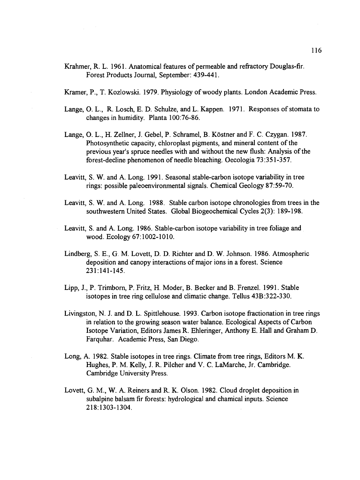- Krahmer, R. L. 1961. Anatomical features of permeable and refractory Douglas-fir. Forest Products Journal, September: 439-441.
- Kramer, P., T. Kozlowski. 1979. Physiology of woody plants. London Academic Press.
- Lange, 0. L., R. Losch, E. D. Schuize, and L. Kappen. 1971. Responses of stomata to changes in humidity. Planta 100:76-86.
- Lange, O. L., H. Zellner, J. Gebel, P. Schramel, B. Köstner and F. C. Czygan. 1987. Photosynthetic capacity, chloroplast pigments, and mineral content of the previous year's spruce needles with and without the new flush: Analysis of the forest-decline phenomenon of needle bleaching. Oecologia 73:351-357.
- Leavitt, S. W. and A. Long. 1991. Seasonal stable-carbon isotope variability in tree rings: possible paleoenvironmental signals. Chemical Geology 87:59-70.
- Leavitt, S. W. and A. Long. 1988. Stable carbon isotope chronologies from trees in the southwestern United States. Global Biogeochemical Cycles 2(3): 189-198.
- Leavitt, S. and A. Long. 1986. Stable-carbon isotope variability in tree foliage and wood. Ecology 67:1002-1010.
- Lindberg, S. E., G. M. Lovett, D. D. Richter and D. W. Johnson. 1986. Atmospheric deposition and canopy interactions of major ions in a forest, Science 231:141-145.
- Lipp, J., P. Trimborn, P. Fritz, H. Moder, B. Becker and B. Frenzel. 1991. Stable isotopes in tree ring cellulose and climatic change. Tellus 43B:322-330.
- Livingston, N. J. and D. L. Spittlehouse. 1993. Carbon isotope fractionation in tree rings in relation to the growing season water balance. Ecological Aspects of Carbon Isotope Variation, Editors James R. Ehleringer, Anthony E. Hall and Graham D, Farquhar. Academic Press, San Diego.
- Long, A. 1982. Stable isotopes in tree rings. Climate from tree rings, Editors M. K. Hughes, P. M. Kelly, J. R. Pilcher and V. C. LaMarche, Jr. Cambridge. Cambridge University Press.
- Lovett, G. M., W. A. Reiners and R. K. Olson. 1982. Cloud droplet deposition in subalpine balsam fir forests: hydrological and chamical inputs. Science 218: 1303-1304.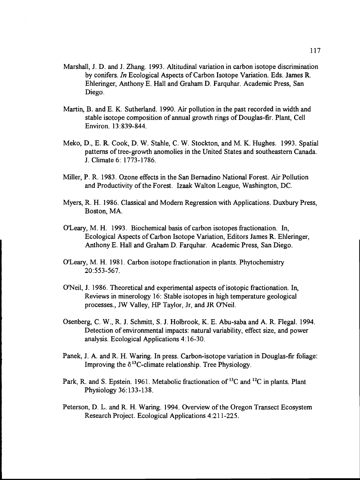- Marshall, J. D. and J. Zhang. 1993. Altitudinal variation in carbon isotope discrimination by conifers. In Ecological Aspects of Carbon Isotope Variation. Eds. James R. Ehleringer, Anthony E. Hall and Graham D. Farquhar. Academic Press, San Diego.
- Martin, B. and E. K. Sutherland. 1990. Air pollution in the past recorded in width and stable isotope composition of annual growth rings of Douglas-fir. Plant, Cell Environ. 13:839-844.
- Meko, D., E. R. Cook, D. W. Stahle, C. W. Stockton, and M. K. Hughes. 1993. Spatial patterns of tree-growth anomolies in the United States and southeastern Canada. J. Climate 6: 1773-1786.
- Miller, P. R. 1983. Ozone effects in the San Bernadino National Forest. Air Pollution and Productivity of the Forest. Izaak Walton League, Washington, DC.
- Myers, R. H. 1986. Classical and Modern Regression with Applications. Duxbury Press, Boston, MA.
- O'Leary, M. H. 1993. Biochemical basis of carbon isotopes fractionation. In, Ecological Aspects of Carbon Isotope Variation, Editors James R. Ehieringer, Anthony E. Hall and Graham D. Farquhar. Academic Press, San Diego.
- O'Leary, M. H. 1981. Carbon isotope fractionation in plants. Phytochemistry 20:553-567.
- O'Neil, J. 1986. Theoretical and experimental aspects of isotopic fractionation. In, Reviews in minerology 16: Stable isotopes in high temperature geological processes., JW Valley, HP Taylor, Jr, and JR O'Neil.
- Osenberg, C. W., R. J. Schmitt, S. J. Holbrook, K. E. Abu-saba and A. R. Flegal. 1994. Detection of environmental impacts: natural variability, effect size, and power analysis. Ecological Applications 4:16-30.
- Panek, J. A. and R. H. Waring. In press. Carbon-isotope variation in Douglas-fir foliage: Improving the  $\delta^{13}$ C-climate relationship. Tree Physiology.
- Park, R. and S. Epstein. 1961. Metabolic fractionation of <sup>13</sup>C and <sup>12</sup>C in plants. Plant Physiology 36:133-138.
- Peterson, D. L. and R. H. Waring. 1994. Overview of the Oregon Transect Ecosystem Research Project. Ecological Applications 4:211-225.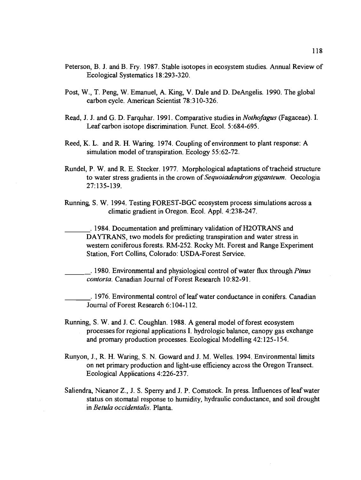- Peterson, B. J. and B. Fry. 1987. Stable isotopes in ecosystem studies. Annual Review of Ecological Systematics 18:293-320.
- Post, W., T. Peng, W. Emanuel, A. King, V. Dale and D. DeAngelis. 1990. The global carbon cycle. American Scientist 78:310-326.
- Read, J. J. and G. D. Farquhar. 1991. Comparative studies in *Nothofagus* (Fagaceae). I. Leaf carbon isotope discrimination. Funct. Ecol. 5:684-695.
- Reed, K. L. and R. H. Waring. 1974. Coupling of environment to plant response: A simulation model of transpiration. Ecology 55:62-72.
- Rundel, P. W. and R. E. Stecker. 1977. Morphological adaptations of tracheid structure to water stress gradients in the crown of Sequoiadendron giganteum. Oecologia 27:135-139.
- Running, S. W. 1994. Testing FOREST-BGC ecosystem process simulations across a climatic gradient in Oregon. Ecol. AppI. 4:23 8-247.

1984. Documentation and preliminary validation of H2OTRANS and DAYTRANS, two models for predicting transpiration and water stress in western coniferous forests. RM-252. Rocky Mt. Forest and Range Experiment Station, Fort Collins, Colorado: USDA-Forest Service.

1980. Environmental and physiological control of water flux through *Pinus* contorta. Canadian Journal of Forest Research 10:82-91.

1976. Environmental control of leaf water conductance in conifers. Canadian Journal of Forest Research 6:104-112.

- Running, S. W. and J. C. Coughlan. 1988. A general model of forest ecosystem processes for regional applications I. hydrologic balance, canopy gas exchange and promary production processes. Ecological Modelling 42:125-154.
- Runyon, J., R. H. Waring, S. N. Goward and J. M. Welles. 1994. Environmental limits on net primary production and light-use efficiency across the Oregon Transect. Ecological Applications 4:226-237.
- Saliendra, Nicanor Z., J. S. Sperry and J. P. Comstock. In press. Influences of leaf water status on stomatal response to humidity, hydraulic conductance, and soil drought in *Betula occidentalis*. Planta.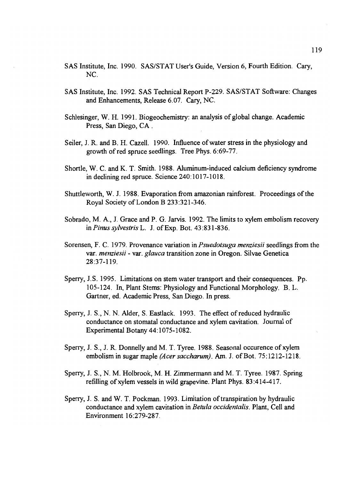- SAS Institute, Inc. 1990. SAS/STAT User's Guide, Version 6, Fourth Edition. Cary, NC.
- SAS Institute, Inc. 1992. SAS Technical Report P-229. SAS/STAT Software: Changes and Enhancements, Release 6.07. Cary, NC.
- Schlesinger, W. H. 1991. Biogeochemistry: an analysis of global change. Academic Press, San Diego, CA.
- Seiler, J. R. and B. H. Cazell. 1990. Influence of water stress in the physiology and growth of red spruce seedlings. Tree Phys. 6:69-77.
- Shortle, W. C. and K. T. Smith. 1988. Aluminum-induced calcium deficiency syndrome in declining red spruce. Science 240:1017-1018.
- Shuttleworth, W. J. 1988. Evaporation from amazonian rainforest. Proceedings of the Royal Society of London B 233:321-346.
- Sobrado, M. A., J. Grace and P. G. Jarvis. 1992. The limits to xylem embolism recovery in Pinus sylvestris L. J. of Exp. Bot. 43:831-836.
- Sorensen, F. C. 1979. Provenance variation in *Psuedotsuga menziesii* seedlings from the var. menziesii - var. glauca transition zone in Oregon. Silvae Genetica 28:37-119.
- Sperry, J.S. 1995. Limitations on stem water transport and their consequences. Pp. 105-124. In, Plant Stems: Physiology and Functional Morphology. B. L. Gartner, ed. Academic Press, San Diego. In press.
- Sperry, J. S., N. N. Alder, S. Eastlack. 1993. The effect of reduced hydraulic conductance on stomatal conductance and xylem cavitation. Journal of Experimental Botany 44:1075-1082.
- Sperry, J. S., J. R. Donnelly and M. T. Tyree. 1988. Seasonal occurence of xylem embolism in sugar maple (Acer saccharum). Am. J. of Bot. 75:1212-1218.
- Sperry, J. S., N. M. Holbrook, M. H. Zimmermann and M. T. Tyree. 1987. Spring refilling of xylem vessels in wild grapevine. Plant Phys. 83:414-417.
- Sperry, J. S. and W. T. Pockman. 1993. Limitation of transpiration by hydraulic conductance and xylem cavitation in Betula occidentalis. Plant, Cell and Environment 16:279-287.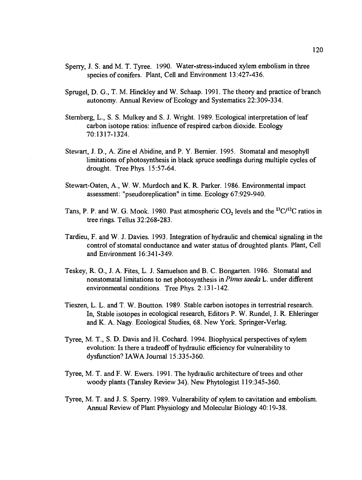- Sperry, J. S. and M. T. Tyree. 1990. Water-stress-induced xylem embolism in three species of conifers. Plant, Cell and Environment 13:427-436.
- Sprugel, D. G., T. M. Hinckley and W. Schaap. 1991. The theory and practice of branch autonomy. Annual Review of Ecology and Systematics 22:309-334.
- Sternberg, L., S. S. Mulkey and S. J. Wright. 1989. Ecological interpretation of leaf carbon isotope ratios: influence of respired carbon dioxide. Ecology 70:1317-1324.
- Stewart, J. D., A. Zine el Abidine, and P. Y. Bernier. 1995. Stomatal and mesophyll limitations of photosynthesis in black spruce seedlings during multiple cycles of drought. Tree Phys. 15:57-64.
- Stewart-Oaten, A., W. W. Murdoch and K. R. Parker. 1986. Environmental impact assessment: "pseudoreplication" in time. Ecology 67:929-940.
- Tans, P. P. and W. G. Mook. 1980. Past atmospheric  $CO_2$  levels and the  $^{13}C/^{12}C$  ratios in tree rings. Tellus 32:268-283.
- Tardieu, F. and W. J. Davies. 1993. Integration of hydraulic and chemical signaling in the control of stomatal conductance and water status of droughted plants. Plant, Cell and Environment 16:341-349.
- Teskey, R. 0., J. A. Fites, L. J. Samuelson and B. C. Bongarten. 1986. Stomatal and nonstomatal limitations to net photosynthesis in Pinus taeda L. under different environmental conditions. Tree Phys. 2:13 1-142.
- Tieszen, L. L. and T. W. Boutton. 989. Stable carbon isotopes in terrestrial research. In, Stable isotopes in ecological research, Editors P. W. Rundel, J. R. Ehleringer and K. A. Nagy. Ecological Studies, 68. New York. Springer-Verlag.
- Tyree, M. T., S. D. Davis and H. Cochard. 1994. Biophysical perspectives of xylem evolution: Is there a tradeoff of hydraulic efficiency for vulnerability to dysfunction? IAWA Journal 15:335-360.
- Tyree, M. T. and F. W. Ewers. 1991. The hydraulic architecture of trees and other woody plants (Tansley Review 34). New Phytologist 119:345-360.
- Tyree, M. T. and J. S. Sperry. 1989. Vulnerability of xylem to cavitation and embolism. Annual Review of Plant Physiology and Molecular Biology 40:19-38.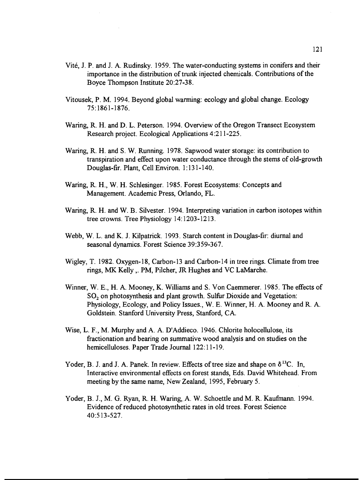- Vité, J. P. and J. A. Rudinsky. 1959. The water-conducting systems in conifers and their importance in the distribution of trunk injected chemicals. Contributions of the Boyce Thompson Institute 20:27-38.
- Vitousek, P. M. 1994. Beyond global warming: ecology and global change. Ecology 75: 1861-1876.
- Waring, R. H. and D. L. Peterson. 1994. Overview of the Oregon Transect Ecosystem Research project. Ecological Applications 4:211-225.
- Waring, R. H. and S. W. Running. 1978. Sapwood water storage: its contribution to transpiration and effect upon water conductance through the stems of old-growth Douglas-fir. Plant, Cell Environ. 1:13 1-140.
- Waring, R. H., W. H. Schlesinger. 1985. Forest Ecosystems: Concepts and Management. Academic Press, Orlando, FL.
- Waring, R. H. and W. B. Silvester. 1994. Interpreting variation in carbon isotopes within tree crowns. Tree Physiology 14:1203-1213.
- Webb, W. L. and K. J. Kilpatrick. 1993. Starch content in Douglas-fir: diurnal and seasonal dynamics. Forest Science 39:359-367.
- Wigley, T. 1982. Oxygen-18, Carbon-13 and Carbon-14 in tree rings. Climate from tree rings, MX Kelly,. PM, Pilcher, JR Hughes and VC LaMarche.
- Winner, W. E., H. A. Mooney, K. Williams and S. Von Caemmerer. 1985. The effects of SO<sub>2</sub> on photosynthesis and plant growth. Sulfur Dioxide and Vegetation: Physiology, Ecology, and Policy Issues., W. E. Winner, H. A. Mooney and R. A. Goldstein. Stanford University Press, Stanford, CA.
- Wise, L. F., M. Murphy and A. A. D'Addieco. 1946. Chlorite holocellulose, its fractionation and bearing on summative wood analysis and on studies on the hemicelluloses. Paper Trade Journal 122:11-19.
- Yoder, B. J. and J. A. Panek. In review. Effects of tree size and shape on  $\delta^{13}C$ . In, Interactive environmental effects on forest stands, Eds. David Whitehead. From meeting by the same name, New Zealand, 1995, February 5.
- Yoder, B. J., M. G. Ryan, R. H. Waring, A. W. Schoettle and M. R. Kaufmann. 1994. Evidence of reduced photosynthetic rates in old trees. Forest Science 40:513-527.